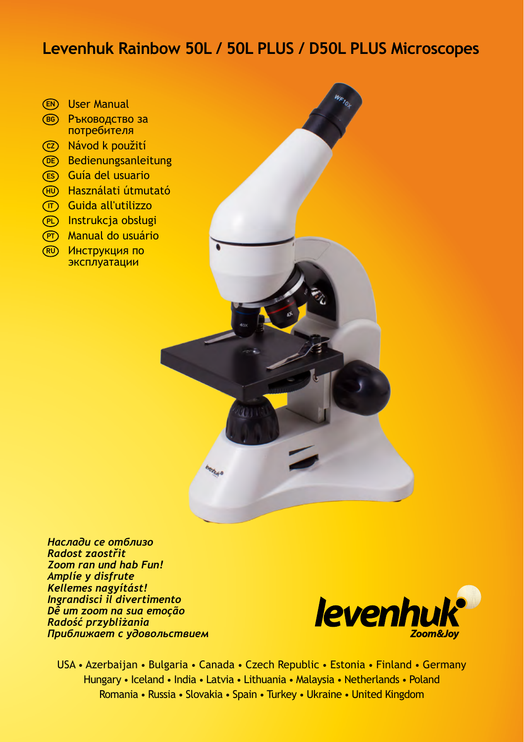# **Levenhuk Rainbow 50L / 50L PLUS / D50L PLUS Microscopes**

- User Manual EN
- в6) Ръководство за потребителя
- Návod k použití CZ
- **hedienungsanleitung**
- Guía del usuario ES
- ⊕) Használati útmutató
- ர**) Guida all'utilizzo**
- PD Instrukcja obsługi
- <u> 所 Manual do usuário</u>
- $\overline{\text{RU}}$  Инструкция по эксплуатации

*Наслади се отблизо Radost zaostřit Zoom ran und hab Fun! Amplíe y disfrute Kellemes nagyítást! Ingrandisci il divertimento Dê um zoom na sua emoção Radość przybliżania Приближает с удовольствием*



USA • Azerbaijan • Bulgaria • Canada • Czech Republic • Estonia • Finland • Germany Hungary • Iceland • India • Latvia • Lithuania • Malaysia • Netherlands • Poland Romania • Russia • Slovakia • Spain • Turkey • Ukraine • United Kingdom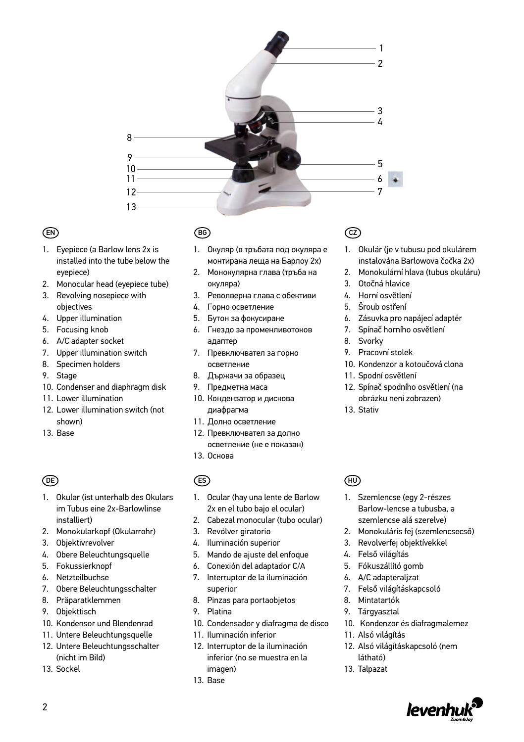

### EN

- 1. Eyepiece (a Barlow lens 2x is installed into the tube below the eyepiece)
- 2. Monocular head (eyepiece tube)
- 3. Revolving nosepiece with objectives
- 4. Upper illumination
- 5. Focusing knob
- 6. A/C adapter socket
- 7. Upper illumination switch
- 8. Specimen holders
- 9. Stage
- 10. Condenser and diaphragm disk
- 11. Lower illumination
- 12. Lower illumination switch (not shown)
- 13. Base

### DE

- 1. Okular (ist unterhalb des Okulars im Tubus eine 2x-Barlowlinse installiert)
- 2. Monokularkopf (Okularrohr)
- 3. Objektivrevolver
- 4. Obere Beleuchtungsquelle
- 5. Fokussierknopf
- 6. Netzteilbuchse
- 7. Obere Beleuchtungsschalter
- 8. Präparatklemmen
- 9. Objekttisch
- 10. Kondensor und Blendenrad
- 11. Untere Beleuchtungsquelle
- 12. Untere Beleuchtungsschalter (nicht im Bild)
- 13. Sockel

### BG

- 1. Окуляр (в тръбата под окуляра е монтирана леща на Барлоу 2x)
- 2. Монокулярна глава (тръба на окуляра)
- 3. Револверна глава с обективи
- 4. Горно осветление
- 5. Бутон за фокусиране
- 6. Гнездо за променливотоков адаптер
- 7. Превключвател за горно осветление
- 8. Държачи за образец
- 9. Предметна маса
- 10. Кондензатор и дискова диафрагма
- 11. Долно осветление
- 12. Превключвател за долно осветление (не е показан)
- 13. Основа

### ES

- 1. Ocular (hay una lente de Barlow 2x en el tubo bajo el ocular)
- 2. Cabezal monocular (tubo ocular)
- 3. Revólver giratorio
- 4. Iluminación superior
- 5. Mando de ajuste del enfoque
- 6. Conexión del adaptador C/A
- 7. Interruptor de la iluminación superior
- 8. Pinzas para portaobjetos
- 9. Platina
- 10. Condensador y diafragma de disco
- 11. Iluminación inferior
- 12. Interruptor de la iluminación inferior (no se muestra en la imagen)
- 13. Base

### CZ

- 1. Okulár (je v tubusu pod okulárem instalována Barlowova čočka 2x)
- 2. Monokulární hlava (tubus okuláru)
- 3. Otočná hlavice
- 4. Horní osvětlení
- 5. Šroub ostření
- 6. Zásuvka pro napájecí adaptér
- 7. Spínač horního osvětlení
- 8. Svorky
- 9. Pracovní stolek
- 10. Kondenzor a kotoučová clona
- 11. Spodní osvětlení
- 12. Spínač spodního osvětlení (na obrázku není zobrazen)
- 13. Stativ

#### HU

- 1. Szemlencse (egy 2-részes Barlow-lencse a tubusba, a szemlencse alá szerelve)
- 2. Monokuláris fej (szemlencsecső)
- 3. Revolverfej objektívekkel
- 4. Felső világítás
- 5. Fókuszállító gomb
- 6. A/C adapteraljzat
- 7. Felső világításkapcsoló
- 8. Mintatartók
- 9. Tárgyasztal
- 10. Kondenzor és diafragmalemez
- 11. Alsó világítás
- 12. Alsó világításkapcsoló (nem látható)
- 13. Talpazat

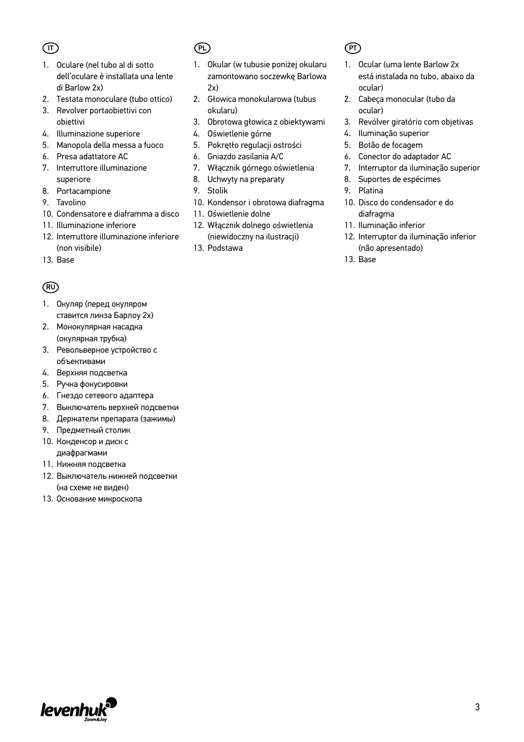### $($  $\overline{I}$  $\overline{I}$

- 1. Oculare (nel tubo al di sotto dell'oculare è installata una lente di Barlow 2x)
- 2. Testata monoculare (tubo ottico)
- 3. Revolver portaobiettivi con obiettivi
- 4. Illuminazione superiore
- 5. Manopola della messa a fuoco
- 6. Presa adattatore AC
- 7. Interruttore illuminazione superiore
- 8. Portacampione
- 9. Tavolino
- 10. Condensatore e diaframma a disco
- 11. Illuminazione inferiore
- 12. Interruttore illuminazione inferiore (non visibile)
- 13. Base

#### RU

- 1. Окуляр (перед окуляром ставится линза Барлоу 2x)
- 2. Монокулярная насадка (окулярная трубка)
- 3. Револьверное устройство с объективами
- 4. Верхняя подсветка
- 5. Ручка фокусировки
- 6. Гнездо сетевого адаптера
- 7. Выключатель верхней подсветки
- 8. Держатели препарата (зажимы)
- 9. Предметный столик
- 10. Конденсор и диск c диафрагмами
- 11. Нижняя подсветка
- 12. Выключатель нижней подсветки (на схеме не виден)
- 13. Основание микроскопа

### PL) (PT

- 1. Okular (w tubusie poniżej okularu zamontowano soczewkę Barlowa  $2x$
- 2. Głowica monokularowa (tubus okularu)
- 3. Obrotowa głowica z obiektywami
- 4. Oświetlenie górne
- 5. Pokrętło regulacji ostrości
- 6. Gniazdo zasilania A/C
- 7. Włącznik górnego oświetlenia
- 8. Uchwyty na preparaty
- 9. Stolik
- 10. Kondensor i obrotowa diafragma
- 11. Oświetlenie dolne
- 12. Włącznik dolnego oświetlenia (niewidoczny na ilustracji)
- 13. Podstawa

- 1. Ocular (uma lente Barlow 2x está instalada no tubo, abaixo da ocular)
- 2. Cabeça monocular (tubo da ocular)
- 3. Revólver giratório com objetivas
- 4. Iluminação superior
- 5. Botão de focagem
- 6. Conector do adaptador AC
- 7. Interruptor da iluminação superior
- 8. Suportes de espécimes
- 9. Platina
- 10. Disco do condensador e do diafragma
- 11. Iluminação inferior
- 12. Interruptor da iluminação inferior (não apresentado)
- 13. Base

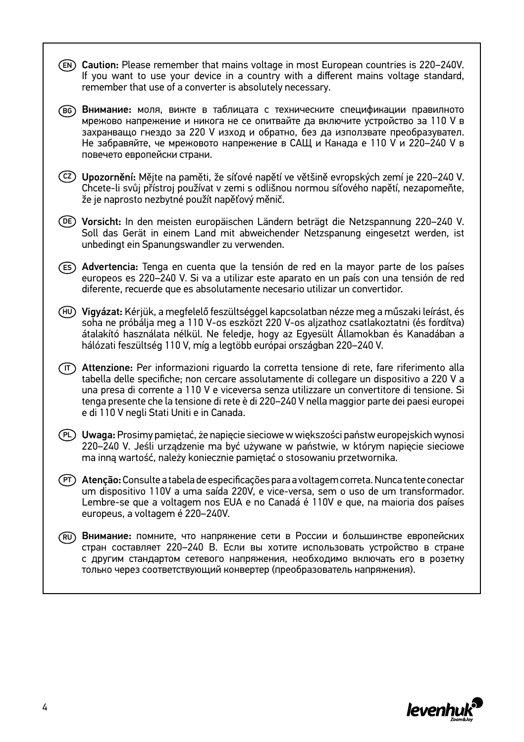$\mathbb{E}(\mathbb{N})$  Caution: Please remember that mains voltage in most European countries is 220–240V. If you want to use your device in a country with a different mains voltage standard, remember that use of a converter is absolutely necessary.  $\mathrm{[Fe]}$  Внимание: моля, вижте в таблицата с техническите спецификации правилното мрежово напрежение и никога не се опитвайте да включите устройство за 110 V в захранващо гнездо за 220 V изход и обратно, без да използвате преобразувател. Не забравяйте, че мрежовото напрежение в САЩ и Канада е 110 V и 220–240 V в повечето европейски страни. Upozornění: Mějte na paměti, že síťové napětí ve většině evropských zemí je 220–240 V. CZ Chcete-li svůj přístroj používat v zemi s odlišnou normou síťového napětí, nezapomeňte, že je naprosto nezbytné použít napěťový měnič. Vorsicht: In den meisten europäischen Ländern beträgt die Netzspannung 220–240 V. DE Soll das Gerät in einem Land mit abweichender Netzspanung eingesetzt werden, ist unbedingt ein Spanungswandler zu verwenden. Advertencia: Tenga en cuenta que la tensión de red en la mayor parte de los países ES europeos es 220–240 V. Si va a utilizar este aparato en un país con una tensión de red diferente, recuerde que es absolutamente necesario utilizar un convertidor. HU) **Vigyázat:** Kérjük, a megfelelő feszültséggel kapcsolatban nézze meg a műszaki leírást, és soha ne próbálja meg a 110 V-os eszközt 220 V-os aljzathoz csatlakoztatni (és fordítva) átalakító használata nélkül. Ne feledje, hogy az Egyesült Államokban és Kanadában a hálózati feszültség 110 V, míg a legtöbb európai országban 220–240 V.  $\overline{\text{r}}$ ) Attenzione: Per informazioni riguardo la corretta tensione di rete, fare riferimento alla tabella delle specifiche; non cercare assolutamente di collegare un dispositivo a 220 V a una presa di corrente a 110 V e viceversa senza utilizzare un convertitore di tensione. Si tenga presente che la tensione di rete è di 220–240 V nella maggior parte dei paesi europei e di 110 V negli Stati Uniti e in Canada. Uwaga: Prosimy pamiętać, że napięcie sieciowe w większości państw europejskich wynosi PL 220–240 V. Jeśli urządzenie ma być używane w państwie, w którym napięcie sieciowe ma inną wartość, należy koniecznie pamiętać o stosowaniu przetwornika. Atenção: Consulte a tabela de especificações para a voltagem correta. Nunca tente conectar PTum dispositivo 110V a uma saída 220V, e vice-versa, sem o uso de um transformador. Lembre-se que a voltagem nos EUA e no Canadá é 110V e que, na maioria dos países europeus, a voltagem é 220–240V. Внимание: помните, что напряжение сети в России и большинстве европейских RU стран составляет 220–240 В. Если вы хотите использовать устройство в стране с другим стандартом сетевого напряжения, необходимо включать его в розетку только через соответствующий конвертер (преобразователь напряжения).

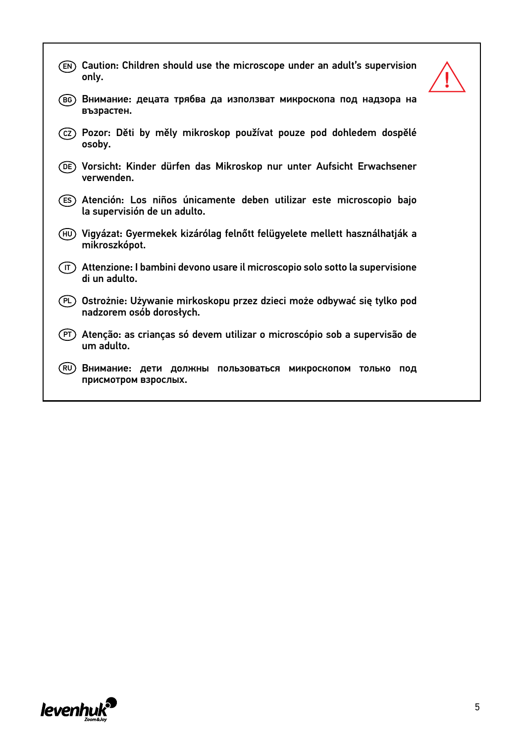| EN)  | Caution: Children should use the microscope under an adult's supervision<br>only.                   |  |
|------|-----------------------------------------------------------------------------------------------------|--|
| (BG) | Внимание: децата трябва да използват микроскопа под надзора на<br>възрастен.                        |  |
| (cz) | Pozor: Děti by měly mikroskop používat pouze pod dohledem dospělé<br>osoby.                         |  |
| (DE) | Vorsicht: Kinder dürfen das Mikroskop nur unter Aufsicht Erwachsener<br>verwenden.                  |  |
| (ES) | Atención: Los niños únicamente deben utilizar este microscopio bajo<br>la supervisión de un adulto. |  |
| (HU) | Vigyázat: Gyermekek kizárólag felnőtt felügyelete mellett használhatják a<br>mikroszkópot.          |  |
| ΄IT) | Attenzione: I bambini devono usare il microscopio solo sotto la supervisione<br>di un adulto.       |  |
| (PL) | Ostrożnie: Używanie mirkoskopu przez dzieci może odbywać się tylko pod<br>nadzorem osób dorosłych.  |  |
| (PT) | Atenção: as crianças só devem utilizar o microscópio sob a supervisão de<br>um adulto.              |  |
| (RU  | Внимание: дети должны пользоваться<br>МИКРОСКОПОМ ТОЛЬКО<br>под<br>присмотром взрослых.             |  |

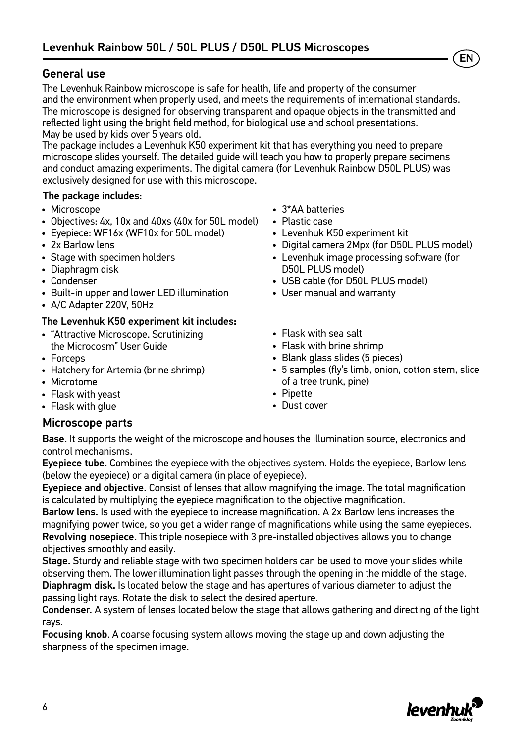### General use

The Levenhuk Rainbow microscope is safe for health, life and property of the consumer and the environment when properly used, and meets the requirements of international standards. The microscope is designed for observing transparent and opaque objects in the transmitted and reflected light using the bright field method, for biological use and school presentations. May be used by kids over 5 years old.

The package includes a Levenhuk K50 experiment kit that has everything you need to prepare microscope slides yourself. The detailed guide will teach you how to properly prepare secimens and conduct amazing experiments. The digital camera (for Levenhuk Rainbow D50L PLUS) was exclusively designed for use with this microscope.

#### The package includes:

- Microscope
- Objectives: 4х, 10х and 40хs (40x for 50L model)
- Evepiece: WF16x (WF10x for 50L model)
- 2x Barlow lens
- Stage with specimen holders
- Diaphragm disk
- Condenser
- Built-in upper and lower LED illumination
- A/C Adapter 220V, 50Hz

#### The Levenhuk K50 experiment kit includes:

- "Attractive Microscope. Scrutinizing the Microcosm" User Guide
- Forceps
- Hatchery for Artemia (brine shrimp)
- Microtome
- Flask with yeast
- Flask with alue

#### Microscope parts

- 3\*AA batteries
- Plastic case
- Levenhuk K50 experiment kit
- Digital camera 2Mpx (for D50L PLUS model)

EN

- Levenhuk image processing software (for D50L PLUS model)
- USB cable (for D50L PLUS model)
- User manual and warranty
- Flask with sea salt
- Flask with brine shrimp
- Blank glass slides (5 pieces)
- 5 samples (fly's limb, onion, cotton stem, slice of a tree trunk, pine)
- Pipette
- Dust cover

Base. It supports the weight of the microscope and houses the illumination source, electronics and control mechanisms.

Eyepiece tube. Combines the eyepiece with the objectives system. Holds the eyepiece, Barlow lens (below the eyepiece) or a digital camera (in place of eyepiece).

Eyepiece and objective. Consist of lenses that allow magnifying the image. The total magnification is calculated by multiplying the eyepiece magnification to the objective magnification.

Barlow lens. Is used with the eyepiece to increase magnification. A 2x Barlow lens increases the magnifying power twice, so you get a wider range of magnifications while using the same eyepieces. Revolving nosepiece. This triple nosepiece with 3 pre-installed objectives allows you to change objectives smoothly and easily.

Stage. Sturdy and reliable stage with two specimen holders can be used to move your slides while observing them. The lower illumination light passes through the opening in the middle of the stage. Diaphragm disk. Is located below the stage and has apertures of various diameter to adjust the passing light rays. Rotate the disk to select the desired aperture.

Condenser. A system of lenses located below the stage that allows gathering and directing of the light rays.

Focusing knob. A coarse focusing system allows moving the stage up and down adjusting the sharpness of the specimen image.

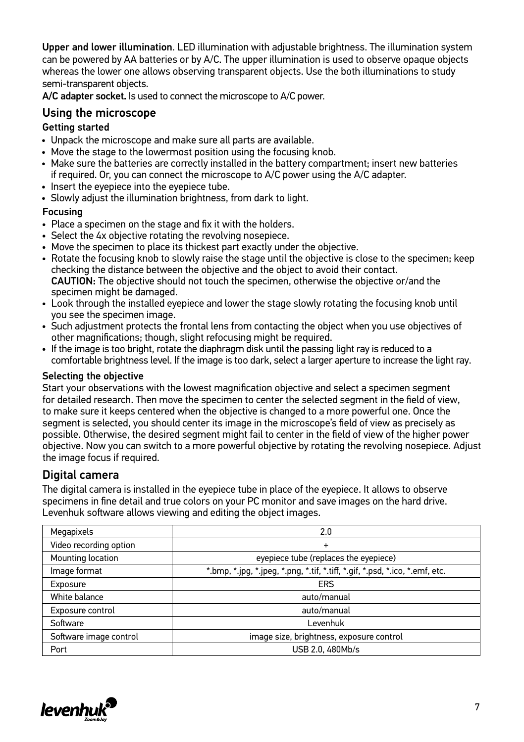Upper and lower illumination. LED illumination with adjustable brightness. The illumination system can be powered by AA batteries or by A/C. The upper illumination is used to observe opaque objects whereas the lower one allows observing transparent objects. Use the both illuminations to study semi-transparent objects.

A/C adapter socket. Is used to connect the microscope to A/C power.

#### Using the microscope

#### Getting started

- Unpack the microscope and make sure all parts are available.
- Move the stage to the lowermost position using the focusing knob.
- Make sure the batteries are correctly installed in the battery compartment; insert new batteries if required. Or, you can connect the microscope to A/C power using the A/C adapter.
- Insert the eyepiece into the eyepiece tube.
- Slowly adjust the illumination brightness, from dark to light.

#### Focusing

- Place a specimen on the stage and fix it with the holders.
- Select the 4x objective rotating the revolving nosepiece.
- Move the specimen to place its thickest part exactly under the objective.
- Rotate the focusing knob to slowly raise the stage until the objective is close to the specimen; keep checking the distance between the objective and the object to avoid their contact. CAUTION: The objective should not touch the specimen, otherwise the objective or/and the specimen might be damaged.
- Look through the installed eyepiece and lower the stage slowly rotating the focusing knob until you see the specimen image.
- Such adjustment protects the frontal lens from contacting the object when you use objectives of other magnifications; though, slight refocusing might be required.
- If the image is too bright, rotate the diaphragm disk until the passing light ray is reduced to a comfortable brightness level. If the image is too dark, select a larger aperture to increase the light ray.

#### Selecting the objective

Start your observations with the lowest magnification objective and select a specimen segment for detailed research. Then move the specimen to center the selected segment in the field of view, to make sure it keeps centered when the objective is changed to a more powerful one. Once the segment is selected, you should center its image in the microscope's field of view as precisely as possible. Otherwise, the desired segment might fail to center in the field of view of the higher power objective. Now you can switch to a more powerful objective by rotating the revolving nosepiece. Adjust the image focus if required.

### Digital camera

The digital camera is installed in the eyepiece tube in place of the eyepiece. It allows to observe specimens in fine detail and true colors on your PC monitor and save images on the hard drive. Levenhuk software allows viewing and editing the object images.

| Megapixels             | 2.0                                                                          |  |
|------------------------|------------------------------------------------------------------------------|--|
| Video recording option | $\ddot{}$                                                                    |  |
| Mounting location      | eyepiece tube (replaces the eyepiece)                                        |  |
| Image format           | *.bmp, *.jpg, *.jpeg, *.png, *.tif, *.tiff, *.gif, *.psd, *.ico, *.emf, etc. |  |
| Exposure               | ERS                                                                          |  |
| White balance          | auto/manual                                                                  |  |
| Exposure control       | auto/manual                                                                  |  |
| Software               | ∟evenhuk                                                                     |  |
| Software image control | image size, brightness, exposure control                                     |  |
| Port                   | USB 2.0, 480Mb/s                                                             |  |

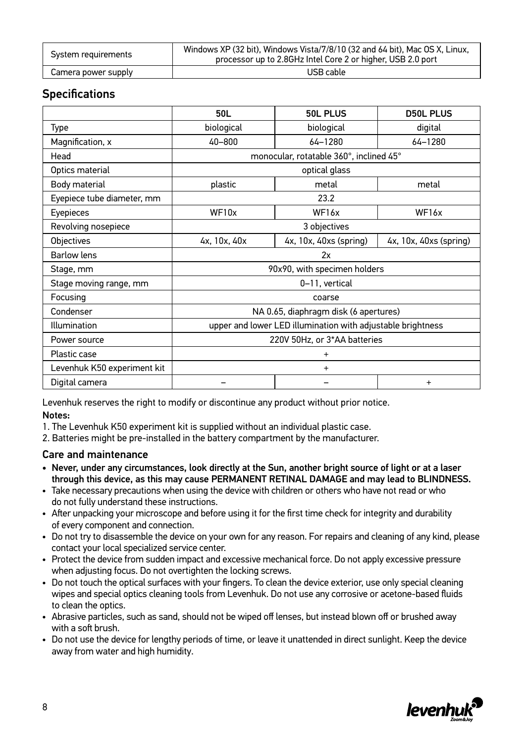| System requirements | Windows XP (32 bit). Windows Vista/7/8/10 (32 and 64 bit). Mac OS X. Linux.<br>processor up to 2.8GHz Intel Core 2 or higher, USB 2.0 port |  |
|---------------------|--------------------------------------------------------------------------------------------------------------------------------------------|--|
| Camera power supply | USB cable                                                                                                                                  |  |

### **Specifications**

|                             | 50L                                                         | <b>50L PLUS</b>                         | <b>D50L PLUS</b>       |
|-----------------------------|-------------------------------------------------------------|-----------------------------------------|------------------------|
| Type                        | biological                                                  | biological                              | digital                |
| Magnification, x            | $40 - 800$                                                  | 64-1280                                 | 64-1280                |
| Head                        |                                                             | monocular, rotatable 360°, inclined 45° |                        |
| Optics material             | optical glass                                               |                                         |                        |
| Body material               | plastic                                                     | metal                                   | metal                  |
| Eyepiece tube diameter, mm  |                                                             | 23.2                                    |                        |
| Eyepieces                   | WF10x                                                       | WF16x                                   | WF16x                  |
| Revolving nosepiece         | 3 objectives                                                |                                         |                        |
| Objectives                  | 4x, 10x, 40x                                                | 4x, 10x, 40xs (spring)                  | 4x, 10x, 40xs (spring) |
| <b>Barlow lens</b>          | 2x                                                          |                                         |                        |
| Stage, mm                   | 90x90, with specimen holders                                |                                         |                        |
| Stage moving range, mm      | 0-11, vertical                                              |                                         |                        |
| Focusing                    | coarse                                                      |                                         |                        |
| Condenser                   | NA 0.65, diaphragm disk (6 apertures)                       |                                         |                        |
| Illumination                | upper and lower LED illumination with adjustable brightness |                                         |                        |
| Power source                | 220V 50Hz, or 3*AA batteries                                |                                         |                        |
| Plastic case                | $\hbox{ }$                                                  |                                         |                        |
| Levenhuk K50 experiment kit | $\ddot{}$                                                   |                                         |                        |
| Digital camera              | $\ddot{}$                                                   |                                         |                        |

Levenhuk reserves the right to modify or discontinue any product without prior notice.

#### Notes:

1. The Levenhuk K50 experiment kit is supplied without an individual plastic case.

2. Batteries might be pre-installed in the battery compartment by the manufacturer.

#### Care and maintenance

- Never, under any circumstances, look directly at the Sun, another bright source of light or at a laser through this device, as this may cause PERMANENT RETINAL DAMAGE and may lead to BLINDNESS.
- Take necessary precautions when using the device with children or others who have not read or who do not fully understand these instructions.
- After unpacking your microscope and before using it for the first time check for integrity and durability of every component and connection.
- Do not try to disassemble the device on your own for any reason. For repairs and cleaning of any kind, please contact your local specialized service center.
- Protect the device from sudden impact and excessive mechanical force. Do not apply excessive pressure when adjusting focus. Do not overtighten the locking screws.
- Do not touch the optical surfaces with your fingers. To clean the device exterior, use only special cleaning wipes and special optics cleaning tools from Levenhuk. Do not use any corrosive or acetone-based fluids to clean the optics.
- Abrasive particles, such as sand, should not be wiped off lenses, but instead blown off or brushed away with a soft brush.
- Do not use the device for lengthy periods of time, or leave it unattended in direct sunlight. Keep the device away from water and high humidity.

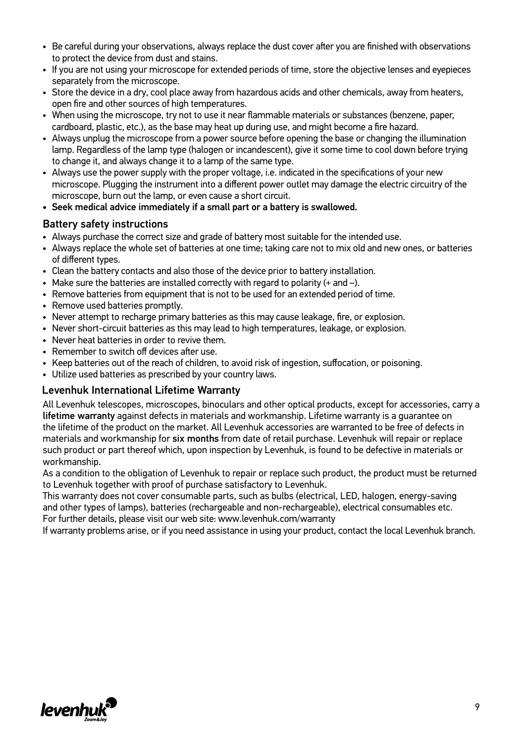- Be careful during your observations, always replace the dust cover after you are finished with observations to protect the device from dust and stains.
- If you are not using your microscope for extended periods of time, store the objective lenses and eyepieces separately from the microscope.
- Store the device in a dry, cool place away from hazardous acids and other chemicals, away from heaters, open fire and other sources of high temperatures.
- When using the microscope, try not to use it near flammable materials or substances (benzene, paper, cardboard, plastic, etc.), as the base may heat up during use, and might become a fire hazard.
- Always unplug the microscope from a power source before opening the base or changing the illumination lamp. Regardless of the lamp type (halogen or incandescent), give it some time to cool down before trying to change it, and always change it to a lamp of the same type.
- Always use the power supply with the proper voltage, i.e. indicated in the specifications of your new microscope. Plugging the instrument into a different power outlet may damage the electric circuitry of the microscope, burn out the lamp, or even cause a short circuit.
- Seek medical advice immediately if a small part or a battery is swallowed.

#### Battery safety instructions

- Always purchase the correct size and grade of battery most suitable for the intended use.
- Always replace the whole set of batteries at one time; taking care not to mix old and new ones, or batteries of different types.
- Clean the battery contacts and also those of the device prior to battery installation.
- Make sure the batteries are installed correctly with regard to polarity  $(+)$  and  $-)$ .
- Remove batteries from equipment that is not to be used for an extended period of time.
- Remove used batteries promptly.
- Never attempt to recharge primary batteries as this may cause leakage, fire, or explosion.
- Never short-circuit batteries as this may lead to high temperatures, leakage, or explosion.
- Never heat batteries in order to revive them.
- Remember to switch off devices after use.
- Keep batteries out of the reach of children, to avoid risk of ingestion, suffocation, or poisoning.
- Utilize used batteries as prescribed by your country laws.

#### Levenhuk International Lifetime Warranty

All Levenhuk telescopes, microscopes, binoculars and other optical products, except for accessories, carry a lifetime warranty against defects in materials and workmanship. Lifetime warranty is a guarantee on the lifetime of the product on the market. All Levenhuk accessories are warranted to be free of defects in materials and workmanship for six months from date of retail purchase. Levenhuk will repair or replace such product or part thereof which, upon inspection by Levenhuk, is found to be defective in materials or workmanship.

As a condition to the obligation of Levenhuk to repair or replace such product, the product must be returned to Levenhuk together with proof of purchase satisfactory to Levenhuk.

This warranty does not cover consumable parts, such as bulbs (electrical, LED, halogen, energy-saving and other types of lamps), batteries (rechargeable and non-rechargeable), electrical consumables etc. For further details, please visit our web site: www.levenhuk.com/warranty

If warranty problems arise, or if you need assistance in using your product, contact the local Levenhuk branch.

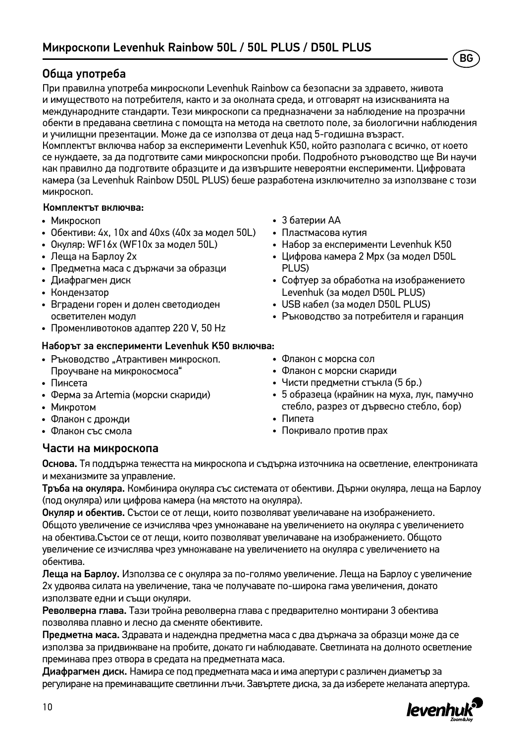### Обща употреба

При правилна употреба микроскопи Levenhuk Rainbow са безопасни за здравето, живота и имуществото на потребителя, както и за околната среда, и отговарят на изискванията на международните стандарти. Тези микроскопи са предназначени за наблюдение на прозрачни обекти в предавана светлина с помощта на метода на светлото поле, за биологични наблюдения и училищни презентации. Може да се използва от деца над 5-годишна възраст.

Комплектът включва набор за експерименти Levenhuk K50, който разполага с всичко, от което се нуждаете, за да подготвите сами микроскопски проби. Подробното ръководство ще Ви научи как правилно да подготвите образците и да извършите невероятни експерименти. Цифровата камера (за Levenhuk Rainbow D50L PLUS) беше разработена изключително за използване с този микроскоп.

#### Комплектът включва:

- Микроскоп
- Обективи: 4х, 10х and 40хs (40x за модел 50L)
- Окуляр: WF16х (WF10x за модел 50L)
- Леща на Барлоу 2x
- Предметна маса с държачи за образци
- Диафрагмен диск
- Кондензатор
- Вградени горен и долен светодиоден осветителен модул
- Променливотоков адаптер 220 V, 50 Hz

#### Наборът за експерименти Levenhuk K50 включва:

- Ръководство "Атрактивен микроскоп. Проучване на микрокосмоса"
- Пинсета
- Ферма за Artemia (морски скариди)
- Микротом
- Флакон с дрожди
- Флакон със смола

## • 3 батерии АА

- Пластмасова кутия
- Набор за експерименти Levenhuk K50

BG

- Цифрова камера 2 Mpx (за модел D50L PLUS)
- Софтуер за обработка на изображението Levenhuk (за модел D50L PLUS)
- USB кабел (за модел D50L PLUS)
- Ръководство за потребителя и гаранция
- Флакон с морска сол
- Флакон с морски скариди
- Чисти предметни стъкла (5 бр.)
- 5 образеца (крайник на муха, лук, памучно стебло, разрез от дървесно стебло, бор)
- Пипета
- Покривало против прах

#### Части на микроскопа

Основа. Тя поддържа тежестта на микроскопа и съдържа източника на осветление, електрониката и механизмите за управление.

Тръба на окуляра. Комбинира окуляра със системата от обективи. Държи окуляра, леща на Барлоу (под окуляра) или цифрова камера (на мястото на окуляра).

Окуляр и обектив. Състои се от лещи, които позволяват увеличаване на изображението. Общото увеличение се изчислява чрез умножаване на увеличението на окуляра с увеличението на обектива.Състои се от лещи, които позволяват увеличаване на изображението. Общото увеличение се изчислява чрез умножаване на увеличението на окуляра с увеличението на обектива.

Леща на Барлоу. Използва се с окуляра за по-голямо увеличение. Леща на Барлоу с увеличение 2x удвоява силата на увеличение, така че получавате по-широка гама увеличения, докато използвате едни и същи окуляри.

Револверна глава. Тази тройна револверна глава с предварително монтирани 3 обектива позволява плавно и лесно да сменяте обективите.

Предметна маса. Здравата и надеждна предметна маса с два държача за образци може да се използва за придвижване на пробите, докато ги наблюдавате. Светлината на долното осветление преминава през отвора в средата на предметната маса.

Диафрагмен диск. Намира се под предметната маса и има апертури с различен диаметър за регулиране на преминаващите светлинни лъчи. Завъртете диска, за да изберете желаната апертура.

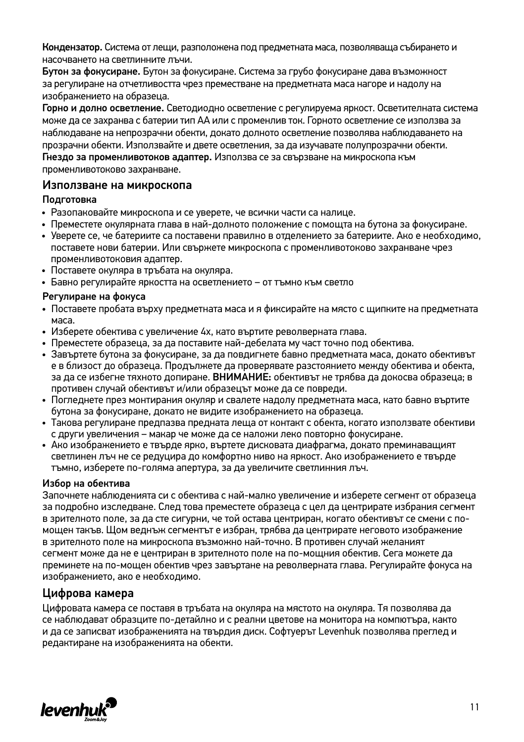Кондензатор. Система от лещи, разположена под предметната маса, позволяваща събирането и насочването на светлинните лъчи.

Бутон за фокусиране. Бутон за фокусиране. Система за грубо фокусиране дава възможност за регулиране на отчетливостта чрез преместване на предметната маса нагоре и надолу на изображението на образеца.

Горно и долно осветление. Светодиодно осветление с регулируема яркост. Осветителната система може да се захранва с батерии тип AA или с променлив ток. Горното осветление се използва за наблюдаване на непрозрачни обекти, докато долното осветление позволява наблюдаването на прозрачни обекти. Използвайте и двете осветления, за да изучавате полупрозрачни обекти. Гнездо за променливотоков адаптер. Използва се за свързване на микроскопа към променливотоково захранване.

#### Използване на микроскопа

#### Подготовка

- Разопаковайте микроскопа и се уверете, че всички части са налице.
- Преместете окулярната глава в най-долното положение с помощта на бутона за фокусиране.
- Уверете се, че батериите са поставени правилно в отделението за батериите. Ако е необходимо, поставете нови батерии. Или cвържете микроскопа с променливотоково захранване чрез променливотоковия адаптер.
- Поставете окуляра в тръбата на окуляра.
- Бавно регулирайте яркостта на осветлението от тъмно към светло

#### Регулиране на фокуса

- Поставете пробата върху предметната маса и я фиксирайте на място с шипките на предметната маса.
- Изберете обектива с увеличение 4x, като въртите револверната глава.
- Преместете образеца, за да поставите най-дебелата му част точно под обектива.
- Завъртете бутона за фокусиране, за да повдигнете бавно предметната маса, докато обективът е в близост до образеца. Продължете да проверявате разстоянието между обектива и обекта, за да се избегне тяхното допиране. ВНИМАНИЕ: обективът не трябва да докосва образеца; в противен случай обективът и/или образецът може да се повреди.
- Погледнете през монтирания окуляр и свалете надолу предметната маса, като бавно въртите бутона за фокусиране, докато не видите изображението на образеца.
- Такова регулиране предпазва предната леща от контакт с обекта, когато използвате обективи с други увеличения – макар че може да се наложи леко повторно фокусиране.
- Ако изображението е твърде ярко, въртете дисковата диафрагма, докато преминаващият светлинен лъч не се редуцира до комфортно ниво на яркост. Ако изображението е твърде тъмно, изберете по-голяма апертура, за да увеличите светлинния лъч.

#### Избор на обектива

Започнете наблюденията си с обектива с най-малко увеличение и изберете сегмент от образеца за подробно изследване. След това преместете образеца с цел да центрирате избрания сегмент в зрителното поле, за да сте сигурни, че той остава центриран, когато обективът се смени с помощен такъв. Щом веднъж сегментът е избран, трябва да центрирате неговото изображение в зрителното поле на микроскопа възможно най-точно. В противен случай желаният сегмент може да не е центриран в зрителното поле на по-мощния обектив. Сега можете да преминете на по-мощен обектив чрез завъртане на револверната глава. Регулирайте фокуса на изображението, ако е необходимо.

#### Цифрова камера

Цифровата камера се поставя в тръбата на окуляра на мястото на окуляра. Тя позволява да се наблюдават образците по-детайлно и с реални цветове на монитора на компютъра, както и да се записват изображенията на твърдия диск. Софтуерът Levenhuk позволява преглед и редактиране на изображенията на обекти.

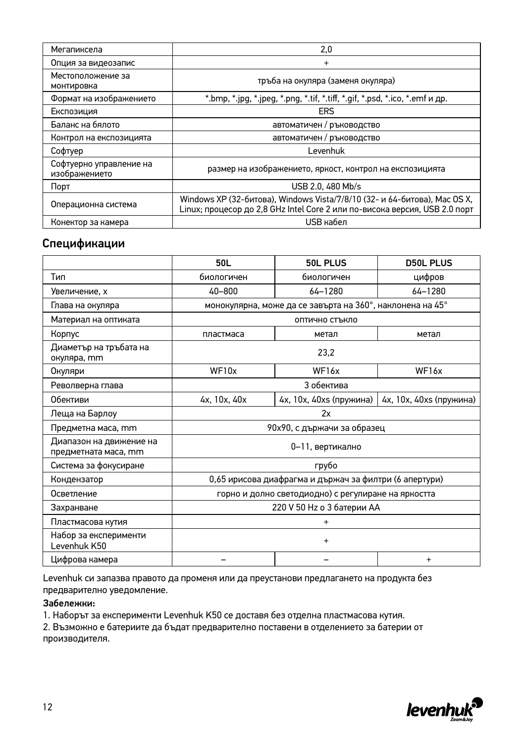| Мегапиксела                              | 2.0                                                                                                                                                     |  |  |
|------------------------------------------|---------------------------------------------------------------------------------------------------------------------------------------------------------|--|--|
| Опция за видеозапис                      | $\ddot{}$                                                                                                                                               |  |  |
| Местоположение за<br>монтировка          | тръба на окуляра (заменя окуляра)                                                                                                                       |  |  |
| Формат на изображението                  | *.bmp, *.jpg, *.jpeg, *.png, *.tif, *.tiff, *.gif, *.psd, *.ico, *.emf и др.                                                                            |  |  |
| Експозиция                               | <b>ERS</b>                                                                                                                                              |  |  |
| Баланс на бялото                         | автоматичен / ръководство                                                                                                                               |  |  |
| Контрол на експозицията                  | автоматичен / ръководство                                                                                                                               |  |  |
| Софтуер                                  | Levenhuk                                                                                                                                                |  |  |
| Софтуерно управление на<br>изображението | размер на изображението, яркост, контрол на експозицията                                                                                                |  |  |
| Порт                                     | USB 2.0, 480 Mb/s                                                                                                                                       |  |  |
| Операционна система                      | Windows XP (32-битова), Windows Vista/7/8/10 (32- и 64-битова), Mac OS X,<br>Linux; процесор до 2,8 GHz Intel Core 2 или по-висока версия, USB 2.0 порт |  |  |
| Конектор за камера                       | USB кабел                                                                                                                                               |  |  |

#### Спецификации

|                                                 | 50L                                                    | 50L PLUS                                                  | <b>D50L PLUS</b>        |
|-------------------------------------------------|--------------------------------------------------------|-----------------------------------------------------------|-------------------------|
| Тип                                             | биологичен                                             | биологичен                                                | цифров                  |
| Увеличение, х                                   | $40 - 800$                                             | 64-1280                                                   | $64 - 1280$             |
| Глава на окуляра                                |                                                        | монокулярна, може да се завърта на 360°, наклонена на 45° |                         |
| Материал на оптиката                            | оптично стъкло                                         |                                                           |                         |
| Корпус                                          | пластмаса                                              | метал                                                     | метал                   |
| Диаметър на тръбата на<br>окуляра, mm           |                                                        | 23.2                                                      |                         |
| Окуляри                                         | WF10x                                                  | WF <sub>16x</sub>                                         | WF16x                   |
| Револверна глава                                |                                                        | 3 обектива                                                |                         |
| Обективи                                        | 4x, 10x, 40x                                           | 4x, 10x, 40xs (пружина)                                   | 4х, 10х, 40хs (пружина) |
| Леща на Барлоу                                  | 2x                                                     |                                                           |                         |
| Предметна маса, mm                              | 90х90, с държачи за образец                            |                                                           |                         |
| Диапазон на движение на<br>предметната маса, mm | 0-11, вертикално                                       |                                                           |                         |
| Система за фокусиране                           | грубо                                                  |                                                           |                         |
| Кондензатор                                     | 0,65 ирисова диафрагма и държач за филтри (6 апертури) |                                                           |                         |
| Осветление                                      | горно и долно светодиодно) с регулиране на яркостта    |                                                           |                         |
| Захранване                                      | 220 V 50 Hz о 3 батерии АА                             |                                                           |                         |
| Пластмасова кутия                               | $\hbox{ }$                                             |                                                           |                         |
| Набор за експерименти<br>Levenhuk K50           | $\ddot{}$                                              |                                                           |                         |
| Цифрова камера                                  | $\ddot{}$                                              |                                                           |                         |

Levenhuk си запазва правото да променя или да преустанови предлагането на продукта без предварително уведомление.

#### Забележки:

1. Наборът за експерименти Levenhuk K50 се доставя без отделна пластмасова кутия.

2. Възможно е батериите да бъдат предварително поставени в отделението за батерии от производителя.

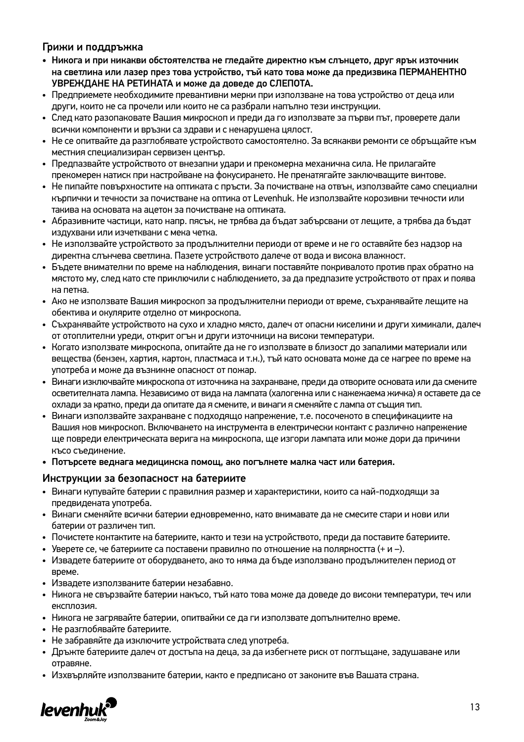#### Грижи и поддръжка

- Никога и при никакви обстоятелства не гледайте директно към слънцето, друг ярък източник на светлина или лазер през това устройство, тъй като това може да предизвика ПЕРМАНЕНТНО УВРЕЖДАНЕ НА РЕТИНАТА и може да доведе до СЛЕПОТА.
- Предприемете необходимите превантивни мерки при използване на това устройство от деца или други, които не са прочели или които не са разбрали напълно тези инструкции.
- След като разопаковате Вашия микроскоп и преди да го използвате за първи път, проверете дали всички компоненти и връзки са здрави и с ненарушена цялост.
- Не се опитвайте да разглобявате устройството самостоятелно. За всякакви ремонти се обръщайте към местния специализиран сервизен център.
- Предпазвайте устройството от внезапни удари и прекомерна механична сила. Не прилагайте прекомерен натиск при настройване на фокусирането. Не пренатягайте заключващите винтове.
- Не пипайте повърхностите на оптиката с пръсти. За почистване на отвън, използвайте само специални кърпички и течности за почистване на оптика от Levenhuk. Не използвайте корозивни течности или такива на основата на ацетон за почистване на оптиката.
- Абразивните частици, като напр. пясък, не трябва да бъдат забърсвани от лещите, а трябва да бъдат издухвани или изчетквани с мека четка.
- Не използвайте устройството за продължителни периоди от време и не го оставяйте без надзор на директна слънчева светлина. Пазете устройството далече от вода и висока влажност.
- Бъдете внимателни по време на наблюдения, винаги поставяйте покривалото против прах обратно на мястото му, след като сте приключили с наблюдението, за да предпазите устройството от прах и поява на петна.
- Ако не използвате Вашия микроскоп за продължителни периоди от време, съхранявайте лещите на обектива и окулярите отделно от микроскопа.
- Съхранявайте устройството на сухо и хладно място, далеч от опасни киселини и други химикали, далеч от отоплителни уреди, открит огън и други източници на високи температури.
- Когато използвате микроскопа, опитайте да не го използвате в близост до запалими материали или вещества (бензен, хартия, картон, пластмаса и т.н.), тъй като основата може да се нагрее по време на употреба и може да възникне опасност от пожар.
- Винаги изключвайте микроскопа от източника на захранване, преди да отворите основата или да смените осветителната лампа. Независимо от вида на лампата (халогенна или с нажежаема жичка) я оставете да се охлади за кратко, преди да опитате да я смените, и винаги я сменяйте с лампа от същия тип.
- Винаги използвайте захранване с подходящо напрежение, т.е. посоченото в спецификациите на Вашия нов микроскоп. Включването на инструмента в електрически контакт с различно напрежение ще повреди електрическата верига на микроскопа, ще изгори лампата или може дори да причини късо съединение.
- Потърсете веднага медицинска помощ, ако погълнете малка част или батерия.

#### Инструкции за безопасност на батериите

- Винаги купувайте батерии с правилния размер и характеристики, които са най-подходящи за предвидената употреба.
- Винаги сменяйте всички батерии едновременно, като внимавате да не смесите стари и нови или батерии от различен тип.
- Почистете контактите на батериите, както и тези на устройството, преди да поставите батериите.
- Уверете се, че батериите са поставени правилно по отношение на полярността  $(+ \nu -)$ .
- Извадете батериите от оборудването, ако то няма да бъде използвано продължителен период от време.
- Извадете използваните батерии незабавно.
- Никога не свързвайте батерии накъсо, тъй като това може да доведе до високи температури, теч или експлозия.
- Никога не загрявайте батерии, опитвайки се да ги използвате допълнително време.
- Не разглобявайте батериите.
- Не забравяйте да изключите устройствата след употреба.
- Дръжте батериите далеч от достъпа на деца, за да избегнете риск от поглъщане, задушаване или отравяне.
- Изхвърляйте използваните батерии, както е предписано от законите във Вашата страна.

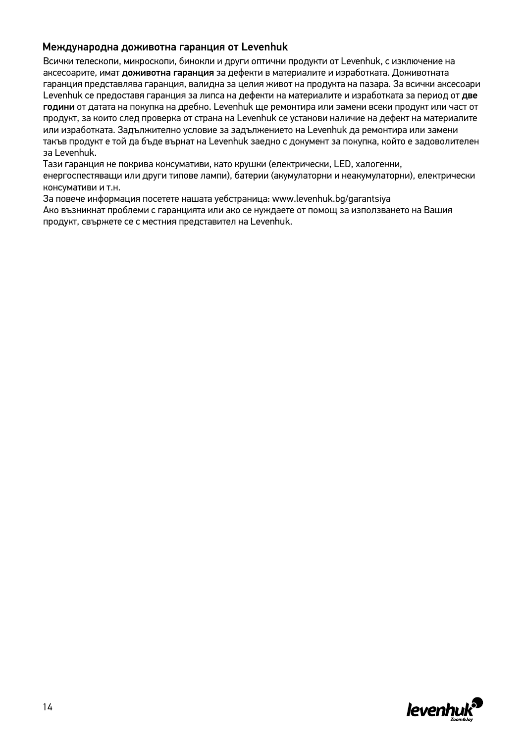#### Международна доживотна гаранция от Levenhuk

Всички телескопи, микроскопи, бинокли и други оптични продукти от Levenhuk, с изключение на аксесоарите, имат доживотна гаранция за дефекти в материалите и изработката. Доживотната гаранция представлява гаранция, валидна за целия живот на продукта на пазара. За всички аксесоари Levenhuk се предоставя гаранция за липса на дефекти на материалите и изработката за период от две години от датата на покупка на дребно. Levenhuk ще ремонтира или замени всеки продукт или част от продукт, за които след проверка от страна на Levenhuk се установи наличие на дефект на материалите или изработката. Задължително условие за задължението на Levenhuk да ремонтира или замени такъв продукт е той да бъде върнат на Levenhuk заедно с документ за покупка, който е задоволителен за Levenhuk.

Тази гаранция не покрива консумативи, като крушки (електрически, LED, халогенни,

енергоспестяващи или други типове лампи), батерии (акумулаторни и неакумулаторни), електрически консумативи и т.н.

За повече информация посетете нашата уебстраница: www.levenhuk.bg/garantsiya Ако възникнат проблеми с гаранцията или ако се нуждаете от помощ за използването на Вашия продукт, свържете се с местния представител на Levenhuk.

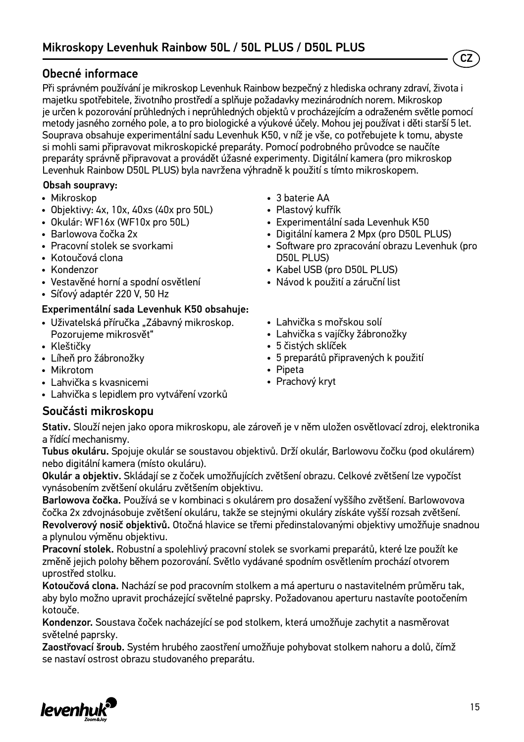### Obecné informace

Při správném používání je mikroskop Levenhuk Rainbow bezpečný z hlediska ochrany zdraví, života i majetku spotřebitele, životního prostředí a splňuje požadavky mezinárodních norem. Mikroskop je určen k pozorování průhledných i neprůhledných objektů v procházejícím a odraženém světle pomocí metody jasného zorného pole, a to pro biologické a výukové účely. Mohou jej používat i děti starší 5 let. Souprava obsahuje experimentální sadu Levenhuk K50, v níž je vše, co potřebujete k tomu, abyste si mohli sami připravovat mikroskopické preparáty. Pomocí podrobného průvodce se naučíte preparáty správně připravovat a provádět úžasné experimenty. Digitální kamera (pro mikroskop Levenhuk Rainbow D50L PLUS) byla navržena výhradně k použití s tímto mikroskopem.

#### Obsah soupravy:

- Mikroskop
- Objektivy: 4x, 10x, 40xs (40x pro 50L)
- Okulár: WF16х (WF10x pro 50L)
- Barlowova čočka 2x
- Pracovní stolek se svorkami
- Kotoučová clona
- Kondenzor
- Vestavěné horní a spodní osvětlení
- Síťový adaptér 220 V, 50 Hz

#### Experimentální sada Levenhuk K50 obsahuje:

- Uživatelská příručka "Zábavný mikroskop. Pozorujeme mikrosvět"
- Kleštičky
- Líheň pro žábronožky
- Mikrotom
- Lahvička s kvasnicemi
- Lahvička s lepidlem pro vytváření vzorků

#### Součásti mikroskopu

- 3 baterie AA
- Plastový kufřík
- Experimentální sada Levenhuk K50
- Digitální kamera 2 Mpx (pro D50L PLUS)
- Software pro zpracování obrazu Levenhuk (pro D50L PLUS)

CZ

- Kabel USB (pro D50L PLUS)
- Návod k použití a záruční list
- Lahvička s mořskou solí
- Lahvička s vajíčky žábronožky
- 5 čistých sklíček
- 5 preparátů připravených k použití
- Pipeta
- Prachový kryt

Stativ. Slouží nejen jako opora mikroskopu, ale zároveň je v něm uložen osvětlovací zdroj, elektronika a řídící mechanismy.

Tubus okuláru. Spojuje okulár se soustavou objektivů. Drží okulár, Barlowovu čočku (pod okulárem) nebo digitální kamera (místo okuláru).

Okulár a objektiv. Skládají se z čoček umožňujících zvětšení obrazu. Celkové zvětšení lze vypočíst vynásobením zvětšení okuláru zvětšením objektivu.

Barlowova čočka. Používá se v kombinaci s okulárem pro dosažení vyššího zvětšení. Barlowovova čočka 2x zdvojnásobuje zvětšení okuláru, takže se stejnými okuláry získáte vyšší rozsah zvětšení. Revolverový nosič objektivů. Otočná hlavice se třemi předinstalovanými objektivy umožňuje snadnou a plynulou výměnu objektivu.

Pracovní stolek. Robustní a spolehlivý pracovní stolek se svorkami preparátů, které lze použít ke změně jejich polohy během pozorování. Světlo vydávané spodním osvětlením prochází otvorem uprostřed stolku.

Kotoučová clona. Nachází se pod pracovním stolkem a má aperturu o nastavitelném průměru tak, aby bylo možno upravit procházející světelné paprsky. Požadovanou aperturu nastavíte pootočením kotouče.

Kondenzor. Soustava čoček nacházející se pod stolkem, která umožňuje zachytit a nasměrovat světelné paprsky.

Zaostřovací šroub. Systém hrubého zaostření umožňuje pohybovat stolkem nahoru a dolů, čímž se nastaví ostrost obrazu studovaného preparátu.

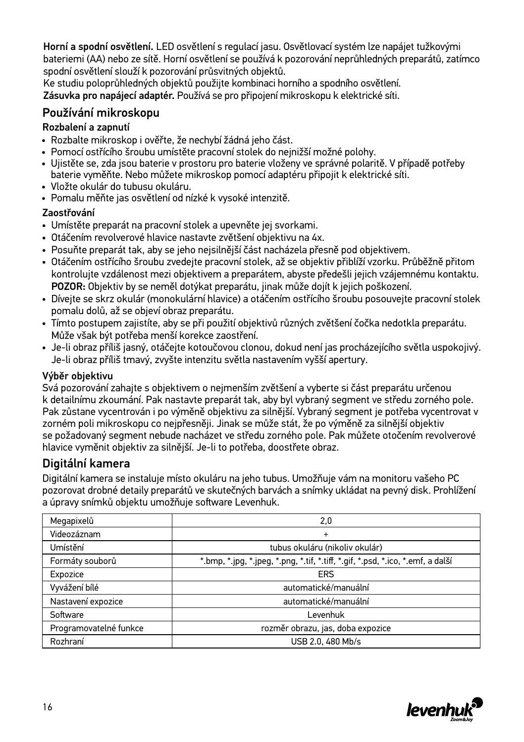Horní a spodní osvětlení. LED osvětlení s regulací jasu. Osvětlovací systém lze napájet tužkovými bateriemi (AA) nebo ze sítě. Horní osvětlení se používá k pozorování neprůhledných preparátů, zatímco spodní osvětlení slouží k pozorování průsvitných objektů.

Ke studiu poloprůhledných objektů použijte kombinaci horního a spodního osvětlení. Zásuvka pro napájecí adaptér. Používá se pro připojení mikroskopu k elektrické síti.

### Používání mikroskopu

#### Rozbalení a zapnutí

- Rozbalte mikroskop i ověřte, že nechybí žádná jeho část.
- Pomocí ostřícího šroubu umístěte pracovní stolek do nejnižší možné polohy.
- Ujistěte se, zda jsou baterie v prostoru pro baterie vloženy ve správné polaritě. V případě potřeby baterie vyměňte. Nebo můžete mikroskop pomocí adaptéru připojit k elektrické síti.
- Vložte okulár do tubusu okuláru.
- Pomalu měňte jas osvětlení od nízké k vysoké intenzitě.

#### Zaostřování

- Umístěte preparát na pracovní stolek a upevněte jej svorkami.
- Otáčením revolverové hlavice nastavte zvětšení objektivu na 4x.
- Posuňte preparát tak, aby se jeho nejsilnější část nacházela přesně pod objektivem.
- Otáčením ostřícího šroubu zvedejte pracovní stolek, až se objektiv přiblíží vzorku. Průběžně přitom kontrolujte vzdálenost mezi objektivem a preparátem, abyste předešli jejich vzájemnému kontaktu. POZOR: Objektiv by se neměl dotýkat preparátu, jinak může dojít k jejich poškození.
- Dívejte se skrz okulár (monokulární hlavice) a otáčením ostřícího šroubu posouvejte pracovní stolek pomalu dolů, až se objeví obraz preparátu.
- Tímto postupem zajistíte, aby se při použití objektivů různých zvětšení čočka nedotkla preparátu. Může však být potřeba menší korekce zaostření.
- Je-li obraz příliš jasný, otáčejte kotoučovou clonou, dokud není jas procházejícího světla uspokojivý. Je-li obraz příliš tmavý, zvyšte intenzitu světla nastavením vyšší apertury.

#### Výběr objektivu

Svá pozorování zahajte s objektivem o nejmenším zvětšení a vyberte si část preparátu určenou k detailnímu zkoumání. Pak nastavte preparát tak, aby byl vybraný segment ve středu zorného pole. Pak zůstane vycentrován i po výměně objektivu za silnější. Vybraný segment je potřeba vycentrovat v zorném poli mikroskopu co nejpřesněji. Jinak se může stát, že po výměně za silnější objektiv se požadovaný segment nebude nacházet ve středu zorného pole. Pak můžete otočením revolverové hlavice vyměnit objektiv za silnější. Je-li to potřeba, doostřete obraz.

### Digitální kamera

Digitální kamera se instaluje místo okuláru na jeho tubus. Umožňuje vám na monitoru vašeho PC pozorovat drobné detaily preparátů ve skutečných barvách a snímky ukládat na pevný disk. Prohlížení a úpravy snímků objektu umožňuje software Levenhuk.

| Megapixelů             | 2,0                                                                             |  |
|------------------------|---------------------------------------------------------------------------------|--|
| Videozáznam            | $\ddot{}$                                                                       |  |
| Umístění               | tubus okuláru (nikoliv okulár)                                                  |  |
| Formáty souborů        | *.bmp, *.jpg, *.jpeg, *.png, *.tif, *.tiff, *.gif, *.psd, *.ico, *.emf, a další |  |
| Expozice               | <b>ERS</b>                                                                      |  |
| Vyvážení bílé          | automatické/manuální                                                            |  |
| Nastavení expozice     | automatické/manuální                                                            |  |
| Software               | Levenhuk                                                                        |  |
| Programovatelné funkce | rozměr obrazu, jas, doba expozice                                               |  |
| Rozhraní               | USB 2.0, 480 Mb/s                                                               |  |

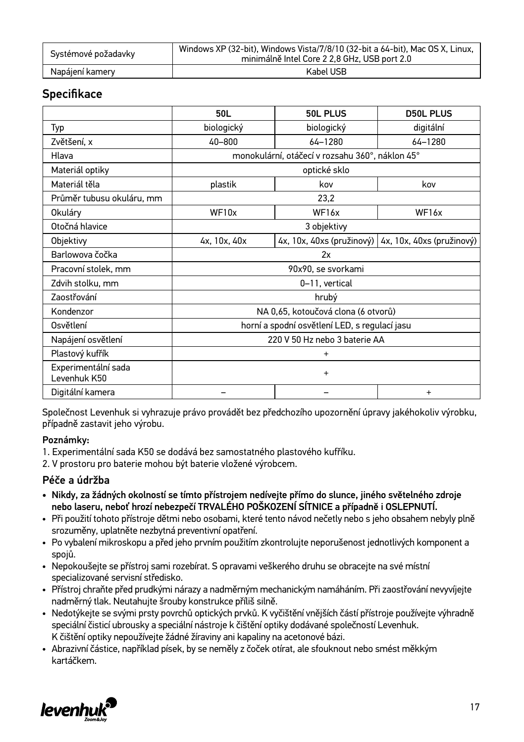| Systémové požadavky | Windows XP (32-bit), Windows Vista/7/8/10 (32-bit a 64-bit), Mac OS X, Linux,<br>minimálně Intel Core 2 2.8 GHz. USB port 2.0 |  |
|---------------------|-------------------------------------------------------------------------------------------------------------------------------|--|
| Napájení kamery     | Kabel USB                                                                                                                     |  |

### **Specifikace**

|                                     | 50L                                           | 50L PLUS                                        | <b>D50L PLUS</b>          |
|-------------------------------------|-----------------------------------------------|-------------------------------------------------|---------------------------|
| Typ                                 | biologický                                    | biologický                                      | digitální                 |
| Zvětšení, x                         | 40-800                                        | 64-1280                                         | 64-1280                   |
| Hlava                               |                                               | monokulární, otáčecí v rozsahu 360°, náklon 45° |                           |
| Materiál optiky                     |                                               | optické sklo                                    |                           |
| Materiál těla                       | plastik                                       | kov                                             | kov                       |
| Průměr tubusu okuláru, mm           |                                               | 23,2                                            |                           |
| Okuláry                             | WF10x                                         | WF16x                                           | WF <sub>16x</sub>         |
| Otočná hlavice                      | 3 objektivy                                   |                                                 |                           |
| Objektivy                           | 4x, 10x, 40x                                  | 4x, 10x, 40xs (pružinový)                       | 4x, 10x, 40xs (pružinový) |
| Barlowova čočka                     | 2x                                            |                                                 |                           |
| Pracovní stolek, mm                 | 90x90, se svorkami                            |                                                 |                           |
| Zdvih stolku, mm                    | 0-11, vertical                                |                                                 |                           |
| Zaostřování                         | hrubý                                         |                                                 |                           |
| Kondenzor                           | NA 0,65, kotoučová clona (6 otvorů)           |                                                 |                           |
| Osvětlení                           | horní a spodní osvětlení LED, s regulací jasu |                                                 |                           |
| Napájení osvětlení                  |                                               | 220 V 50 Hz nebo 3 baterie AA                   |                           |
| Plastový kufřík                     | $\hbox{ }$                                    |                                                 |                           |
| Experimentální sada<br>Levenhuk K50 | $\ddot{}$                                     |                                                 |                           |
| Digitální kamera                    | $\ddot{}$                                     |                                                 |                           |

Společnost Levenhuk si vyhrazuje právo provádět bez předchozího upozornění úpravy jakéhokoliv výrobku, případně zastavit jeho výrobu.

#### Poznámky:

1. Experimentální sada K50 se dodává bez samostatného plastového kufříku.

2. V prostoru pro baterie mohou být baterie vložené výrobcem.

#### Péče a údržba

- Nikdy, za žádných okolností se tímto přístrojem nedívejte přímo do slunce, jiného světelného zdroje nebo laseru, neboť hrozí nebezpečí TRVALÉHO POŠKOZENÍ SÍTNICE a případně i OSLEPNUTÍ.
- Při použití tohoto přístroje dětmi nebo osobami, které tento návod nečetly nebo s jeho obsahem nebyly plně srozuměny, uplatněte nezbytná preventivní opatření.
- Po vybalení mikroskopu a před jeho prvním použitím zkontrolujte neporušenost jednotlivých komponent a spojů.
- Nepokoušejte se přístroj sami rozebírat. S opravami veškerého druhu se obracejte na své místní specializované servisní středisko.
- Přístroj chraňte před prudkými nárazy a nadměrným mechanickým namáháním. Při zaostřování nevyvíjejte nadměrný tlak. Neutahujte šrouby konstrukce příliš silně.
- Nedotýkejte se svými prsty povrchů optických prvků. K vyčištění vnějších částí přístroje používejte výhradně speciální čisticí ubrousky a speciální nástroje k čištění optiky dodávané společností Levenhuk. K čištění optiky nepoužívejte žádné žíraviny ani kapaliny na acetonové bázi.
- Abrazivní částice, například písek, by se neměly z čoček otírat, ale sfouknout nebo smést měkkým kartáčkem.

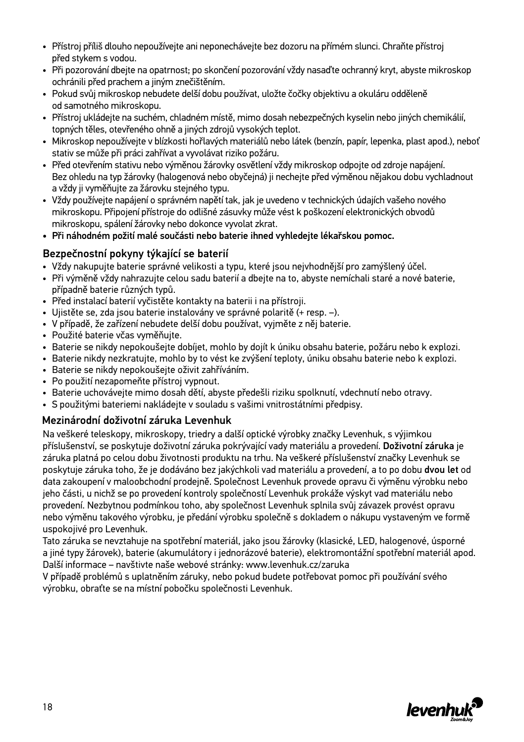- Přístroj příliš dlouho nepoužívejte ani neponechávejte bez dozoru na přímém slunci. Chraňte přístroj před stykem s vodou.
- Při pozorování dbejte na opatrnost; po skončení pozorování vždy nasaďte ochranný kryt, abyste mikroskop ochránili před prachem a jiným znečištěním.
- Pokud svůj mikroskop nebudete delší dobu používat, uložte čočky objektivu a okuláru odděleně od samotného mikroskopu.
- Přístroj ukládejte na suchém, chladném místě, mimo dosah nebezpečných kyselin nebo jiných chemikálií, topných těles, otevřeného ohně a jiných zdrojů vysokých teplot.
- Mikroskop nepoužívejte v blízkosti hořlavých materiálů nebo látek (benzín, papír, lepenka, plast apod.), neboť stativ se může při práci zahřívat a vyvolávat riziko požáru.
- Před otevřením stativu nebo výměnou žárovky osvětlení vždy mikroskop odpojte od zdroje napájení. Bez ohledu na typ žárovky (halogenová nebo obyčejná) ji nechejte před výměnou nějakou dobu vychladnout a vždy ji vyměňujte za žárovku stejného typu.
- Vždy používejte napájení o správném napětí tak, jak je uvedeno v technických údajích vašeho nového mikroskopu. Připojení přístroje do odlišné zásuvky může vést k poškození elektronických obvodů mikroskopu, spálení žárovky nebo dokonce vyvolat zkrat.
- Při náhodném požití malé součásti nebo baterie ihned vyhledejte lékařskou pomoc.

#### Bezpečnostní pokyny týkající se baterií

- Vždy nakupujte baterie správné velikosti a typu, které jsou nejvhodnější pro zamýšlený účel.
- Při výměně vždy nahrazujte celou sadu baterií a dbejte na to, abyste nemíchali staré a nové baterie, případně baterie různých typů.
- Před instalací baterií vyčistěte kontakty na baterii i na přístroji.
- Ujistěte se, zda jsou baterie instalovány ve správné polaritě (+ resp. –).
- V případě, že zařízení nebudete delší dobu používat, vyjměte z něj baterie.
- Použité baterie včas vyměňujte.
- Baterie se nikdy nepokoušejte dobíjet, mohlo by dojít k úniku obsahu baterie, požáru nebo k explozi.
- Baterie nikdy nezkratujte, mohlo by to vést ke zvýšení teploty, úniku obsahu baterie nebo k explozi.
- Baterie se nikdy nepokoušejte oživit zahříváním.
- Po použití nezapomeňte přístroj vypnout.
- Baterie uchovávejte mimo dosah dětí, abyste předešli riziku spolknutí, vdechnutí nebo otravy.
- S použitými bateriemi nakládejte v souladu s vašimi vnitrostátními předpisy.

#### Mezinárodní doživotní záruka Levenhuk

Na veškeré teleskopy, mikroskopy, triedry a další optické výrobky značky Levenhuk, s výjimkou příslušenství, se poskytuje doživotní záruka pokrývající vady materiálu a provedení. Doživotní záruka je záruka platná po celou dobu životnosti produktu na trhu. Na veškeré příslušenství značky Levenhuk se poskytuje záruka toho, že je dodáváno bez jakýchkoli vad materiálu a provedení, a to po dobu dvou let od data zakoupení v maloobchodní prodejně. Společnost Levenhuk provede opravu či výměnu výrobku nebo jeho části, u nichž se po provedení kontroly společností Levenhuk prokáže výskyt vad materiálu nebo provedení. Nezbytnou podmínkou toho, aby společnost Levenhuk splnila svůj závazek provést opravu nebo výměnu takového výrobku, je předání výrobku společně s dokladem o nákupu vystaveným ve formě uspokojivé pro Levenhuk.

Tato záruka se nevztahuje na spotřební materiál, jako jsou žárovky (klasické, LED, halogenové, úsporné a jiné typy žárovek), baterie (akumulátory i jednorázové baterie), elektromontážní spotřební materiál apod. Další informace – navštivte naše webové stránky: www.levenhuk.cz/zaruka

V případě problémů s uplatněním záruky, nebo pokud budete potřebovat pomoc při používání svého výrobku, obraťte se na místní pobočku společnosti Levenhuk.

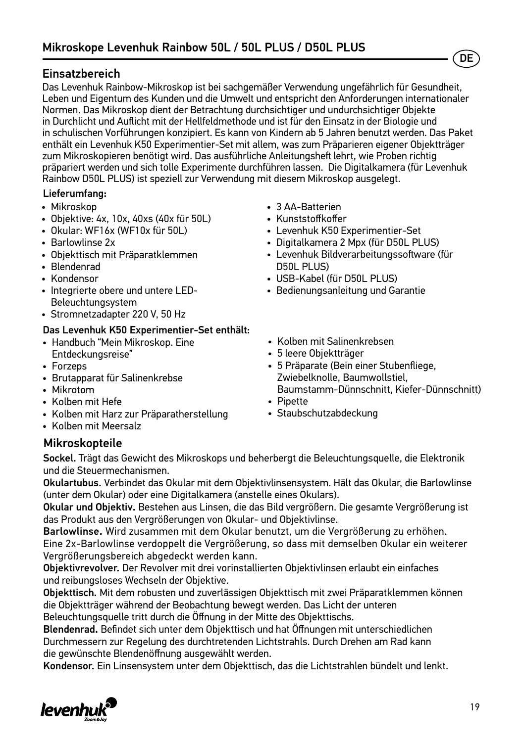### Einsatzbereich

Das Levenhuk Rainbow-Mikroskop ist bei sachgemäßer Verwendung ungefährlich für Gesundheit, Leben und Eigentum des Kunden und die Umwelt und entspricht den Anforderungen internationaler Normen. Das Mikroskop dient der Betrachtung durchsichtiger und undurchsichtiger Objekte in Durchlicht und Auflicht mit der Hellfeldmethode und ist für den Einsatz in der Biologie und in schulischen Vorführungen konzipiert. Es kann von Kindern ab 5 Jahren benutzt werden. Das Paket enthält ein Levenhuk K50 Experimentier-Set mit allem, was zum Präparieren eigener Objektträger zum Mikroskopieren benötigt wird. Das ausführliche Anleitungsheft lehrt, wie Proben richtig präpariert werden und sich tolle Experimente durchführen lassen. Die Digitalkamera (für Levenhuk Rainbow D50L PLUS) ist speziell zur Verwendung mit diesem Mikroskop ausgelegt.

#### Lieferumfang:

- Mikroskop
- Objektive: 4х, 10х, 40хs (40x für 50L)
- Okular: WF16х (WF10x für 50L)
- Barlowlinse 2x
- Objekttisch mit Präparatklemmen
- Blendenrad
- Kondensor
- Integrierte obere und untere LED-Beleuchtungsystem
- Stromnetzadapter 220 V, 50 Hz

#### Das Levenhuk K50 Experimentier-Set enthält:

- Handbuch "Mein Mikroskop. Eine Entdeckungsreise"
- Forzeps
- Brutapparat für Salinenkrebse
- Mikrotom
- Kolben mit Hefe
- Kolben mit Harz zur Präparatherstellung
- Kolben mit Meersalz
- 3 AA-Batterien
- Kunststoffkoffer
- Levenhuk K50 Experimentier-Set
- Digitalkamera 2 Mpx (für D50L PLUS)
- Levenhuk Bildverarbeitungssoftware (für D50L PLUS)
- USB-Kabel (für D50L PLUS)
- Bedienungsanleitung und Garantie
- Kolben mit Salinenkrebsen
- 5 leere Objektträger
- 5 Präparate (Bein einer Stubenfliege, Zwiebelknolle, Baumwollstiel, Baumstamm-Dünnschnitt, Kiefer-Dünnschnitt)
- Pipette
- Staubschutzabdeckung

### Mikroskopteile

Sockel. Trägt das Gewicht des Mikroskops und beherbergt die Beleuchtungsquelle, die Elektronik und die Steuermechanismen.

Okulartubus. Verbindet das Okular mit dem Objektivlinsensystem. Hält das Okular, die Barlowlinse (unter dem Okular) oder eine Digitalkamera (anstelle eines Okulars).

Okular und Objektiv. Bestehen aus Linsen, die das Bild vergrößern. Die gesamte Vergrößerung ist das Produkt aus den Vergrößerungen von Okular- und Objektivlinse.

Barlowlinse. Wird zusammen mit dem Okular benutzt, um die Vergrößerung zu erhöhen. Eine 2x-Barlowlinse verdoppelt die Vergrößerung, so dass mit demselben Okular ein weiterer Vergrößerungsbereich abgedeckt werden kann.

Objektivrevolver. Der Revolver mit drei vorinstallierten Objektivlinsen erlaubt ein einfaches und reibungsloses Wechseln der Objektive.

Objekttisch. Mit dem robusten und zuverlässigen Objekttisch mit zwei Präparatklemmen können die Objektträger während der Beobachtung bewegt werden. Das Licht der unteren Beleuchtungsquelle tritt durch die Öffnung in der Mitte des Objekttischs.

Blendenrad. Befindet sich unter dem Objekttisch und hat Öffnungen mit unterschiedlichen Durchmessern zur Regelung des durchtretenden Lichtstrahls. Durch Drehen am Rad kann die gewünschte Blendenöffnung ausgewählt werden.

Kondensor. Ein Linsensystem unter dem Objekttisch, das die Lichtstrahlen bündelt und lenkt.



**DE**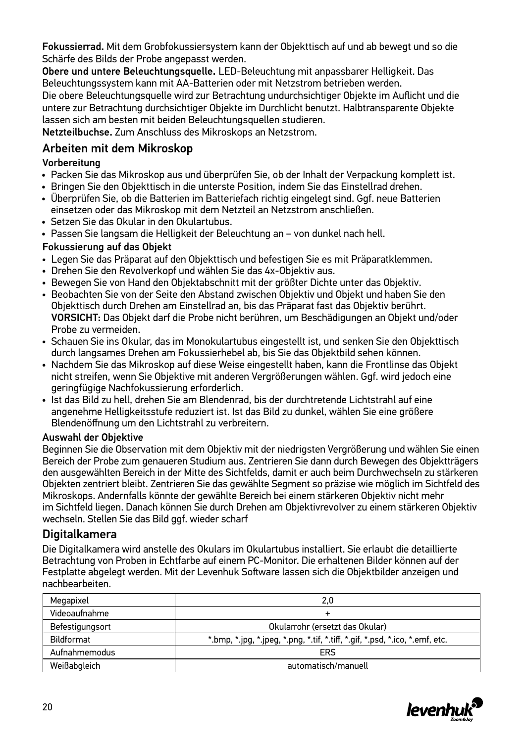Fokussierrad. Mit dem Grobfokussiersystem kann der Objekttisch auf und ab bewegt und so die Schärfe des Bilds der Probe angepasst werden.

Obere und untere Beleuchtungsquelle. LED-Beleuchtung mit anpassbarer Helligkeit. Das Beleuchtungssystem kann mit AA-Batterien oder mit Netzstrom betrieben werden.

Die obere Beleuchtungsquelle wird zur Betrachtung undurchsichtiger Objekte im Auflicht und die untere zur Betrachtung durchsichtiger Objekte im Durchlicht benutzt. Halbtransparente Objekte lassen sich am besten mit beiden Beleuchtungsquellen studieren.

Netzteilbuchse. Zum Anschluss des Mikroskops an Netzstrom.

### Arbeiten mit dem Mikroskop

#### Vorbereitung

- Packen Sie das Mikroskop aus und überprüfen Sie, ob der Inhalt der Verpackung komplett ist.
- Bringen Sie den Objekttisch in die unterste Position, indem Sie das Einstellrad drehen.
- Überprüfen Sie, ob die Batterien im Batteriefach richtig eingelegt sind. Ggf. neue Batterien einsetzen oder das Mikroskop mit dem Netzteil an Netzstrom anschließen.
- Setzen Sie das Okular in den Okulartubus.
- Passen Sie langsam die Helligkeit der Beleuchtung an von dunkel nach hell.

#### Fokussierung auf das Objekt

- Legen Sie das Präparat auf den Objekttisch und befestigen Sie es mit Präparatklemmen.
- Drehen Sie den Revolverkopf und wählen Sie das 4x-Objektiv aus.
- Bewegen Sie von Hand den Objektabschnitt mit der größter Dichte unter das Objektiv.
- Beobachten Sie von der Seite den Abstand zwischen Objektiv und Objekt und haben Sie den Objekttisch durch Drehen am Einstellrad an, bis das Präparat fast das Objektiv berührt. VORSICHT: Das Objekt darf die Probe nicht berühren, um Beschädigungen an Objekt und/oder Probe zu vermeiden.
- Schauen Sie ins Okular, das im Monokulartubus eingestellt ist, und senken Sie den Objekttisch durch langsames Drehen am Fokussierhebel ab, bis Sie das Objektbild sehen können.
- Nachdem Sie das Mikroskop auf diese Weise eingestellt haben, kann die Frontlinse das Objekt nicht streifen, wenn Sie Objektive mit anderen Vergrößerungen wählen. Ggf. wird jedoch eine geringfügige Nachfokussierung erforderlich.
- Ist das Bild zu hell, drehen Sie am Blendenrad, bis der durchtretende Lichtstrahl auf eine angenehme Helligkeitsstufe reduziert ist. Ist das Bild zu dunkel, wählen Sie eine größere Blendenöffnung um den Lichtstrahl zu verbreitern.

#### Auswahl der Objektive

Beginnen Sie die Observation mit dem Objektiv mit der niedrigsten Vergrößerung und wählen Sie einen Bereich der Probe zum genaueren Studium aus. Zentrieren Sie dann durch Bewegen des Objektträgers den ausgewählten Bereich in der Mitte des Sichtfelds, damit er auch beim Durchwechseln zu stärkeren Objekten zentriert bleibt. Zentrieren Sie das gewählte Segment so präzise wie möglich im Sichtfeld des Mikroskops. Andernfalls könnte der gewählte Bereich bei einem stärkeren Objektiv nicht mehr im Sichtfeld liegen. Danach können Sie durch Drehen am Objektivrevolver zu einem stärkeren Objektiv wechseln. Stellen Sie das Bild ggf. wieder scharf

### **Digitalkamera**

Die Digitalkamera wird anstelle des Okulars im Okulartubus installiert. Sie erlaubt die detaillierte Betrachtung von Proben in Echtfarbe auf einem PC-Monitor. Die erhaltenen Bilder können auf der Festplatte abgelegt werden. Mit der Levenhuk Software lassen sich die Objektbilder anzeigen und nachbearbeiten.

| Megapixel       | 2,0                                                                                              |  |  |
|-----------------|--------------------------------------------------------------------------------------------------|--|--|
| Videoaufnahme   | ÷                                                                                                |  |  |
| Befestigungsort | Okularrohr (ersetzt das Okular)                                                                  |  |  |
| Bildformat      | $*$ bmp, $*$ ipg, $*$ ipeg, $*$ png, $*$ tif, $*$ tiff, $*$ gif, $*$ psd, $*$ ico, $*$ emf, etc. |  |  |
| Aufnahmemodus   | ERS                                                                                              |  |  |
| Weißabgleich    | automatisch/manuell                                                                              |  |  |

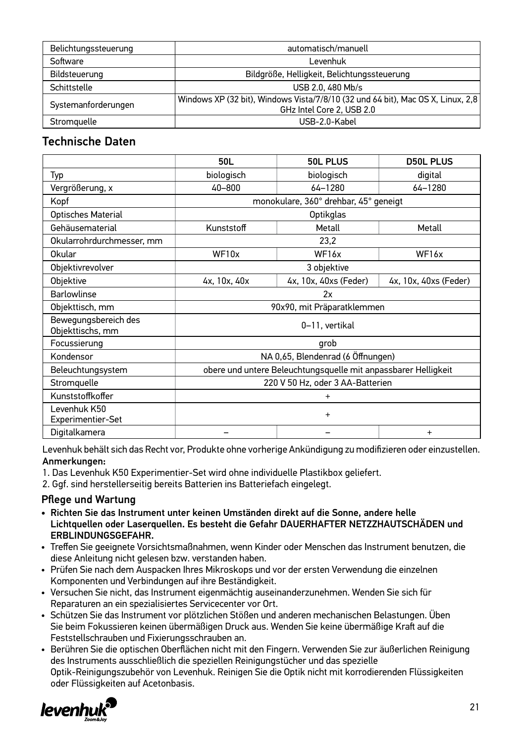| Belichtungssteuerung | automatisch/manuell                                                                                          |  |  |
|----------------------|--------------------------------------------------------------------------------------------------------------|--|--|
| Software             | I evenhuk                                                                                                    |  |  |
| Bildsteuerung        | Bildgröße, Helligkeit, Belichtungssteuerung                                                                  |  |  |
| Schittstelle         | USB 2.0, 480 Mb/s                                                                                            |  |  |
| Systemanforderungen  | Windows XP (32 bit), Windows Vista/7/8/10 (32 und 64 bit), Mac OS X, Linux, 2,8<br>GHz Intel Core 2, USB 2.0 |  |  |
| Stromauelle          | USB-2.0-Kabel                                                                                                |  |  |

### Technische Daten

|                                          | 50L                                                            | <b>50L PLUS</b>                       | <b>D50L PLUS</b>      |
|------------------------------------------|----------------------------------------------------------------|---------------------------------------|-----------------------|
| Typ                                      | biologisch                                                     | biologisch                            | digital               |
| Vergrößerung, x                          | 40-800                                                         | 64-1280                               | 64-1280               |
| Kopf                                     |                                                                | monokulare, 360° drehbar, 45° geneigt |                       |
| Optisches Material                       |                                                                | Optikglas                             |                       |
| Gehäusematerial                          | Kunststoff                                                     | Metall                                | Metall                |
| Okularrohrdurchmesser, mm                |                                                                | 23,2                                  |                       |
| Okular                                   | WF10x                                                          | WF16x                                 | WF16x                 |
| Objektivrevolver                         |                                                                | 3 objektive                           |                       |
| Objektive                                | 4x, 10x, 40x                                                   | 4x, 10x, 40xs (Feder)                 | 4x, 10x, 40xs (Feder) |
| <b>Barlowlinse</b>                       | 2x                                                             |                                       |                       |
| Objekttisch, mm                          | 90x90, mit Präparatklemmen                                     |                                       |                       |
| Bewegungsbereich des<br>Objekttischs, mm | 0-11, vertikal                                                 |                                       |                       |
| Focussierung                             | grob                                                           |                                       |                       |
| Kondensor                                | NA 0,65, Blendenrad (6 Öffnungen)                              |                                       |                       |
| Beleuchtungsystem                        | obere und untere Beleuchtungsquelle mit anpassbarer Helligkeit |                                       |                       |
| Stromquelle                              | 220 V 50 Hz, oder 3 AA-Batterien                               |                                       |                       |
| Kunststoffkoffer                         | $\ddot{}$                                                      |                                       |                       |
| Levenhuk K50<br>Experimentier-Set        | $\ddot{}$                                                      |                                       |                       |
| Digitalkamera                            |                                                                |                                       | $\ddot{}$             |

Levenhuk behält sich das Recht vor, Produkte ohne vorherige Ankündigung zu modifizieren oder einzustellen. Anmerkungen:

- 1. Das Levenhuk K50 Experimentier-Set wird ohne individuelle Plastikbox geliefert.
- 2. Ggf. sind herstellerseitig bereits Batterien ins Batteriefach eingelegt.

#### Pflege und Wartung

- Richten Sie das Instrument unter keinen Umständen direkt auf die Sonne, andere helle Lichtquellen oder Laserquellen. Es besteht die Gefahr DAUERHAFTER NETZZHAUTSCHÄDEN und ERBLINDUNGSGEFAHR.
- Treffen Sie geeignete Vorsichtsmaßnahmen, wenn Kinder oder Menschen das Instrument benutzen, die diese Anleitung nicht gelesen bzw. verstanden haben.
- Prüfen Sie nach dem Auspacken Ihres Mikroskops und vor der ersten Verwendung die einzelnen Komponenten und Verbindungen auf ihre Beständigkeit.
- Versuchen Sie nicht, das Instrument eigenmächtig auseinanderzunehmen. Wenden Sie sich für Reparaturen an ein spezialisiertes Servicecenter vor Ort.
- Schützen Sie das Instrument vor plötzlichen Stößen und anderen mechanischen Belastungen. Üben Sie beim Fokussieren keinen übermäßigen Druck aus. Wenden Sie keine übermäßige Kraft auf die Feststellschrauben und Fixierungsschrauben an.
- Berühren Sie die optischen Oberflächen nicht mit den Fingern. Verwenden Sie zur äußerlichen Reinigung des Instruments ausschließlich die speziellen Reinigungstücher und das spezielle Optik-Reinigungszubehör von Levenhuk. Reinigen Sie die Optik nicht mit korrodierenden Flüssigkeiten oder Flüssigkeiten auf Acetonbasis.

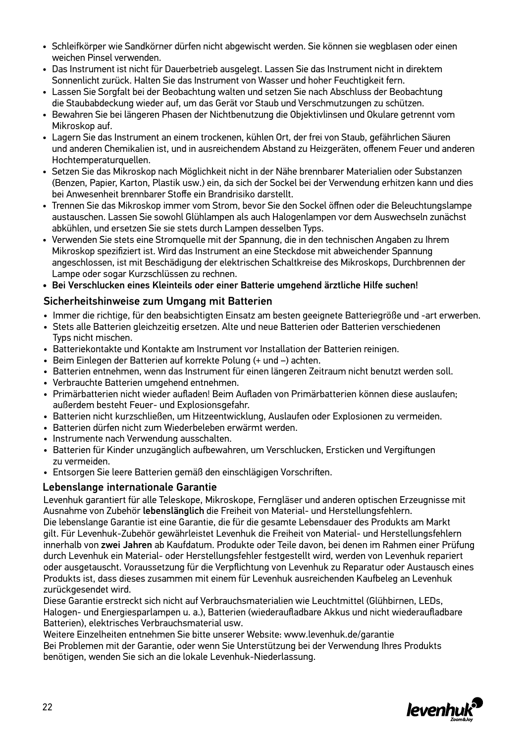- Schleifkörper wie Sandkörner dürfen nicht abgewischt werden. Sie können sie wegblasen oder einen weichen Pinsel verwenden.
- Das Instrument ist nicht für Dauerbetrieb ausgelegt. Lassen Sie das Instrument nicht in direktem Sonnenlicht zurück. Halten Sie das Instrument von Wasser und hoher Feuchtigkeit fern.
- Lassen Sie Sorgfalt bei der Beobachtung walten und setzen Sie nach Abschluss der Beobachtung die Staubabdeckung wieder auf, um das Gerät vor Staub und Verschmutzungen zu schützen.
- Bewahren Sie bei längeren Phasen der Nichtbenutzung die Objektivlinsen und Okulare getrennt vom Mikroskop auf.
- Lagern Sie das Instrument an einem trockenen, kühlen Ort, der frei von Staub, gefährlichen Säuren und anderen Chemikalien ist, und in ausreichendem Abstand zu Heizgeräten, offenem Feuer und anderen Hochtemperaturquellen.
- Setzen Sie das Mikroskop nach Möglichkeit nicht in der Nähe brennbarer Materialien oder Substanzen (Benzen, Papier, Karton, Plastik usw.) ein, da sich der Sockel bei der Verwendung erhitzen kann und dies bei Anwesenheit brennbarer Stoffe ein Brandrisiko darstellt.
- Trennen Sie das Mikroskop immer vom Strom, bevor Sie den Sockel öffnen oder die Beleuchtungslampe austauschen. Lassen Sie sowohl Glühlampen als auch Halogenlampen vor dem Auswechseln zunächst abkühlen, und ersetzen Sie sie stets durch Lampen desselben Typs.
- Verwenden Sie stets eine Stromquelle mit der Spannung, die in den technischen Angaben zu Ihrem Mikroskop spezifiziert ist. Wird das Instrument an eine Steckdose mit abweichender Spannung angeschlossen, ist mit Beschädigung der elektrischen Schaltkreise des Mikroskops, Durchbrennen der Lampe oder sogar Kurzschlüssen zu rechnen.
- Bei Verschlucken eines Kleinteils oder einer Batterie umgehend ärztliche Hilfe suchen!

#### Sicherheitshinweise zum Umgang mit Batterien

- Immer die richtige, für den beabsichtigten Einsatz am besten geeignete Batteriegröße und -art erwerben.
- Stets alle Batterien gleichzeitig ersetzen. Alte und neue Batterien oder Batterien verschiedenen Typs nicht mischen.
- Batteriekontakte und Kontakte am Instrument vor Installation der Batterien reinigen.
- Beim Einlegen der Batterien auf korrekte Polung (+ und –) achten.
- Batterien entnehmen, wenn das Instrument für einen längeren Zeitraum nicht benutzt werden soll.
- Verbrauchte Batterien umgehend entnehmen.
- Primärbatterien nicht wieder aufladen! Beim Aufladen von Primärbatterien können diese auslaufen; außerdem besteht Feuer- und Explosionsgefahr.
- Batterien nicht kurzschließen, um Hitzeentwicklung, Auslaufen oder Explosionen zu vermeiden.
- Batterien dürfen nicht zum Wiederbeleben erwärmt werden.
- Instrumente nach Verwendung ausschalten.
- Batterien für Kinder unzugänglich aufbewahren, um Verschlucken, Ersticken und Vergiftungen zu vermeiden.
- Entsorgen Sie leere Batterien gemäß den einschlägigen Vorschriften.

#### Lebenslange internationale Garantie

Levenhuk garantiert für alle Teleskope, Mikroskope, Ferngläser und anderen optischen Erzeugnisse mit Ausnahme von Zubehör lebenslänglich die Freiheit von Material- und Herstellungsfehlern.

Die lebenslange Garantie ist eine Garantie, die für die gesamte Lebensdauer des Produkts am Markt gilt. Für Levenhuk-Zubehör gewährleistet Levenhuk die Freiheit von Material- und Herstellungsfehlern innerhalb von zwei Jahren ab Kaufdatum. Produkte oder Teile davon, bei denen im Rahmen einer Prüfung durch Levenhuk ein Material- oder Herstellungsfehler festgestellt wird, werden von Levenhuk repariert oder ausgetauscht. Voraussetzung für die Verpflichtung von Levenhuk zu Reparatur oder Austausch eines Produkts ist, dass dieses zusammen mit einem für Levenhuk ausreichenden Kaufbeleg an Levenhuk zurückgesendet wird.

Diese Garantie erstreckt sich nicht auf Verbrauchsmaterialien wie Leuchtmittel (Glühbirnen, LEDs, Halogen- und Energiesparlampen u. a.), Batterien (wiederaufladbare Akkus und nicht wiederaufladbare Batterien), elektrisches Verbrauchsmaterial usw.

Weitere Einzelheiten entnehmen Sie bitte unserer Website: www.levenhuk.de/garantie Bei Problemen mit der Garantie, oder wenn Sie Unterstützung bei der Verwendung Ihres Produkts benötigen, wenden Sie sich an die lokale Levenhuk-Niederlassung.

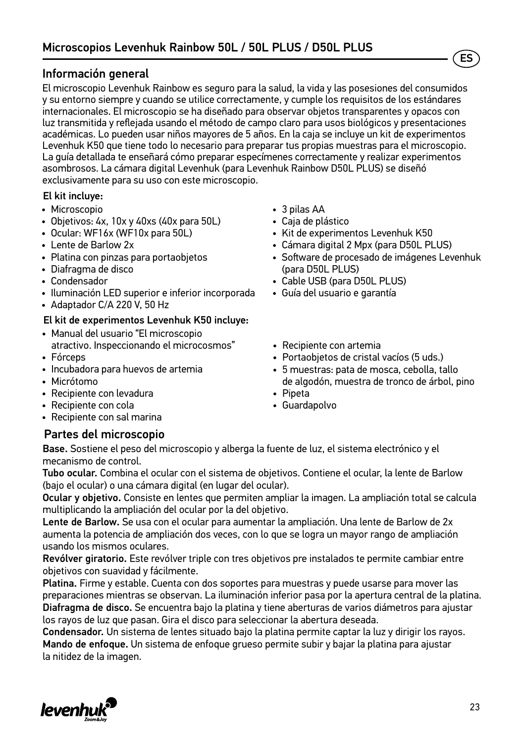#### Información general

El microscopio Levenhuk Rainbow es seguro para la salud, la vida y las posesiones del consumidos y su entorno siempre y cuando se utilice correctamente, y cumple los requisitos de los estándares internacionales. El microscopio se ha diseñado para observar objetos transparentes y opacos con luz transmitida y reflejada usando el método de campo claro para usos biológicos y presentaciones académicas. Lo pueden usar niños mayores de 5 años. En la caja se incluye un kit de experimentos Levenhuk K50 que tiene todo lo necesario para preparar tus propias muestras para el microscopio. La guía detallada te enseñará cómo preparar especímenes correctamente y realizar experimentos asombrosos. La cámara digital Levenhuk (para Levenhuk Rainbow D50L PLUS) se diseñó exclusivamente para su uso con este microscopio.

#### El kit incluye:

- Microscopio
- Objetivos: 4х, 10х y 40хs (40x para 50L)
- Ocular: WF16х (WF10x para 50L)
- Lente de Barlow 2x
- Platina con pinzas para portaobjetos
- Diafragma de disco
- Condensador
- Iluminación LED superior e inferior incorporada
- Adaptador C/A 220 V, 50 Hz

#### El kit de experimentos Levenhuk K50 incluye:

- Manual del usuario "El microscopio atractivo. Inspeccionando el microcosmos"
- Fórceps
- Incubadora para huevos de artemia
- Micrótomo
- Recipiente con levadura
- Recipiente con cola
- Recipiente con sal marina
- 3 pilas AA
- Caja de plástico
- Kit de experimentos Levenhuk K50
- Cámara digital 2 Mpx (para D50L PLUS)
- Software de procesado de imágenes Levenhuk (para D50L PLUS)

ES

- Cable USB (para D50L PLUS)
- Guía del usuario e garantía
- Recipiente con artemia
- Portaobjetos de cristal vacíos (5 uds.)
- 5 muestras: pata de mosca, cebolla, tallo de algodón, muestra de tronco de árbol, pino
- Pipeta
- Guardapolvo

#### Partes del microscopio

Base. Sostiene el peso del microscopio y alberga la fuente de luz, el sistema electrónico y el mecanismo de control.

Tubo ocular. Combina el ocular con el sistema de objetivos. Contiene el ocular, la lente de Barlow (bajo el ocular) o una cámara digital (en lugar del ocular).

Ocular y objetivo. Consiste en lentes que permiten ampliar la imagen. La ampliación total se calcula multiplicando la ampliación del ocular por la del objetivo.

Lente de Barlow. Se usa con el ocular para aumentar la ampliación. Una lente de Barlow de 2x aumenta la potencia de ampliación dos veces, con lo que se logra un mayor rango de ampliación usando los mismos oculares.

Revólver giratorio. Este revólver triple con tres objetivos pre instalados te permite cambiar entre objetivos con suavidad y fácilmente.

Platina. Firme y estable. Cuenta con dos soportes para muestras y puede usarse para mover las preparaciones mientras se observan. La iluminación inferior pasa por la apertura central de la platina. Diafragma de disco. Se encuentra bajo la platina y tiene aberturas de varios diámetros para ajustar los rayos de luz que pasan. Gira el disco para seleccionar la abertura deseada.

Condensador. Un sistema de lentes situado bajo la platina permite captar la luz y dirigir los rayos. Mando de enfoque. Un sistema de enfoque grueso permite subir y bajar la platina para ajustar la nitidez de la imagen.

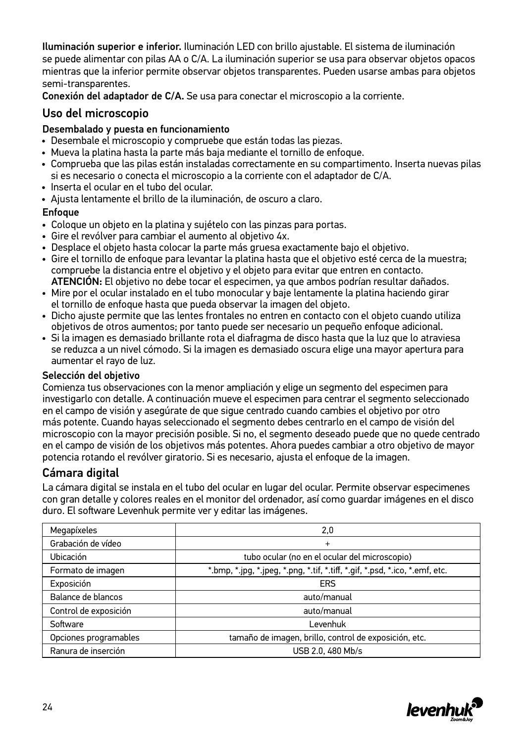Iluminación superior e inferior. Iluminación LED con brillo ajustable. El sistema de iluminación se puede alimentar con pilas AA o C/A. La iluminación superior se usa para observar objetos opacos mientras que la inferior permite observar objetos transparentes. Pueden usarse ambas para objetos semi-transparentes.

Conexión del adaptador de C/A. Se usa para conectar el microscopio a la corriente.

#### Uso del microscopio

#### Desembalado y puesta en funcionamiento

- Desembale el microscopio y compruebe que están todas las piezas.
- Mueva la platina hasta la parte más baja mediante el tornillo de enfoque.
- Comprueba que las pilas están instaladas correctamente en su compartimento. Inserta nuevas pilas si es necesario o conecta el microscopio a la corriente con el adaptador de C/A.
- Inserta el ocular en el tubo del ocular.
- Ajusta lentamente el brillo de la iluminación, de oscuro a claro.

#### **Enfoque**

- Coloque un objeto en la platina y sujételo con las pinzas para portas.
- Gire el revólver para cambiar el aumento al objetivo 4x.
- Desplace el objeto hasta colocar la parte más gruesa exactamente bajo el objetivo.
- Gire el tornillo de enfoque para levantar la platina hasta que el objetivo esté cerca de la muestra; compruebe la distancia entre el objetivo y el objeto para evitar que entren en contacto. ATENCIÓN: El objetivo no debe tocar el especimen, ya que ambos podrían resultar dañados.
- Mire por el ocular instalado en el tubo monocular y baje lentamente la platina haciendo girar el tornillo de enfoque hasta que pueda observar la imagen del objeto.
- Dicho ajuste permite que las lentes frontales no entren en contacto con el objeto cuando utiliza objetivos de otros aumentos; por tanto puede ser necesario un pequeño enfoque adicional.
- Si la imagen es demasiado brillante rota el diafragma de disco hasta que la luz que lo atraviesa se reduzca a un nivel cómodo. Si la imagen es demasiado oscura elige una mayor apertura para aumentar el rayo de luz.

#### Selección del objetivo

Comienza tus observaciones con la menor ampliación y elige un segmento del especimen para investigarlo con detalle. A continuación mueve el especimen para centrar el segmento seleccionado en el campo de visión y asegúrate de que sigue centrado cuando cambies el objetivo por otro más potente. Cuando hayas seleccionado el segmento debes centrarlo en el campo de visión del microscopio con la mayor precisión posible. Si no, el segmento deseado puede que no quede centrado en el campo de visión de los objetivos más potentes. Ahora puedes cambiar a otro objetivo de mayor potencia rotando el revólver giratorio. Si es necesario, ajusta el enfoque de la imagen.

### Cámara digital

La cámara digital se instala en el tubo del ocular en lugar del ocular. Permite observar especimenes con gran detalle y colores reales en el monitor del ordenador, así como guardar imágenes en el disco duro. El software Levenhuk permite ver y editar las imágenes.

| Megapíxeles           | 2,0                                                                          |  |  |
|-----------------------|------------------------------------------------------------------------------|--|--|
| Grabación de vídeo    | $\ddot{}$                                                                    |  |  |
| Ubicación             | tubo ocular (no en el ocular del microscopio)                                |  |  |
| Formato de imagen     | *.bmp, *.jpg, *.jpeg, *.png, *.tif, *.tiff, *.gif, *.psd, *.ico, *.emf, etc. |  |  |
| Exposición            | ERS                                                                          |  |  |
| Balance de blancos    | auto/manual                                                                  |  |  |
| Control de exposición | auto/manual                                                                  |  |  |
| Software              | Levenhuk                                                                     |  |  |
| Opciones programables | tamaño de imagen, brillo, control de exposición, etc.                        |  |  |
| Ranura de inserción   | USB 2.0, 480 Mb/s                                                            |  |  |

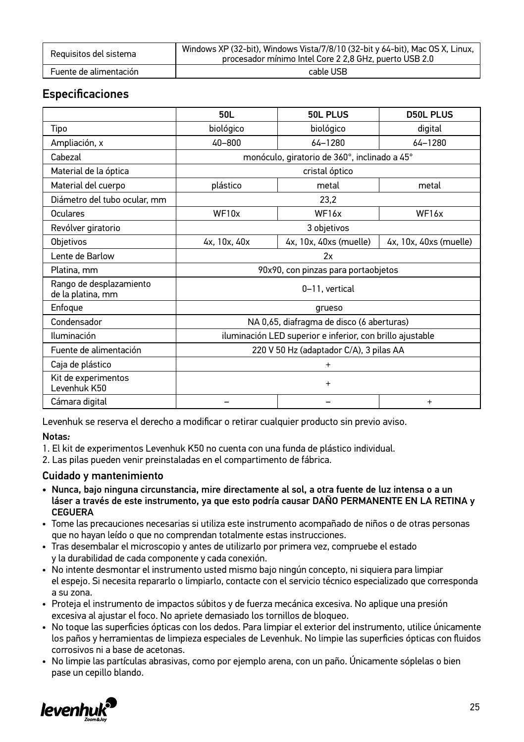| Requisitos del sistema | Windows XP (32-bit), Windows Vista/7/8/10 (32-bit y 64-bit), Mac OS X, Linux,<br>procesador mínimo Intel Core 2 2,8 GHz, puerto USB 2.0 |
|------------------------|-----------------------------------------------------------------------------------------------------------------------------------------|
| Fuente de alimentación | cable USB                                                                                                                               |

### **Especificaciones**

|                                              | 50L                                                       | 50L PLUS               | <b>D50L PLUS</b>       |
|----------------------------------------------|-----------------------------------------------------------|------------------------|------------------------|
| Tipo                                         | biológico                                                 | biológico              | digital                |
| Ampliación, x                                | 40-800                                                    | $64 - 1280$            | 64-1280                |
| Cabezal                                      | monóculo, giratorio de 360°, inclinado a 45°              |                        |                        |
| Material de la óptica                        | cristal óptico                                            |                        |                        |
| Material del cuerpo                          | plástico                                                  | metal                  | metal                  |
| Diámetro del tubo ocular, mm                 |                                                           | 23,2                   |                        |
| Oculares                                     | WF10x                                                     | WF <sub>16x</sub>      | WF <sub>16x</sub>      |
| Revólver giratorio                           | 3 objetivos                                               |                        |                        |
| Objetivos                                    | 4x, 10x, 40x                                              | 4x, 10x, 40xs (muelle) | 4x, 10x, 40xs (muelle) |
| Lente de Barlow                              | 2x                                                        |                        |                        |
| Platina, mm                                  | 90x90, con pinzas para portaobjetos                       |                        |                        |
| Rango de desplazamiento<br>de la platina, mm | 0-11, vertical                                            |                        |                        |
| Enfoque                                      | grueso                                                    |                        |                        |
| Condensador                                  | NA 0,65, diafragma de disco (6 aberturas)                 |                        |                        |
| Iluminación                                  | iluminación LED superior e inferior, con brillo ajustable |                        |                        |
| Fuente de alimentación                       | 220 V 50 Hz (adaptador C/A), 3 pilas AA                   |                        |                        |
| Caja de plástico                             | $\ddot{}$                                                 |                        |                        |
| Kit de experimentos<br>Levenhuk K50          | $\ddot{}$                                                 |                        |                        |
| Cámara digital                               |                                                           |                        | $\ddot{}$              |

Levenhuk se reserva el derecho a modificar o retirar cualquier producto sin previo aviso.

#### Notas*:*

1. El kit de experimentos Levenhuk K50 no cuenta con una funda de plástico individual.

2. Las pilas pueden venir preinstaladas en el compartimento de fábrica.

#### Cuidado y mantenimiento

- Nunca, bajo ninguna circunstancia, mire directamente al sol, a otra fuente de luz intensa o a un láser a través de este instrumento, ya que esto podría causar DAÑO PERMANENTE EN LA RETINA y CEGUERA
- Tome las precauciones necesarias si utiliza este instrumento acompañado de niños o de otras personas que no hayan leído o que no comprendan totalmente estas instrucciones.
- Tras desembalar el microscopio y antes de utilizarlo por primera vez, compruebe el estado y la durabilidad de cada componente y cada conexión.
- No intente desmontar el instrumento usted mismo bajo ningún concepto, ni siquiera para limpiar el espejo. Si necesita repararlo o limpiarlo, contacte con el servicio técnico especializado que corresponda a su zona.
- Proteja el instrumento de impactos súbitos y de fuerza mecánica excesiva. No aplique una presión excesiva al ajustar el foco. No apriete demasiado los tornillos de bloqueo.
- No toque las superficies ópticas con los dedos. Para limpiar el exterior del instrumento, utilice únicamente los paños y herramientas de limpieza especiales de Levenhuk. No limpie las superficies ópticas con fluidos corrosivos ni a base de acetonas.
- No limpie las partículas abrasivas, como por ejemplo arena, con un paño. Únicamente sóplelas o bien pase un cepillo blando.

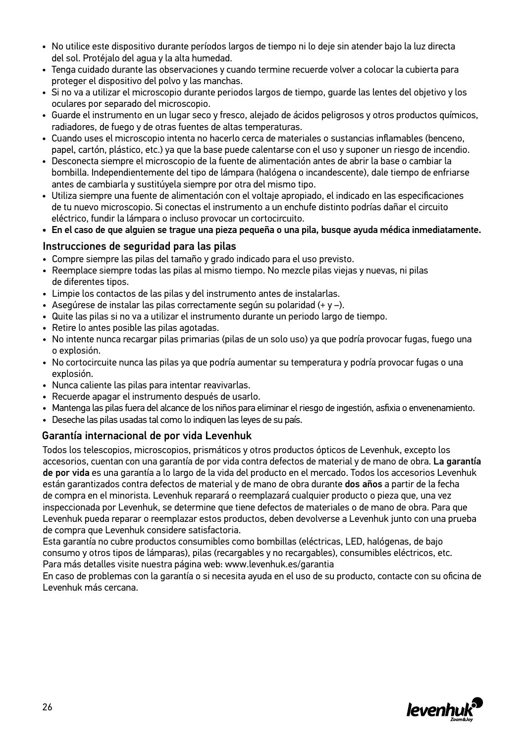- No utilice este dispositivo durante períodos largos de tiempo ni lo deje sin atender bajo la luz directa del sol. Protéjalo del agua y la alta humedad.
- Tenga cuidado durante las observaciones y cuando termine recuerde volver a colocar la cubierta para proteger el dispositivo del polvo y las manchas.
- Si no va a utilizar el microscopio durante periodos largos de tiempo, guarde las lentes del objetivo y los oculares por separado del microscopio.
- Guarde el instrumento en un lugar seco y fresco, alejado de ácidos peligrosos y otros productos químicos, radiadores, de fuego y de otras fuentes de altas temperaturas.
- Cuando uses el microscopio intenta no hacerlo cerca de materiales o sustancias inflamables (benceno, papel, cartón, plástico, etc.) ya que la base puede calentarse con el uso y suponer un riesgo de incendio.
- Desconecta siempre el microscopio de la fuente de alimentación antes de abrir la base o cambiar la bombilla. Independientemente del tipo de lámpara (halógena o incandescente), dale tiempo de enfriarse antes de cambiarla y sustitúyela siempre por otra del mismo tipo.
- Utiliza siempre una fuente de alimentación con el voltaje apropiado, el indicado en las especificaciones de tu nuevo microscopio. Si conectas el instrumento a un enchufe distinto podrías dañar el circuito eléctrico, fundir la lámpara o incluso provocar un cortocircuito.

• En el caso de que alguien se trague una pieza pequeña o una pila, busque ayuda médica inmediatamente.

#### Instrucciones de seguridad para las pilas

- Compre siempre las pilas del tamaño y grado indicado para el uso previsto.
- Reemplace siempre todas las pilas al mismo tiempo. No mezcle pilas viejas y nuevas, ni pilas de diferentes tipos.
- Limpie los contactos de las pilas y del instrumento antes de instalarlas.
- Asegúrese de instalar las pilas correctamente según su polaridad (+ y –).
- Quite las pilas si no va a utilizar el instrumento durante un periodo largo de tiempo.
- Retire lo antes posible las pilas agotadas.
- No intente nunca recargar pilas primarias (pilas de un solo uso) ya que podría provocar fugas, fuego una o explosión.
- No cortocircuite nunca las pilas ya que podría aumentar su temperatura y podría provocar fugas o una explosión.
- Nunca caliente las pilas para intentar reavivarlas.
- Recuerde apagar el instrumento después de usarlo.
- Mantenga las pilas fuera del alcance de los niños para eliminar el riesgo de ingestión, asfixia o envenenamiento.
- Deseche las pilas usadas tal como lo indiquen las leyes de su país.

#### Garantía internacional de por vida Levenhuk

Todos los telescopios, microscopios, prismáticos y otros productos ópticos de Levenhuk, excepto los accesorios, cuentan con una garantía de por vida contra defectos de material y de mano de obra. La garantía de por vida es una garantía a lo largo de la vida del producto en el mercado. Todos los accesorios Levenhuk están garantizados contra defectos de material y de mano de obra durante dos años a partir de la fecha de compra en el minorista. Levenhuk reparará o reemplazará cualquier producto o pieza que, una vez inspeccionada por Levenhuk, se determine que tiene defectos de materiales o de mano de obra. Para que Levenhuk pueda reparar o reemplazar estos productos, deben devolverse a Levenhuk junto con una prueba de compra que Levenhuk considere satisfactoria.

Esta garantía no cubre productos consumibles como bombillas (eléctricas, LED, halógenas, de bajo consumo y otros tipos de lámparas), pilas (recargables y no recargables), consumibles eléctricos, etc. Para más detalles visite nuestra página web: www.levenhuk.es/garantia

En caso de problemas con la garantía o si necesita ayuda en el uso de su producto, contacte con su oficina de Levenhuk más cercana.

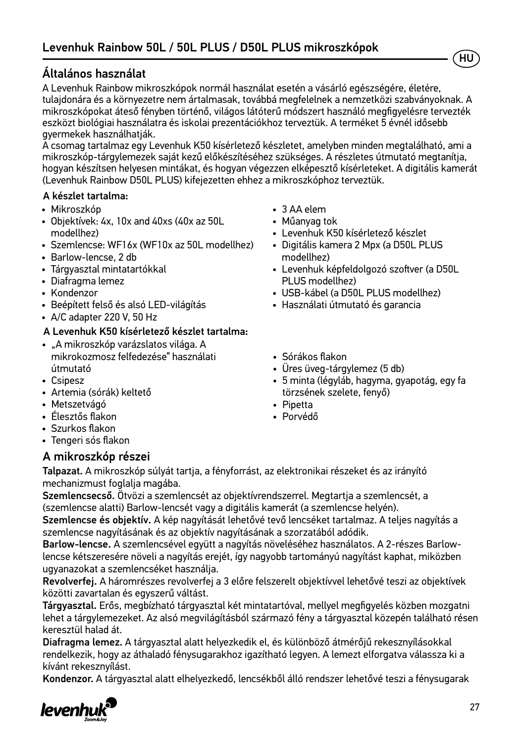### Általános használat

A Levenhuk Rainbow mikroszkópok normál használat esetén a vásárló egészségére, életére, tulajdonára és a környezetre nem ártalmasak, továbbá megfelelnek a nemzetközi szabványoknak. A mikroszkópokat áteső fényben történő, világos látóterű módszert használó megfigyelésre tervezték eszközt biológiai használatra és iskolai prezentációkhoz terveztük. A terméket 5 évnél idősebb gyermekek használhatják.

A csomag tartalmaz egy Levenhuk K50 kísérletező készletet, amelyben minden megtalálható, ami a mikroszkóp-tárgylemezek saját kezű előkészítéséhez szükséges. A részletes útmutató megtanítja, hogyan készítsen helyesen mintákat, és hogyan végezzen elképesztő kísérleteket. A digitális kamerát (Levenhuk Rainbow D50L PLUS) kifejezetten ehhez a mikroszkóphoz terveztük.

#### A készlet tartalma:

- Mikroszkóp
- Objektívek: 4х, 10х and 40хs (40x az 50L modellhez)
- Szemlencse: WF16x (WF10x az 50L modellhez)
- Barlow-lencse, 2 db
- Tárgyasztal mintatartókkal
- Diafragma lemez
- Kondenzor
- Beépített felső és alsó LED-világítás
- A/C adapter 220 V, 50 Hz

#### A Levenhuk K50 kísérletező készlet tartalma:

- "A mikroszkóp varázslatos világa. A mikrokozmosz felfedezése" használati útmutató
- Csipesz
- Artemia (sórák) keltető
- Metszetvágó
- Élesztős flakon
- Szurkos flakon
- Tengeri sós flakon

#### A mikroszkóp részei

- 3 AA elem
- Műanyag tok
- Levenhuk K50 kísérletező készlet
- Digitális kamera 2 Mpx (a D50L PLUS modellhez)
- Levenhuk képfeldolgozó szoftver (a D50L PLUS modellhez)
- USB-kábel (a D50L PLUS modellhez)
- Használati útmutató és garancia
- Sórákos flakon
- Üres üveg-tárgylemez (5 db)
- 5 minta (légyláb, hagyma, gyapotág, egy fa törzsének szelete, fenyő)
- Pipetta
- Porvédő

Talpazat. A mikroszkóp súlyát tartja, a fényforrást, az elektronikai részeket és az irányító mechanizmust foglalja magába.

Szemlencsecső. Ötvözi a szemlencsét az objektívrendszerrel. Megtartja a szemlencsét, a (szemlencse alatti) Barlow-lencsét vagy a digitális kamerát (a szemlencse helyén).

Szemlencse és objektív. A kép nagyítását lehetővé tevő lencséket tartalmaz. A teljes nagyítás a szemlencse nagyításának és az objektív nagyításának a szorzatából adódik.

Barlow-lencse. A szemlencsével együtt a nagyítás növeléséhez használatos. A 2-részes Barlowlencse kétszeresére növeli a nagyítás erejét, így nagyobb tartományú nagyítást kaphat, miközben ugyanazokat a szemlencséket használja.

Revolverfej. A háromrészes revolverfej a 3 előre felszerelt objektívvel lehetővé teszi az objektívek közötti zavartalan és egyszerű váltást.

Tárgyasztal. Erős, megbízható tárgyasztal két mintatartóval, mellyel megfigyelés közben mozgatni lehet a tárgylemezeket. Az alsó megvilágításból származó fény a tárgyasztal közepén található résen keresztül halad át.

Diafragma lemez. A tárgyasztal alatt helyezkedik el, és különböző átmérőjű rekesznyílásokkal rendelkezik, hogy az áthaladó fénysugarakhoz igazítható legyen. A lemezt elforgatva válassza ki a kívánt rekesznyílást.

Kondenzor. A tárgyasztal alatt elhelyezkedő, lencsékből álló rendszer lehetővé teszi a fénysugarak



HU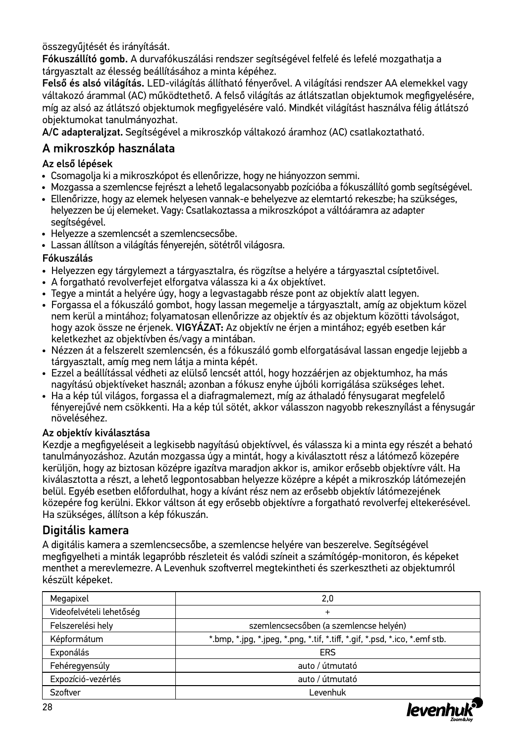összegyűjtését és irányítását.

Fókuszállító gomb. A durvafókuszálási rendszer segítségével felfelé és lefelé mozgathatja a tárgyasztalt az élesség beállításához a minta képéhez.

Felső és alsó világítás. LED-világítás állítható fényerővel. A világítási rendszer AA elemekkel vagy váltakozó árammal (AC) működtethető. A felső világítás az átlátszatlan objektumok megfigyelésére, míg az alsó az átlátszó objektumok megfigyelésére való. Mindkét világítást használva félig átlátszó objektumokat tanulmányozhat.

A/C adapteraljzat. Segítségével a mikroszkóp váltakozó áramhoz (AC) csatlakoztatható.

### A mikroszkóp használata

#### Az első lépések

- Csomagolja ki a mikroszkópot és ellenőrizze, hogy ne hiányozzon semmi.
- Mozgassa a szemlencse fejrészt a lehető legalacsonyabb pozícióba a fókuszállító gomb segítségével.
- Ellenőrizze, hogy az elemek helyesen vannak-e behelyezve az elemtartó rekeszbe; ha szükséges, helyezzen be új elemeket. Vagy: Csatlakoztassa a mikroszkópot a váltóáramra az adapter segítségével.
- Helyezze a szemlencsét a szemlencsecsőbe.
- Lassan állítson a világítás fényerején, sötétről világosra.

#### Fókuszálás

- Helyezzen egy tárgylemezt a tárgyasztalra, és rögzítse a helyére a tárgyasztal csíptetőivel.
- A forgatható revolverfejet elforgatva válassza ki a 4x objektívet.
- Tegye a mintát a helyére úgy, hogy a legvastagabb része pont az objektív alatt legyen.
- Forgassa el a fókuszáló gombot, hogy lassan megemelje a tárgyasztalt, amíg az objektum közel nem kerül a mintához; folyamatosan ellenőrizze az objektív és az objektum közötti távolságot, hogy azok össze ne érjenek. VIGYÁZAT: Az objektív ne érjen a mintához; egyéb esetben kár keletkezhet az objektívben és/vagy a mintában.
- Nézzen át a felszerelt szemlencsén, és a fókuszáló gomb elforgatásával lassan engedje lejjebb a tárgyasztalt, amíg meg nem látja a minta képét.
- Ezzel a beállítással védheti az elülső lencsét attól, hogy hozzáérjen az objektumhoz, ha más nagyítású objektíveket használ; azonban a fókusz enyhe újbóli korrigálása szükséges lehet.
- Ha a kép túl világos, forgassa el a diafragmalemezt, míg az áthaladó fénysugarat megfelelő fényerejűvé nem csökkenti. Ha a kép túl sötét, akkor válasszon nagyobb rekesznyílást a fénysugár növeléséhez.

#### Az objektív kiválasztása

Kezdje a megfigyeléseit a legkisebb nagyítású objektívvel, és válassza ki a minta egy részét a beható tanulmányozáshoz. Azután mozgassa úgy a mintát, hogy a kiválasztott rész a látómező közepére kerüljön, hogy az biztosan középre igazítva maradjon akkor is, amikor erősebb objektívre vált. Ha kiválasztotta a részt, a lehető legpontosabban helyezze középre a képét a mikroszkóp látómezején belül. Egyéb esetben előfordulhat, hogy a kívánt rész nem az erősebb objektív látómezejének közepére fog kerülni. Ekkor váltson át egy erősebb objektívre a forgatható revolverfej eltekerésével. Ha szükséges, állítson a kép fókuszán.

### Digitális kamera

A digitális kamera a szemlencsecsőbe, a szemlencse helyére van beszerelve. Segítségével megfigyelheti a minták legapróbb részleteit és valódi színeit a számítógép-monitoron, és képeket menthet a merevlemezre. A Levenhuk szoftverrel megtekintheti és szerkesztheti az objektumról készült képeket.

| Megapixel                | 2,0                                                                         |  |  |
|--------------------------|-----------------------------------------------------------------------------|--|--|
| Videofelvételi lehetőség | $^{+}$                                                                      |  |  |
| Felszerelési hely        | szemlencsecsőben (a szemlencse helyén)                                      |  |  |
| Képformátum              | *.bmp, *.jpg, *.jpeg, *.png, *.tif, *.tiff, *.gif, *.psd, *.ico, *.emf stb. |  |  |
| Exponálás                | ERS                                                                         |  |  |
| Fehéregyensúly           | auto / útmutató                                                             |  |  |
| Expozíció-vezérlés       | auto / útmutató                                                             |  |  |
| Szoftver                 | Levenhuk                                                                    |  |  |

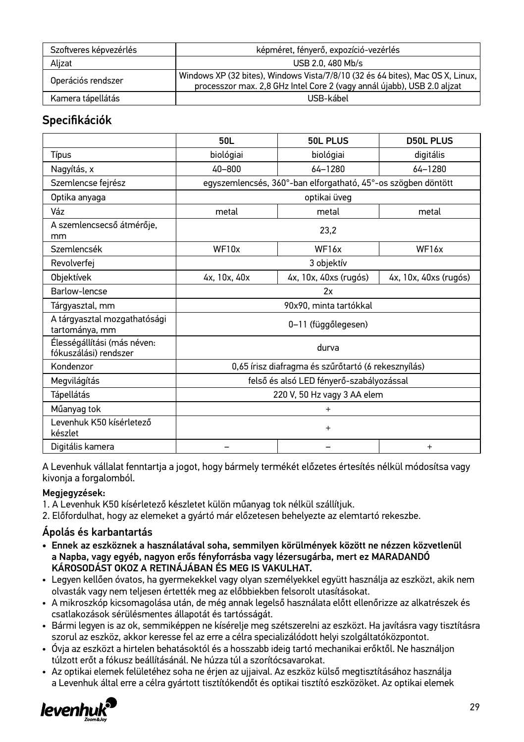| Szoftveres képvezérlés | képméret, fényerő, expozíció-vezérlés                                                                                                                     |  |  |
|------------------------|-----------------------------------------------------------------------------------------------------------------------------------------------------------|--|--|
| Alizat                 | USB 2.0, 480 Mb/s                                                                                                                                         |  |  |
| Operációs rendszer     | Windows XP (32 bites), Windows Vista/7/8/10 (32 és 64 bites), Mac OS X, Linux,<br>processzor max. 2,8 GHz Intel Core 2 (vagy annál újabb), USB 2.0 aljzat |  |  |
| Kamera tápellátás      | USB-kábel                                                                                                                                                 |  |  |

### Specifikációk

|                                                      | 50L                                                           | <b>50L PLUS</b>       | <b>D50L PLUS</b>      |  |
|------------------------------------------------------|---------------------------------------------------------------|-----------------------|-----------------------|--|
| Típus                                                | biológiai                                                     | biológiai             | digitális             |  |
| Nagyítás, x                                          | 40-800                                                        | $64 - 1280$           | 64-1280               |  |
| Szemlencse fejrész                                   | egyszemlencsés, 360°-ban elforgatható, 45°-os szögben döntött |                       |                       |  |
| Optika anyaga                                        |                                                               | optikai üveg          |                       |  |
| Váz                                                  | metal                                                         | metal                 | metal                 |  |
| A szemlencsecső átmérője,<br>mm                      | 23,2                                                          |                       |                       |  |
| Szemlencsék                                          | WF10x                                                         | WF <sub>16x</sub>     | WF16x                 |  |
| Revolverfej                                          | 3 objektív                                                    |                       |                       |  |
| Objektívek                                           | 4x, 10x, 40x                                                  | 4x, 10x, 40xs (rugós) | 4x, 10x, 40xs (rugós) |  |
| Barlow-lencse                                        | 2x                                                            |                       |                       |  |
| Tárgyasztal, mm                                      | 90x90, minta tartókkal                                        |                       |                       |  |
| A tárgyasztal mozgathatósági<br>tartománya, mm       | 0-11 (függőlegesen)                                           |                       |                       |  |
| Élességállítási (más néven:<br>fókuszálási) rendszer | durva                                                         |                       |                       |  |
| Kondenzor                                            | 0,65 írisz diafragma és szűrőtartó (6 rekesznyílás)           |                       |                       |  |
| Megvilágítás                                         | felső és alsó LED fényerő-szabályozással                      |                       |                       |  |
| Tápellátás                                           | 220 V, 50 Hz vagy 3 AA elem                                   |                       |                       |  |
| Műanyag tok                                          | $+$                                                           |                       |                       |  |
| Levenhuk K50 kísérletező<br>készlet                  | $\ddot{}$                                                     |                       |                       |  |
| Digitális kamera                                     |                                                               |                       | $\ddot{}$             |  |

A Levenhuk vállalat fenntartja a jogot, hogy bármely termékét előzetes értesítés nélkül módosítsa vagy kivonja a forgalomból.

#### Megjegyzések:

1. A Levenhuk K50 kísérletező készletet külön műanyag tok nélkül szállítjuk.

2. Előfordulhat, hogy az elemeket a gyártó már előzetesen behelyezte az elemtartó rekeszbe.

#### Ápolás és karbantartás

- Ennek az eszköznek a használatával soha, semmilyen körülmények között ne nézzen közvetlenül a Napba, vagy egyéb, nagyon erős fényforrásba vagy lézersugárba, mert ez MARADANDÓ KÁROSODÁST OKOZ A RETINÁJÁBAN ÉS MEG IS VAKULHAT.
- Legyen kellően óvatos, ha gyermekekkel vagy olyan személyekkel együtt használja az eszközt, akik nem olvasták vagy nem teljesen értették meg az előbbiekben felsorolt utasításokat.
- A mikroszkóp kicsomagolása után, de még annak legelső használata előtt ellenőrizze az alkatrészek és csatlakozások sérülésmentes állapotát és tartósságát.
- Bármi legyen is az ok, semmiképpen ne kísérelje meg szétszerelni az eszközt. Ha javításra vagy tisztításra szorul az eszköz, akkor keresse fel az erre a célra specializálódott helyi szolgáltatóközpontot.
- Óvja az eszközt a hirtelen behatásoktól és a hosszabb ideig tartó mechanikai erőktől. Ne használjon túlzott erőt a fókusz beállításánál. Ne húzza túl a szorítócsavarokat.
- Az optikai elemek felületéhez soha ne érjen az ujjaival. Az eszköz külső megtisztításához használja a Levenhuk által erre a célra gyártott tisztítókendőt és optikai tisztító eszközöket. Az optikai elemek

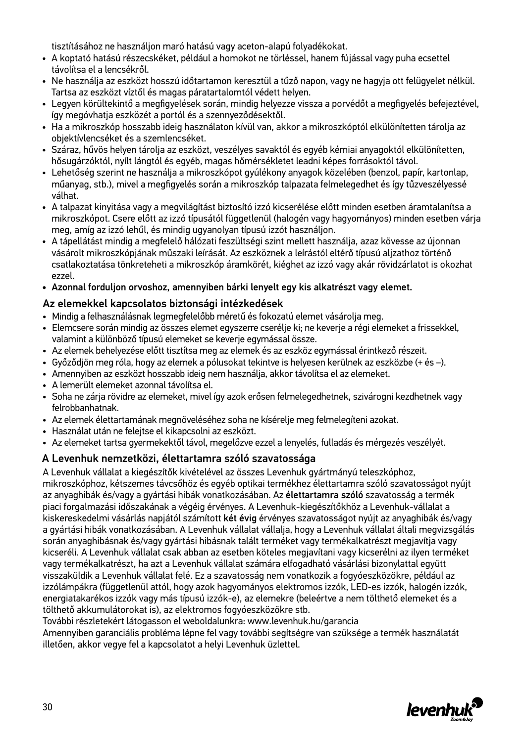tisztításához ne használjon maró hatású vagy aceton-alapú folyadékokat.

- A koptató hatású részecskéket, például a homokot ne törléssel, hanem fújással vagy puha ecsettel távolítsa el a lencsékről.
- Ne használja az eszközt hosszú időtartamon keresztül a tűző napon, vagy ne hagyja ott felügyelet nélkül. Tartsa az eszközt víztől és magas páratartalomtól védett helyen.
- Legyen körültekintő a megfigyelések során, mindig helyezze vissza a porvédőt a megfigyelés befejeztével, így megóvhatja eszközét a portól és a szennyeződésektől.
- Ha a mikroszkóp hosszabb ideig használaton kívül van, akkor a mikroszkóptól elkülönítetten tárolja az objektívlencséket és a szemlencséket.
- Száraz, hűvös helyen tárolja az eszközt, veszélyes savaktól és egyéb kémiai anyagoktól elkülönítetten, hősugárzóktól, nyílt lángtól és egyéb, magas hőmérsékletet leadni képes forrásoktól távol.
- Lehetőség szerint ne használja a mikroszkópot gyúlékony anyagok közelében (benzol, papír, kartonlap, műanyag, stb.), mivel a megfigyelés során a mikroszkóp talpazata felmelegedhet és így tűzveszélyessé válhat.
- A talpazat kinyitása vagy a megvilágítást biztosító izzó kicserélése előtt minden esetben áramtalanítsa a mikroszkópot. Csere előtt az izzó típusától függetlenül (halogén vagy hagyományos) minden esetben várja meg, amíg az izzó lehűl, és mindig ugyanolyan típusú izzót használjon.
- A tápellátást mindig a megfelelő hálózati feszültségi szint mellett használja, azaz kövesse az újonnan vásárolt mikroszkópjának műszaki leírását. Az eszköznek a leírástól eltérő típusú aljzathoz történő csatlakoztatása tönkreteheti a mikroszkóp áramkörét, kiéghet az izzó vagy akár rövidzárlatot is okozhat ezzel.
- Azonnal forduljon orvoshoz, amennyiben bárki lenyelt egy kis alkatrészt vagy elemet.

#### Az elemekkel kapcsolatos biztonsági intézkedések

- Mindig a felhasználásnak legmegfelelőbb méretű és fokozatú elemet vásárolja meg.
- Elemcsere során mindig az összes elemet egyszerre cserélje ki; ne keverje a régi elemeket a frissekkel, valamint a különböző típusú elemeket se keverje egymással össze.
- Az elemek behelyezése előtt tisztítsa meg az elemek és az eszköz egymással érintkező részeit.
- Győződjön meg róla, hogy az elemek a pólusokat tekintve is helyesen kerülnek az eszközbe (+ és –).
- Amennyiben az eszközt hosszabb ideig nem használja, akkor távolítsa el az elemeket.
- A lemerült elemeket azonnal távolítsa el.
- Soha ne zárja rövidre az elemeket, mivel így azok erősen felmelegedhetnek, szivárogni kezdhetnek vagy felrobbanhatnak.
- Az elemek élettartamának megnöveléséhez soha ne kísérelje meg felmelegíteni azokat.
- Használat után ne felejtse el kikapcsolni az eszközt.
- Az elemeket tartsa gyermekektől távol, megelőzve ezzel a lenyelés, fulladás és mérgezés veszélyét.

#### A Levenhuk nemzetközi, élettartamra szóló szavatossága

A Levenhuk vállalat a kiegészítők kivételével az összes Levenhuk gyártmányú teleszkóphoz, mikroszkóphoz, kétszemes távcsőhöz és egyéb optikai termékhez élettartamra szóló szavatosságot nyújt az anyaghibák és/vagy a gyártási hibák vonatkozásában. Az élettartamra szóló szavatosság a termék piaci forgalmazási időszakának a végéig érvényes. A Levenhuk-kiegészítőkhöz a Levenhuk-vállalat a kiskereskedelmi vásárlás napjától számított két évig érvényes szavatosságot nyújt az anyaghibák és/vagy a gyártási hibák vonatkozásában. A Levenhuk vállalat vállalja, hogy a Levenhuk vállalat általi megvizsgálás során anyaghibásnak és/vagy gyártási hibásnak talált terméket vagy termékalkatrészt megjavítja vagy kicseréli. A Levenhuk vállalat csak abban az esetben köteles megjavítani vagy kicserélni az ilyen terméket vagy termékalkatrészt, ha azt a Levenhuk vállalat számára elfogadható vásárlási bizonylattal együtt visszaküldik a Levenhuk vállalat felé. Ez a szavatosság nem vonatkozik a fogyóeszközökre, például az izzólámpákra (függetlenül attól, hogy azok hagyományos elektromos izzók, LED-es izzók, halogén izzók, energiatakarékos izzók vagy más típusú izzók-e), az elemekre (beleértve a nem tölthető elemeket és a tölthető akkumulátorokat is), az elektromos fogyóeszközökre stb.

További részletekért látogasson el weboldalunkra: www.levenhuk.hu/garancia

Amennyiben garanciális probléma lépne fel vagy további segítségre van szüksége a termék használatát illetően, akkor vegye fel a kapcsolatot a helyi Levenhuk üzlettel.

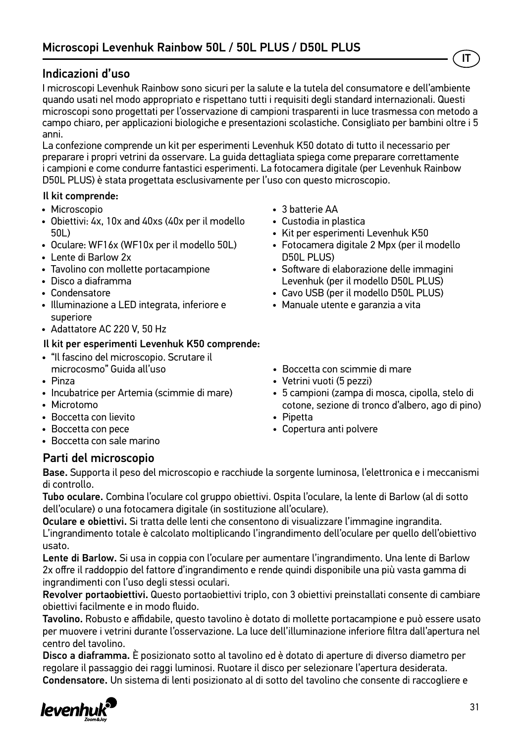### Indicazioni d'uso

I microscopi Levenhuk Rainbow sono sicuri per la salute e la tutela del consumatore e dell'ambiente quando usati nel modo appropriato e rispettano tutti i requisiti degli standard internazionali. Questi microscopi sono progettati per l'osservazione di campioni trasparenti in luce trasmessa con metodo a campo chiaro, per applicazioni biologiche e presentazioni scolastiche. Consigliato per bambini oltre i 5 anni.

La confezione comprende un kit per esperimenti Levenhuk K50 dotato di tutto il necessario per preparare i propri vetrini da osservare. La guida dettagliata spiega come preparare correttamente i campioni e come condurre fantastici esperimenti. La fotocamera digitale (per Levenhuk Rainbow D50L PLUS) è stata progettata esclusivamente per l'uso con questo microscopio.

#### Il kit comprende:

- Microscopio
- Obiettivi: 4х, 10х and 40хs (40x per il modello 50L)
- Oculare: WF16х (WF10x per il modello 50L)
- Lente di Barlow 2x
- Tavolino con mollette portacampione
- Disco a diaframma
- Condensatore
- Illuminazione a LED integrata, inferiore e superiore
- Adattatore AC 220 V, 50 Hz

#### Il kit per esperimenti Levenhuk K50 comprende:

- "Il fascino del microscopio. Scrutare il microcosmo" Guida all'uso
- Pinza
- Incubatrice per Artemia (scimmie di mare)
- Microtomo
- Boccetta con lievito
- Boccetta con pece
- Boccetta con sale marino
- 3 batterie AA
- Custodia in plastica
- Kit per esperimenti Levenhuk K50
- Fotocamera digitale 2 Mpx (per il modello D50L PLUS)

IT

- Software di elaborazione delle immagini Levenhuk (per il modello D50L PLUS)
- Cavo USB (per il modello D50L PLUS)
- Manuale utente e garanzia a vita
- Boccetta con scimmie di mare
- Vetrini vuoti (5 pezzi)
- 5 campioni (zampa di mosca, cipolla, stelo di cotone, sezione di tronco d'albero, ago di pino)
- Pipetta
- Copertura anti polvere

#### Parti del microscopio

Base. Supporta il peso del microscopio e racchiude la sorgente luminosa, l'elettronica e i meccanismi di controllo.

Tubo oculare. Combina l'oculare col gruppo obiettivi. Ospita l'oculare, la lente di Barlow (al di sotto dell'oculare) o una fotocamera digitale (in sostituzione all'oculare).

Oculare e obiettivi. Si tratta delle lenti che consentono di visualizzare l'immagine ingrandita. L'ingrandimento totale è calcolato moltiplicando l'ingrandimento dell'oculare per quello dell'obiettivo usato.

Lente di Barlow. Si usa in coppia con l'oculare per aumentare l'ingrandimento. Una lente di Barlow 2x offre il raddoppio del fattore d'ingrandimento e rende quindi disponibile una più vasta gamma di ingrandimenti con l'uso degli stessi oculari.

Revolver portaobiettivi. Questo portaobiettivi triplo, con 3 obiettivi preinstallati consente di cambiare obiettivi facilmente e in modo fluido.

Tavolino. Robusto e affidabile, questo tavolino è dotato di mollette portacampione e può essere usato per muovere i vetrini durante l'osservazione. La luce dell'illuminazione inferiore filtra dall'apertura nel centro del tavolino.

Disco a diaframma. È posizionato sotto al tavolino ed è dotato di aperture di diverso diametro per regolare il passaggio dei raggi luminosi. Ruotare il disco per selezionare l'apertura desiderata. Condensatore. Un sistema di lenti posizionato al di sotto del tavolino che consente di raccogliere e

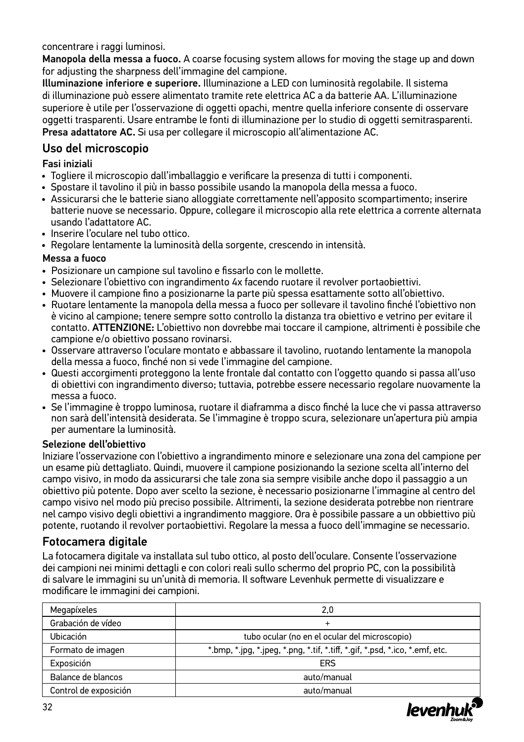concentrare i raggi luminosi.

Manopola della messa a fuoco. A coarse focusing system allows for moving the stage up and down for adjusting the sharpness dell'immagine del campione.

Illuminazione inferiore e superiore. Illuminazione a LED con luminosità regolabile. Il sistema di illuminazione può essere alimentato tramite rete elettrica AC a da batterie AA. L'illuminazione superiore è utile per l'osservazione di oggetti opachi, mentre quella inferiore consente di osservare oggetti trasparenti. Usare entrambe le fonti di illuminazione per lo studio di oggetti semitrasparenti. Presa adattatore AC. Si usa per collegare il microscopio all'alimentazione AC.

#### Uso del microscopio

Fasi iniziali

- Togliere il microscopio dall'imballaggio e verificare la presenza di tutti i componenti.
- Spostare il tavolino il più in basso possibile usando la manopola della messa a fuoco.
- Assicurarsi che le batterie siano alloggiate correttamente nell'apposito scompartimento; inserire batterie nuove se necessario. Oppure, collegare il microscopio alla rete elettrica a corrente alternata usando l'adattatore AC.
- Inserire l'oculare nel tubo ottico.
- Regolare lentamente la luminosità della sorgente, crescendo in intensità.

#### Messa a fuoco

- Posizionare un campione sul tavolino e fissarlo con le mollette.
- Selezionare l'obiettivo con ingrandimento 4x facendo ruotare il revolver portaobiettivi.
- Muovere il campione fino a posizionarne la parte più spessa esattamente sotto all'obiettivo.
- Ruotare lentamente la manopola della messa a fuoco per sollevare il tavolino finché l'obiettivo non è vicino al campione; tenere sempre sotto controllo la distanza tra obiettivo e vetrino per evitare il contatto. ATTENZIONE: L'obiettivo non dovrebbe mai toccare il campione, altrimenti è possibile che campione e/o obiettivo possano rovinarsi.
- Osservare attraverso l'oculare montato e abbassare il tavolino, ruotando lentamente la manopola della messa a fuoco, finché non si vede l'immagine del campione.
- Questi accorgimenti proteggono la lente frontale dal contatto con l'oggetto quando si passa all'uso di obiettivi con ingrandimento diverso; tuttavia, potrebbe essere necessario regolare nuovamente la messa a fuoco.
- Se l'immagine è troppo luminosa, ruotare il diaframma a disco finché la luce che vi passa attraverso non sarà dell'intensità desiderata. Se l'immagine è troppo scura, selezionare un'apertura più ampia per aumentare la luminosità.

#### Selezione dell'obiettivo

Iniziare l'osservazione con l'obiettivo a ingrandimento minore e selezionare una zona del campione per un esame più dettagliato. Quindi, muovere il campione posizionando la sezione scelta all'interno del campo visivo, in modo da assicurarsi che tale zona sia sempre visibile anche dopo il passaggio a un obiettivo più potente. Dopo aver scelto la sezione, è necessario posizionarne l'immagine al centro del campo visivo nel modo più preciso possibile. Altrimenti, la sezione desiderata potrebbe non rientrare nel campo visivo degli obiettivi a ingrandimento maggiore. Ora è possibile passare a un obbiettivo più potente, ruotando il revolver portaobiettivi. Regolare la messa a fuoco dell'immagine se necessario.

#### Fotocamera digitale

La fotocamera digitale va installata sul tubo ottico, al posto dell'oculare. Consente l'osservazione dei campioni nei minimi dettagli e con colori reali sullo schermo del proprio PC, con la possibilità di salvare le immagini su un'unità di memoria. Il software Levenhuk permette di visualizzare e modificare le immagini dei campioni.

| Megapíxeles           | 2.0                                                                                                       |  |  |
|-----------------------|-----------------------------------------------------------------------------------------------------------|--|--|
| Grabación de vídeo    | $\div$                                                                                                    |  |  |
| Ubicación             | tubo ocular (no en el ocular del microscopio)                                                             |  |  |
| Formato de imagen     | $*$ bmp, $*$ .jpg, $*$ .jpeg, $*$ .png, $*$ .tif, $*$ .tiff, $*$ .gif, $*$ .psd, $*$ .ico, $*$ .emf, etc. |  |  |
| Exposición            | ERS                                                                                                       |  |  |
| Balance de blancos    | auto/manual                                                                                               |  |  |
| Control de exposición | auto/manual                                                                                               |  |  |

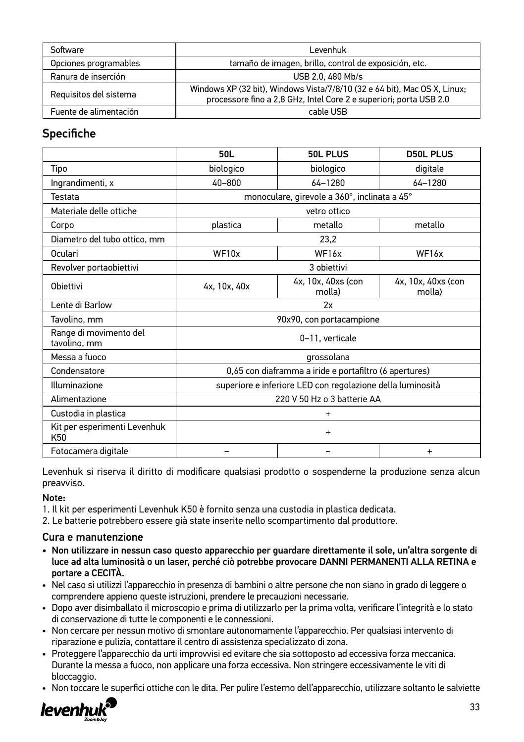| Software               | Levenhuk                                                                                                                                        |  |  |
|------------------------|-------------------------------------------------------------------------------------------------------------------------------------------------|--|--|
| Opciones programables  | tamaño de imagen, brillo, control de exposición, etc.                                                                                           |  |  |
| Ranura de inserción    | USB 2.0, 480 Mb/s                                                                                                                               |  |  |
| Requisitos del sistema | Windows XP (32 bit), Windows Vista/7/8/10 (32 e 64 bit), Mac OS X, Linux;<br>processore fino a 2.8 GHz, Intel Core 2 e superiori; porta USB 2.0 |  |  |
| Fuente de alimentación | cable USB                                                                                                                                       |  |  |

### **Specifiche**

|                                        | 50L                                                        | 50L PLUS                                     | <b>D50L PLUS</b>             |
|----------------------------------------|------------------------------------------------------------|----------------------------------------------|------------------------------|
| Tipo                                   | biologico                                                  | biologico                                    | digitale                     |
| Ingrandimenti, x                       | 40-800                                                     | $64 - 1280$                                  | 64-1280                      |
| Testata                                |                                                            | monoculare, girevole a 360°, inclinata a 45° |                              |
| Materiale delle ottiche                |                                                            | vetro ottico                                 |                              |
| Corpo                                  | plastica                                                   | metallo                                      | metallo                      |
| Diametro del tubo ottico, mm           |                                                            | 23,2                                         |                              |
| Oculari                                | WF10x                                                      | WF16x                                        | WF16x                        |
| Revolver portaobiettivi                |                                                            | 3 obiettivi                                  |                              |
| Obiettivi                              | 4x, 10x, 40x                                               | 4x, 10x, 40xs (con<br>molla)                 | 4x, 10x, 40xs (con<br>molla) |
| Lente di Barlow                        | 2x                                                         |                                              |                              |
| Tavolino, mm                           | 90x90, con portacampione                                   |                                              |                              |
| Range di movimento del<br>tavolino, mm | 0-11. verticale                                            |                                              |                              |
| Messa a funco                          | grossolana                                                 |                                              |                              |
| Condensatore                           | 0,65 con diaframma a iride e portafiltro (6 apertures)     |                                              |                              |
| Illuminazione                          | superiore e inferiore LED con regolazione della luminosità |                                              |                              |
| Alimentazione                          | 220 V 50 Hz o 3 batterie AA                                |                                              |                              |
| Custodia in plastica                   | $\ddot{}$                                                  |                                              |                              |
| Kit per esperimenti Levenhuk<br>K50    | $\ddot{}$                                                  |                                              |                              |
| Fotocamera digitale                    |                                                            |                                              | $\ddot{}$                    |

Levenhuk si riserva il diritto di modificare qualsiasi prodotto o sospenderne la produzione senza alcun preavviso.

#### Note:

- 1. Il kit per esperimenti Levenhuk K50 è fornito senza una custodia in plastica dedicata.
- 2. Le batterie potrebbero essere già state inserite nello scompartimento dal produttore.

#### Cura e manutenzione

- Non utilizzare in nessun caso questo apparecchio per guardare direttamente il sole, un'altra sorgente di luce ad alta luminosità o un laser, perché ciò potrebbe provocare DANNI PERMANENTI ALLA RETINA e portare a CECITÀ.
- Nel caso si utilizzi l'apparecchio in presenza di bambini o altre persone che non siano in grado di leggere o comprendere appieno queste istruzioni, prendere le precauzioni necessarie.
- Dopo aver disimballato il microscopio e prima di utilizzarlo per la prima volta, verificare l'integrità e lo stato di conservazione di tutte le componenti e le connessioni.
- Non cercare per nessun motivo di smontare autonomamente l'apparecchio. Per qualsiasi intervento di riparazione e pulizia, contattare il centro di assistenza specializzato di zona.
- Proteggere l'apparecchio da urti improvvisi ed evitare che sia sottoposto ad eccessiva forza meccanica. Durante la messa a fuoco, non applicare una forza eccessiva. Non stringere eccessivamente le viti di bloccaggio.
- Non toccare le superfici ottiche con le dita. Per pulire l'esterno dell'apparecchio, utilizzare soltanto le salviette

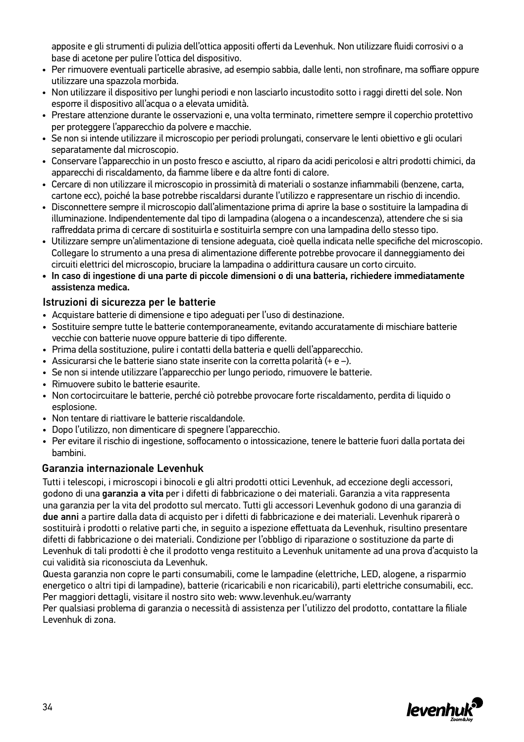apposite e gli strumenti di pulizia dell'ottica appositi offerti da Levenhuk. Non utilizzare fluidi corrosivi o a base di acetone per pulire l'ottica del dispositivo.

- Per rimuovere eventuali particelle abrasive, ad esempio sabbia, dalle lenti, non strofinare, ma soffiare oppure utilizzare una spazzola morbida.
- Non utilizzare il dispositivo per lunghi periodi e non lasciarlo incustodito sotto i raggi diretti del sole. Non esporre il dispositivo all'acqua o a elevata umidità.
- Prestare attenzione durante le osservazioni e, una volta terminato, rimettere sempre il coperchio protettivo per proteggere l'apparecchio da polvere e macchie.
- Se non si intende utilizzare il microscopio per periodi prolungati, conservare le lenti obiettivo e gli oculari separatamente dal microscopio.
- Conservare l'apparecchio in un posto fresco e asciutto, al riparo da acidi pericolosi e altri prodotti chimici, da apparecchi di riscaldamento, da fiamme libere e da altre fonti di calore.
- Cercare di non utilizzare il microscopio in prossimità di materiali o sostanze infiammabili (benzene, carta, cartone ecc), poiché la base potrebbe riscaldarsi durante l'utilizzo e rappresentare un rischio di incendio.
- Disconnettere sempre il microscopio dall'alimentazione prima di aprire la base o sostituire la lampadina di illuminazione. Indipendentemente dal tipo di lampadina (alogena o a incandescenza), attendere che si sia raffreddata prima di cercare di sostituirla e sostituirla sempre con una lampadina dello stesso tipo.
- Utilizzare sempre un'alimentazione di tensione adeguata, cioè quella indicata nelle specifiche del microscopio. Collegare lo strumento a una presa di alimentazione differente potrebbe provocare il danneggiamento dei circuiti elettrici del microscopio, bruciare la lampadina o addirittura causare un corto circuito.
- In caso di ingestione di una parte di piccole dimensioni o di una batteria, richiedere immediatamente assistenza medica.

#### Istruzioni di sicurezza per le batterie

- Acquistare batterie di dimensione e tipo adeguati per l'uso di destinazione.
- Sostituire sempre tutte le batterie contemporaneamente, evitando accuratamente di mischiare batterie vecchie con batterie nuove oppure batterie di tipo differente.
- Prima della sostituzione, pulire i contatti della batteria e quelli dell'apparecchio.
- Assicurarsi che le batterie siano state inserite con la corretta polarità (+ e –).
- Se non si intende utilizzare l'apparecchio per lungo periodo, rimuovere le batterie.
- Rimuovere subito le batterie esaurite.
- Non cortocircuitare le batterie, perché ciò potrebbe provocare forte riscaldamento, perdita di liquido o esplosione.
- Non tentare di riattivare le batterie riscaldandole.
- Dopo l'utilizzo, non dimenticare di spegnere l'apparecchio.
- Per evitare il rischio di ingestione, soffocamento o intossicazione, tenere le batterie fuori dalla portata dei bambini.

#### Garanzia internazionale Levenhuk

Tutti i telescopi, i microscopi i binocoli e gli altri prodotti ottici Levenhuk, ad eccezione degli accessori, godono di una garanzia a vita per i difetti di fabbricazione o dei materiali. Garanzia a vita rappresenta una garanzia per la vita del prodotto sul mercato. Tutti gli accessori Levenhuk godono di una garanzia di due anni a partire dalla data di acquisto per i difetti di fabbricazione e dei materiali. Levenhuk riparerà o sostituirà i prodotti o relative parti che, in seguito a ispezione effettuata da Levenhuk, risultino presentare difetti di fabbricazione o dei materiali. Condizione per l'obbligo di riparazione o sostituzione da parte di Levenhuk di tali prodotti è che il prodotto venga restituito a Levenhuk unitamente ad una prova d'acquisto la cui validità sia riconosciuta da Levenhuk.

Questa garanzia non copre le parti consumabili, come le lampadine (elettriche, LED, alogene, a risparmio energetico o altri tipi di lampadine), batterie (ricaricabili e non ricaricabili), parti elettriche consumabili, ecc. Per maggiori dettagli, visitare il nostro sito web: www.levenhuk.eu/warranty

Per qualsiasi problema di garanzia o necessità di assistenza per l'utilizzo del prodotto, contattare la filiale Levenhuk di zona.

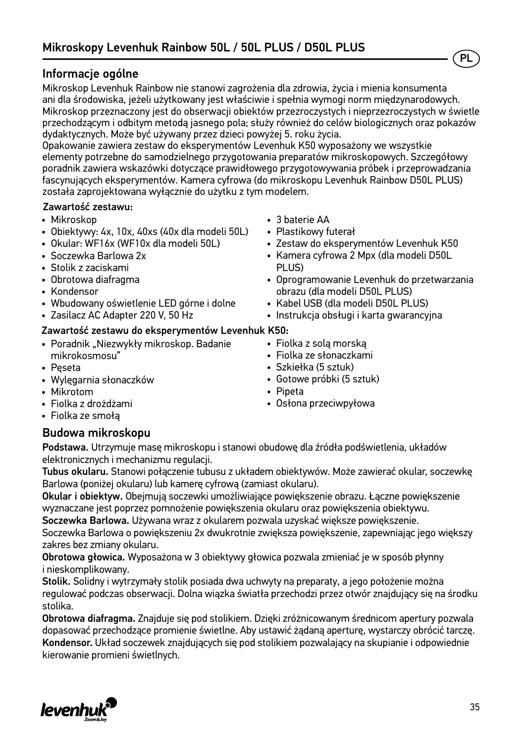### Informacje ogólne

Mikroskop Levenhuk Rainbow nie stanowi zagrożenia dla zdrowia, życia i mienia konsumenta ani dla środowiska, jeżeli użytkowany jest właściwie i spełnia wymogi norm międzynarodowych. Mikroskop przeznaczony jest do obserwacji obiektów przezroczystych i nieprzezroczystych w świetle przechodzącym i odbitym metodą jasnego pola; służy również do celów biologicznych oraz pokazów dydaktycznych. Może być używany przez dzieci powyżej 5. roku życia.

Opakowanie zawiera zestaw do eksperymentów Levenhuk K50 wyposażony we wszystkie elementy potrzebne do samodzielnego przygotowania preparatów mikroskopowych. Szczegółowy poradnik zawiera wskazówki dotyczące prawidłowego przygotowywania próbek i przeprowadzania fascynujących eksperymentów. Kamera cyfrowa (do mikroskopu Levenhuk Rainbow D50L PLUS) została zaprojektowana wyłącznie do użytku z tym modelem.

#### Zawartość zestawu:

- Mikroskop
- Obiektywy: 4х, 10х, 40хs (40x dla modeli 50L)
- Okular: WF16х (WF10x dla modeli 50L)
- Soczewka Barlowa 2x
- Stolik z zaciskami
- Obrotowa diafragma
- Kondensor
- Wbudowany oświetlenie LED górne i dolne
- Zasilacz AC Adapter 220 V, 50 Hz

#### Zawartość zestawu do eksperymentów Levenhuk K50:

- Poradnik "Niezwykły mikroskop. Badanie mikrokosmosu"
- Pęseta
- Wylęgarnia słonaczków
- Mikrotom
- Fiolka z drożdżami
- Fiolka ze smołą

### Budowa mikroskopu

Podstawa. Utrzymuje masę mikroskopu i stanowi obudowę dla źródła podświetlenia, układów elektronicznych i mechanizmu regulacji.

Tubus okularu. Stanowi połączenie tubusu z układem obiektywów. Może zawierać okular, soczewkę Barlowa (poniżej okularu) lub kamerę cyfrową (zamiast okularu).

Okular i obiektyw. Obejmują soczewki umożliwiające powiększenie obrazu. Łączne powiększenie wyznaczane jest poprzez pomnożenie powiększenia okularu oraz powiększenia obiektywu.

Soczewka Barlowa. Używana wraz z okularem pozwala uzyskać większe powiększenie. Soczewka Barlowa o powiększeniu 2x dwukrotnie zwiększa powiększenie, zapewniając jego większy zakres bez zmiany okularu.

Obrotowa głowica. Wyposażona w 3 obiektywy głowica pozwala zmieniać je w sposób płynny i nieskomplikowany.

Stolik. Solidny i wytrzymały stolik posiada dwa uchwyty na preparaty, a jego położenie można regulować podczas obserwacji. Dolna wiązka światła przechodzi przez otwór znajdujący się na środku stolika.

Obrotowa diafragma. Znajduje się pod stolikiem. Dzięki zróżnicowanym średnicom apertury pozwala dopasować przechodzące promienie świetlne. Aby ustawić żądaną aperturę, wystarczy obrócić tarczę. Kondensor. Układ soczewek znajdujących się pod stolikiem pozwalający na skupianie i odpowiednie kierowanie promieni świetlnych.



- 3 baterie AA
- Plastikowy futerał
- Zestaw do eksperymentów Levenhuk K50

PL

- Kamera cyfrowa 2 Mpx (dla modeli D50L PLUS)
- Oprogramowanie Levenhuk do przetwarzania obrazu (dla modeli D50L PLUS)
- Kabel USB (dla modeli D50L PLUS)
- Instrukcja obsługi i karta gwarancyjna
- Fiolka z solą morską
- Fiolka ze słonaczkami
- Szkiełka (5 sztuk)
- Gotowe próbki (5 sztuk)
- Pipeta
- Osłona przeciwpyłowa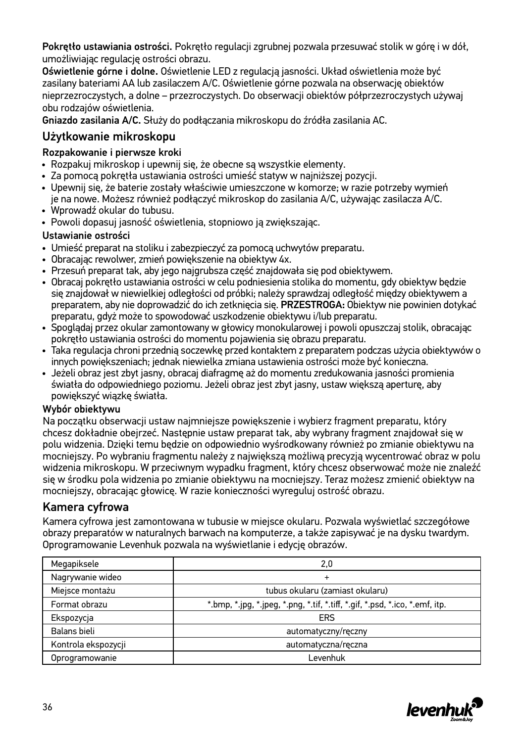Pokrętło ustawiania ostrości. Pokrętło regulacji zgrubnej pozwala przesuwać stolik w górę i w dół, umożliwiając regulację ostrości obrazu.

Oświetlenie górne i dolne. Oświetlenie LED z regulacją jasności. Układ oświetlenia może być zasilany bateriami AA lub zasilaczem A/C. Oświetlenie górne pozwala na obserwację obiektów nieprzezroczystych, a dolne – przezroczystych. Do obserwacji obiektów półprzezroczystych używaj obu rodzajów oświetlenia.

Gniazdo zasilania A/C. Służy do podłączania mikroskopu do źródła zasilania AC.

### Użytkowanie mikroskopu

#### Rozpakowanie i pierwsze kroki

- Rozpakuj mikroskop i upewnij się, że obecne są wszystkie elementy.
- Za pomocą pokrętła ustawiania ostrości umieść statyw w najniższej pozycji.
- Upewnij się, że baterie zostały właściwie umieszczone w komorze; w razie potrzeby wymień je na nowe. Możesz również podłączyć mikroskop do zasilania A/C, używając zasilacza A/C.
- Wprowadź okular do tubusu.
- Powoli dopasuj jasność oświetlenia, stopniowo ją zwiększając.

#### Ustawianie ostrości

- Umieść preparat na stoliku i zabezpieczyć za pomocą uchwytów preparatu.
- Obracając rewolwer, zmień powiększenie na obiektyw 4x.
- Przesuń preparat tak, aby jego najgrubsza część znajdowała się pod obiektywem.
- Obracaj pokrętło ustawiania ostrości w celu podniesienia stolika do momentu, gdy obiektyw będzie się znajdował w niewielkiej odległości od próbki; należy sprawdzaj odległość między obiektywem a preparatem, aby nie doprowadzić do ich zetknięcia się. PRZESTROGA: Obiektyw nie powinien dotykać preparatu, gdyż może to spowodować uszkodzenie obiektywu i/lub preparatu.
- Spoglądaj przez okular zamontowany w głowicy monokularowej i powoli opuszczaj stolik, obracając pokrętło ustawiania ostrości do momentu pojawienia się obrazu preparatu.
- Taka regulacja chroni przednią soczewkę przed kontaktem z preparatem podczas użycia obiektywów o innych powiększeniach; jednak niewielka zmiana ustawienia ostrości może być konieczna.
- Jeżeli obraz jest zbyt jasny, obracaj diafragmę aż do momentu zredukowania jasności promienia światła do odpowiedniego poziomu. Jeżeli obraz jest zbyt jasny, ustaw większą aperturę, aby powiększyć wiązkę światła.

#### Wybór obiektywu

Na początku obserwacji ustaw najmniejsze powiększenie i wybierz fragment preparatu, który chcesz dokładnie obejrzeć. Następnie ustaw preparat tak, aby wybrany fragment znajdował się w polu widzenia. Dzięki temu będzie on odpowiednio wyśrodkowany również po zmianie obiektywu na mocniejszy. Po wybraniu fragmentu należy z największą możliwą precyzją wycentrować obraz w polu widzenia mikroskopu. W przeciwnym wypadku fragment, który chcesz obserwować może nie znaleźć się w środku pola widzenia po zmianie obiektywu na mocniejszy. Teraz możesz zmienić obiektyw na mocniejszy, obracając głowicę. W razie konieczności wyreguluj ostrość obrazu.

### Kamera cyfrowa

Kamera cyfrowa jest zamontowana w tubusie w miejsce okularu. Pozwala wyświetlać szczegółowe obrazy preparatów w naturalnych barwach na komputerze, a także zapisywać je na dysku twardym. Oprogramowanie Levenhuk pozwala na wyświetlanie i edycję obrazów.

| Megapiksele         | 2,0                                                                                                     |
|---------------------|---------------------------------------------------------------------------------------------------------|
| Nagrywanie wideo    | $\ddot{}$                                                                                               |
| Miejsce montażu     | tubus okularu (zamiast okularu)                                                                         |
| Format obrazu       | *.bmp, $*$ .jpg, $*$ .jpeg, $*$ .png, $*$ .tif, $*$ .tiff, $*$ .gif, $*$ .psd, $*$ .ico, $*$ .emf, itp. |
| Ekspozycja          | <b>ERS</b>                                                                                              |
| Balans bieli        | automatyczny/ręczny                                                                                     |
| Kontrola ekspozycji | automatyczna/ręczna                                                                                     |
| Oprogramowanie      | ∟evenhuk                                                                                                |

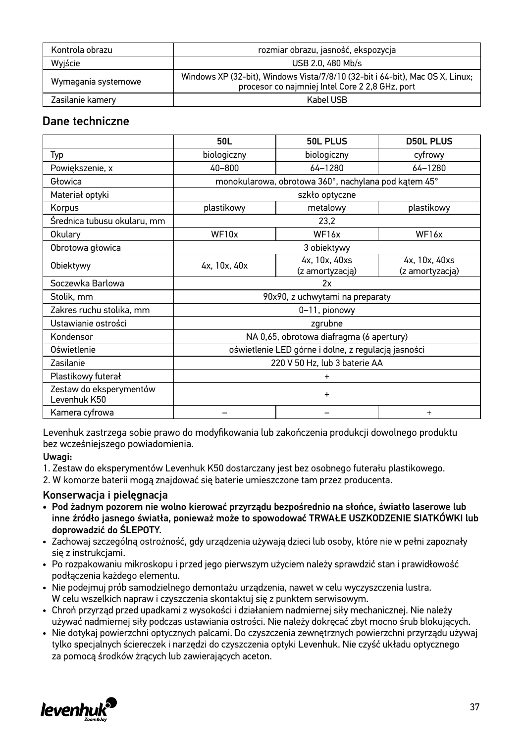| Kontrola obrazu     | rozmiar obrazu, jasność, ekspozycja                                                                                              |  |  |
|---------------------|----------------------------------------------------------------------------------------------------------------------------------|--|--|
| Wyjście             | USB 2.0, 480 Mb/s                                                                                                                |  |  |
| Wymagania systemowe | Windows XP (32-bit), Windows Vista/7/8/10 (32-bit i 64-bit), Mac OS X, Linux;<br>procesor co najmniej Intel Core 2 2,8 GHz, port |  |  |
| Zasilanie kamery    | Kabel USB                                                                                                                        |  |  |

#### Dane techniczne

|                                         | 50L                                                  | 50L PLUS                                            | <b>D50L PLUS</b>                 |  |
|-----------------------------------------|------------------------------------------------------|-----------------------------------------------------|----------------------------------|--|
| Typ                                     | biologiczny                                          | biologiczny                                         | cyfrowy                          |  |
| Powiekszenie, x                         | 40-800                                               | $64 - 1280$                                         | 64-1280                          |  |
| Głowica                                 | monokularowa, obrotowa 360°, nachylana pod kątem 45° |                                                     |                                  |  |
| Materiał optyki                         |                                                      | szkło optyczne                                      |                                  |  |
| Korpus                                  | plastikowy                                           | metalowy                                            | plastikowy                       |  |
| Średnica tubusu okularu, mm             |                                                      | 23,2                                                |                                  |  |
| Okulary                                 | WF10x                                                | WF <sub>16x</sub>                                   | WF <sub>16x</sub>                |  |
| Obrotowa głowica                        |                                                      | 3 obiektywy                                         |                                  |  |
| Obiektywy                               | 4x, 10x, 40x                                         | 4x, 10x, 40xs<br>(z amortyzacją)                    | 4x, 10x, 40xs<br>(z amortyzacją) |  |
| Soczewka Barlowa                        | 2x                                                   |                                                     |                                  |  |
| Stolik, mm                              | 90x90, z uchwytami na preparaty                      |                                                     |                                  |  |
| Zakres ruchu stolika, mm                | 0-11, pionowy                                        |                                                     |                                  |  |
| Ustawianie ostrości                     | zgrubne                                              |                                                     |                                  |  |
| Kondensor                               | NA 0,65, obrotowa diafragma (6 apertury)             |                                                     |                                  |  |
| Oświetlenie                             |                                                      | oświetlenie LED górne i dolne, z regulacją jasności |                                  |  |
| Zasilanie                               | 220 V 50 Hz, lub 3 baterie AA                        |                                                     |                                  |  |
| Plastikowy futerał                      | $\ddot{}$                                            |                                                     |                                  |  |
| Zestaw do eksperymentów<br>Levenhuk K50 | $+$                                                  |                                                     |                                  |  |
| Kamera cyfrowa                          |                                                      |                                                     | $\ddot{}$                        |  |

Levenhuk zastrzega sobie prawo do modyfikowania lub zakończenia produkcji dowolnego produktu bez wcześniejszego powiadomienia.

#### Uwagi:

- 1. Zestaw do eksperymentów Levenhuk K50 dostarczany jest bez osobnego futerału plastikowego.
- 2. W komorze baterii mogą znajdować się baterie umieszczone tam przez producenta.

#### Konserwacja i pielęgnacja

- Pod żadnym pozorem nie wolno kierować przyrządu bezpośrednio na słońce, światło laserowe lub inne źródło jasnego światła, ponieważ może to spowodować TRWAŁE USZKODZENIE SIATKÓWKI lub doprowadzić do ŚLEPOTY.
- Zachowaj szczególną ostrożność, gdy urządzenia używają dzieci lub osoby, które nie w pełni zapoznały się z instrukcjami.
- Po rozpakowaniu mikroskopu i przed jego pierwszym użyciem należy sprawdzić stan i prawidłowość podłączenia każdego elementu.
- Nie podejmuj prób samodzielnego demontażu urządzenia, nawet w celu wyczyszczenia lustra. W celu wszelkich napraw i czyszczenia skontaktuj się z punktem serwisowym.
- Chroń przyrząd przed upadkami z wysokości i działaniem nadmiernej siły mechanicznej. Nie należy używać nadmiernej siły podczas ustawiania ostrości. Nie należy dokręcać zbyt mocno śrub blokujących.
- Nie dotykaj powierzchni optycznych palcami. Do czyszczenia zewnętrznych powierzchni przyrządu używaj tylko specjalnych ściereczek i narzędzi do czyszczenia optyki Levenhuk. Nie czyść układu optycznego za pomocą środków żrących lub zawierających aceton.

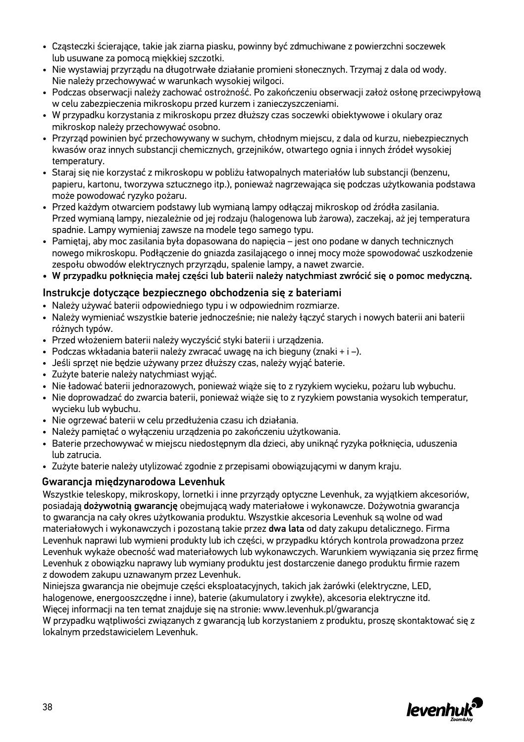- Cząsteczki ścierające, takie jak ziarna piasku, powinny być zdmuchiwane z powierzchni soczewek lub usuwane za pomocą miękkiej szczotki.
- Nie wystawiaj przyrządu na długotrwałe działanie promieni słonecznych. Trzymaj z dala od wody. Nie należy przechowywać w warunkach wysokiej wilgoci.
- Podczas obserwacji należy zachować ostrożność. Po zakończeniu obserwacji założ osłonę przeciwpyłową w celu zabezpieczenia mikroskopu przed kurzem i zanieczyszczeniami.
- W przypadku korzystania z mikroskopu przez dłuższy czas soczewki obiektywowe i okulary oraz mikroskop należy przechowywać osobno.
- Przyrząd powinien być przechowywany w suchym, chłodnym miejscu, z dala od kurzu, niebezpiecznych kwasów oraz innych substancji chemicznych, grzejników, otwartego ognia i innych źródeł wysokiej temperatury.
- Staraj się nie korzystać z mikroskopu w pobliżu łatwopalnych materiałów lub substancji (benzenu, papieru, kartonu, tworzywa sztucznego itp.), ponieważ nagrzewająca się podczas użytkowania podstawa może powodować ryzyko pożaru.
- Przed każdym otwarciem podstawy lub wymianą lampy odłączaj mikroskop od źródła zasilania. Przed wymianą lampy, niezależnie od jej rodzaju (halogenowa lub żarowa), zaczekaj, aż jej temperatura spadnie. Lampy wymieniaj zawsze na modele tego samego typu.
- Pamiętaj, aby moc zasilania była dopasowana do napięcia jest ono podane w danych technicznych nowego mikroskopu. Podłączenie do gniazda zasilającego o innej mocy może spowodować uszkodzenie zespołu obwodów elektrycznych przyrządu, spalenie lampy, a nawet zwarcie.
- W przypadku połknięcia małej części lub baterii należy natychmiast zwrócić się o pomoc medyczną.

#### Instrukcje dotyczące bezpiecznego obchodzenia się z bateriami

- Należy używać baterii odpowiedniego typu i w odpowiednim rozmiarze.
- Należy wymieniać wszystkie baterie jednocześnie; nie należy łączyć starych i nowych baterii ani baterii różnych typów.
- Przed włożeniem baterii należy wyczyścić styki baterii i urządzenia.
- Podczas wkładania baterii należy zwracać uwagę na ich bieguny (znaki + i –).
- Jeśli sprzęt nie będzie używany przez dłuższy czas, należy wyjąć baterie.
- Zużyte baterie należy natychmiast wyjąć.
- Nie ładować baterii jednorazowych, ponieważ wiąże się to z ryzykiem wycieku, pożaru lub wybuchu.
- Nie doprowadzać do zwarcia baterii, ponieważ wiąże się to z ryzykiem powstania wysokich temperatur, wycieku lub wybuchu.
- Nie ogrzewać baterii w celu przedłużenia czasu ich działania.
- Należy pamiętać o wyłączeniu urządzenia po zakończeniu użytkowania.
- Baterie przechowywać w miejscu niedostępnym dla dzieci, aby uniknąć ryzyka połknięcia, uduszenia lub zatrucia.
- Zużyte baterie należy utylizować zgodnie z przepisami obowiązującymi w danym kraju.

#### Gwarancja międzynarodowa Levenhuk

Wszystkie teleskopy, mikroskopy, lornetki i inne przyrządy optyczne Levenhuk, za wyjątkiem akcesoriów, posiadają dożywotnią gwarancję obejmującą wady materiałowe i wykonawcze. Dożywotnia gwarancja to gwarancja na cały okres użytkowania produktu. Wszystkie akcesoria Levenhuk są wolne od wad materiałowych i wykonawczych i pozostaną takie przez dwa lata od daty zakupu detalicznego. Firma Levenhuk naprawi lub wymieni produkty lub ich części, w przypadku których kontrola prowadzona przez Levenhuk wykaże obecność wad materiałowych lub wykonawczych. Warunkiem wywiązania się przez firmę Levenhuk z obowiązku naprawy lub wymiany produktu jest dostarczenie danego produktu firmie razem z dowodem zakupu uznawanym przez Levenhuk.

Niniejsza gwarancja nie obejmuje części eksploatacyjnych, takich jak żarówki (elektryczne, LED, halogenowe, energooszczędne i inne), baterie (akumulatory i zwykłe), akcesoria elektryczne itd. Więcej informacji na ten temat znajduje się na stronie: www.levenhuk.pl/gwarancja

W przypadku wątpliwości związanych z gwarancją lub korzystaniem z produktu, proszę skontaktować się z lokalnym przedstawicielem Levenhuk.

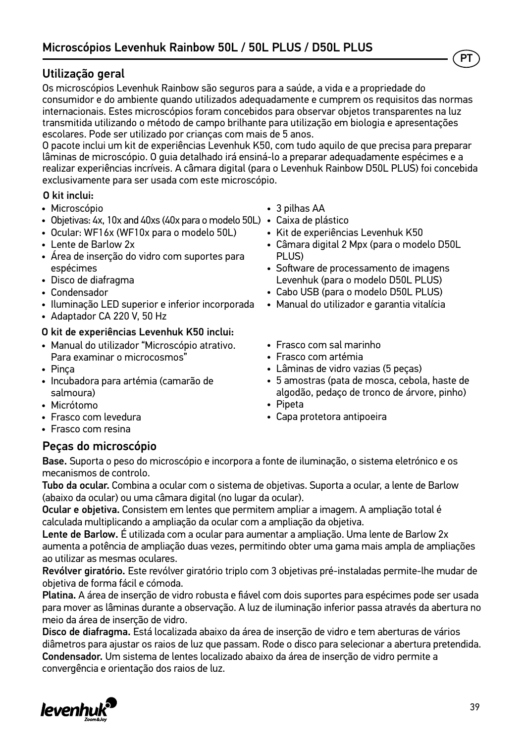### Utilização geral

Os microscópios Levenhuk Rainbow são seguros para a saúde, a vida e a propriedade do consumidor e do ambiente quando utilizados adequadamente e cumprem os requisitos das normas internacionais. Estes microscópios foram concebidos para observar objetos transparentes na luz transmitida utilizando o método de campo brilhante para utilização em biologia e apresentações escolares. Pode ser utilizado por crianças com mais de 5 anos.

O pacote inclui um kit de experiências Levenhuk K50, com tudo aquilo de que precisa para preparar lâminas de microscópio. O guia detalhado irá ensiná-lo a preparar adequadamente espécimes e a realizar experiências incríveis. A câmara digital (para o Levenhuk Rainbow D50L PLUS) foi concebida exclusivamente para ser usada com este microscópio.

#### O kit inclui:

- Microscópio
- Objetivas: 4х, 10х and 40хs (40x para o modelo 50L) Caixa de plástico
- Ocular: WF16х (WF10x para o modelo 50L)
- Lente de Barlow 2x
- Área de inserção do vidro com suportes para espécimes
- Disco de diafragma
- Condensador
- Iluminação LED superior e inferior incorporada
- Adaptador CA 220 V, 50 Hz

#### O kit de experiências Levenhuk K50 inclui:

- Manual do utilizador "Microscópio atrativo. Para examinar o microcosmos"
- Pinça
- Incubadora para artémia (camarão de salmoura)
- Micrótomo
- Frasco com levedura
- Frasco com resina

### Peças do microscópio

Base. Suporta o peso do microscópio e incorpora a fonte de iluminação, o sistema eletrónico e os mecanismos de controlo.

Tubo da ocular. Combina a ocular com o sistema de objetivas. Suporta a ocular, a lente de Barlow (abaixo da ocular) ou uma câmara digital (no lugar da ocular).

Ocular e objetiva. Consistem em lentes que permitem ampliar a imagem. A ampliação total é calculada multiplicando a ampliação da ocular com a ampliação da objetiva.

Lente de Barlow. É utilizada com a ocular para aumentar a ampliação. Uma lente de Barlow 2x aumenta a potência de ampliação duas vezes, permitindo obter uma gama mais ampla de ampliações ao utilizar as mesmas oculares.

Revólver giratório. Este revólver giratório triplo com 3 objetivas pré-instaladas permite-lhe mudar de objetiva de forma fácil e cómoda.

Platina. A área de inserção de vidro robusta e fiável com dois suportes para espécimes pode ser usada para mover as lâminas durante a observação. A luz de iluminação inferior passa através da abertura no meio da área de inserção de vidro.

Disco de diafragma. Está localizada abaixo da área de inserção de vidro e tem aberturas de vários diâmetros para ajustar os raios de luz que passam. Rode o disco para selecionar a abertura pretendida. Condensador. Um sistema de lentes localizado abaixo da área de inserção de vidro permite a convergência e orientação dos raios de luz.



- 3 pilhas AA
- 
- Kit de experiências Levenhuk K50
- Câmara digital 2 Mpx (para o modelo D50L PLUS)
- Software de processamento de imagens Levenhuk (para o modelo D50L PLUS)
- Cabo USB (para o modelo D50L PLUS)
- Manual do utilizador e garantia vitalícia
- Frasco com sal marinho
- Frasco com artémia
- Lâminas de vidro vazias (5 peças)
- 5 amostras (pata de mosca, cebola, haste de algodão, pedaço de tronco de árvore, pinho)
- Pipeta
- Capa protetora antipoeira



PT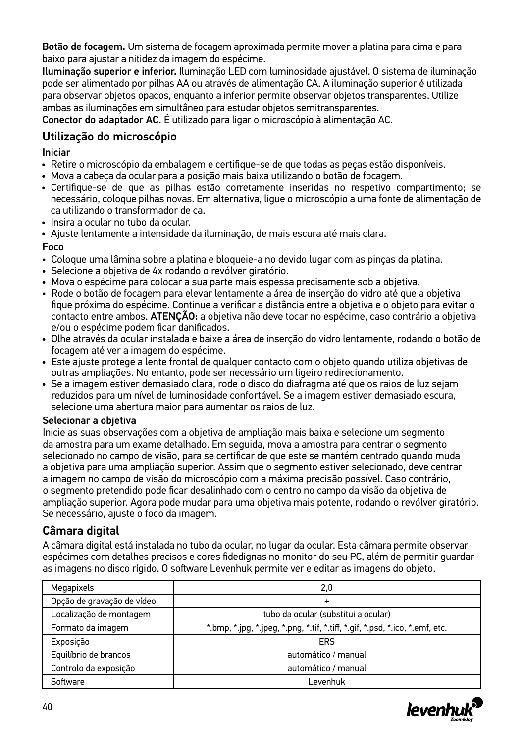Botão de focagem. Um sistema de focagem aproximada permite mover a platina para cima e para baixo para ajustar a nitidez da imagem do espécime.

Iluminação superior e inferior. Iluminação LED com luminosidade ajustável. O sistema de iluminação pode ser alimentado por pilhas AA ou através de alimentação CA. A iluminação superior é utilizada para observar objetos opacos, enquanto a inferior permite observar objetos transparentes. Utilize ambas as iluminações em simultâneo para estudar objetos semitransparentes.

Conector do adaptador AC. É utilizado para ligar o microscópio à alimentação AC.

### Utilização do microscópio

#### Iniciar

- Retire o microscópio da embalagem e certifique-se de que todas as peças estão disponíveis.
- Mova a cabeça da ocular para a posição mais baixa utilizando o botão de focagem.
- Certifique-se de que as pilhas estão corretamente inseridas no respetivo compartimento; se necessário, coloque pilhas novas. Em alternativa, ligue o microscópio a uma fonte de alimentação de ca utilizando o transformador de ca.
- Insira a ocular no tubo da ocular.
- Ajuste lentamente a intensidade da iluminação, de mais escura até mais clara.

#### Foco

- Coloque uma lâmina sobre a platina e bloqueie-a no devido lugar com as pinças da platina.
- Selecione a objetiva de 4x rodando o revólver giratório.
- Mova o espécime para colocar a sua parte mais espessa precisamente sob a objetiva.
- Rode o botão de focagem para elevar lentamente a área de inserção do vidro até que a objetiva fique próxima do espécime. Continue a verificar a distância entre a objetiva e o objeto para evitar o contacto entre ambos. ATENÇÃO: a objetiva não deve tocar no espécime, caso contrário a objetiva e/ou o espécime podem ficar danificados.
- Olhe através da ocular instalada e baixe a área de inserção do vidro lentamente, rodando o botão de focagem até ver a imagem do espécime.
- Este ajuste protege a lente frontal de qualquer contacto com o objeto quando utiliza objetivas de outras ampliações. No entanto, pode ser necessário um ligeiro redirecionamento.
- Se a imagem estiver demasiado clara, rode o disco do diafragma até que os raios de luz sejam reduzidos para um nível de luminosidade confortável. Se a imagem estiver demasiado escura, selecione uma abertura maior para aumentar os raios de luz.

#### Selecionar a objetiva

Inicie as suas observações com a objetiva de ampliação mais baixa e selecione um segmento da amostra para um exame detalhado. Em seguida, mova a amostra para centrar o segmento selecionado no campo de visão, para se certificar de que este se mantém centrado quando muda a objetiva para uma ampliação superior. Assim que o segmento estiver selecionado, deve centrar a imagem no campo de visão do microscópio com a máxima precisão possível. Caso contrário, o segmento pretendido pode ficar desalinhado com o centro no campo da visão da objetiva de ampliação superior. Agora pode mudar para uma objetiva mais potente, rodando o revólver giratório. Se necessário, ajuste o foco da imagem.

### Câmara digital

A câmara digital está instalada no tubo da ocular, no lugar da ocular. Esta câmara permite observar espécimes com detalhes precisos e cores fidedignas no monitor do seu PC, além de permitir guardar as imagens no disco rígido. O software Levenhuk permite ver e editar as imagens do objeto.

| Megapixels                 | 2,0                                                                                                        |  |  |
|----------------------------|------------------------------------------------------------------------------------------------------------|--|--|
| Opção de gravação de vídeo | $\ddot{}$                                                                                                  |  |  |
| Localização de montagem    | tubo da ocular (substitui a ocular)                                                                        |  |  |
| Formato da imagem          | $*$ .bmp, $*$ .jpg, $*$ .jpeg, $*$ .png, $*$ .tif, $*$ .tiff, $*$ .gif, $*$ .psd, $*$ .ico, $*$ .emf, etc. |  |  |
| Exposição                  | ERS                                                                                                        |  |  |
| Equilíbrio de brancos      | automático / manual                                                                                        |  |  |
| Controlo da exposição      | automático / manual                                                                                        |  |  |
| Software                   | evenhuk                                                                                                    |  |  |

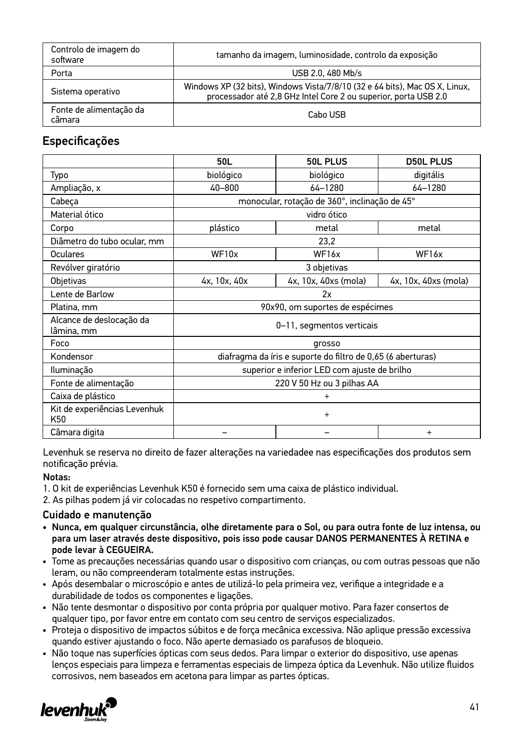| Controlo de imagem do<br>software | tamanho da imagem, luminosidade, controlo da exposição                                                                                         |
|-----------------------------------|------------------------------------------------------------------------------------------------------------------------------------------------|
| Porta                             | USB 2.0, 480 Mb/s                                                                                                                              |
| Sistema operativo                 | Windows XP (32 bits), Windows Vista/7/8/10 (32 e 64 bits), Mac OS X, Linux,<br>processador até 2,8 GHz Intel Core 2 ou superior, porta USB 2.0 |
| Fonte de alimentação da<br>câmara | Cabo USB                                                                                                                                       |

### Especificações

|                                        | 50L                                                         | 50L PLUS             | <b>D50L PLUS</b>     |
|----------------------------------------|-------------------------------------------------------------|----------------------|----------------------|
| Typo                                   | biológico                                                   | biológico            | digitális            |
| Ampliação, x                           | 40-800                                                      | 64-1280              | 64-1280              |
| Cabeça                                 | monocular, rotação de 360°, inclinação de 45°               |                      |                      |
| Material ótico                         | vidro ótico                                                 |                      |                      |
| Corpo                                  | plástico                                                    | metal                | metal                |
| Diâmetro do tubo ocular, mm            | 23,2                                                        |                      |                      |
| Oculares                               | WF10x                                                       | WF16x                | WF16x                |
| Revólver giratório                     | 3 objetivas                                                 |                      |                      |
| Objetivas                              | 4x, 10x, 40x                                                | 4x, 10x, 40xs (mola) | 4x, 10x, 40xs (mola) |
| Lente de Barlow                        | 2x                                                          |                      |                      |
| Platina, mm                            | 90x90, om suportes de espécimes                             |                      |                      |
| Alcance de deslocação da<br>lâmina, mm | 0-11, segmentos verticais                                   |                      |                      |
| Foco                                   | grosso                                                      |                      |                      |
| Kondensor                              | diafragma da íris e suporte do filtro de 0,65 (6 aberturas) |                      |                      |
| Iluminação                             | superior e inferior LED com ajuste de brilho                |                      |                      |
| Fonte de alimentação                   | 220 V 50 Hz ou 3 pilhas AA                                  |                      |                      |
| Caixa de plástico                      | $\ddot{}$                                                   |                      |                      |
| Kit de experiências Levenhuk<br>K50    | $\ddot{}$                                                   |                      |                      |
| Câmara digita                          |                                                             |                      | $\ddot{}$            |

Levenhuk se reserva no direito de fazer alterações na variedadee nas especificações dos produtos sem notificação prévia.

#### Notas:

- 1. O kit de experiências Levenhuk K50 é fornecido sem uma caixa de plástico individual.
- 2. As pilhas podem já vir colocadas no respetivo compartimento.

#### Cuidado e manutenção

- Nunca, em qualquer circunstância, olhe diretamente para o Sol, ou para outra fonte de luz intensa, ou para um laser através deste dispositivo, pois isso pode causar DANOS PERMANENTES À RETINA e pode levar à CEGUEIRA.
- Tome as precauções necessárias quando usar o dispositivo com crianças, ou com outras pessoas que não leram, ou não compreenderam totalmente estas instruções.
- Após desembalar o microscópio e antes de utilizá-lo pela primeira vez, verifique a integridade e a durabilidade de todos os componentes e ligações.
- Não tente desmontar o dispositivo por conta própria por qualquer motivo. Para fazer consertos de qualquer tipo, por favor entre em contato com seu centro de serviços especializados.
- Proteja o dispositivo de impactos súbitos e de força mecânica excessiva. Não aplique pressão excessiva quando estiver ajustando o foco. Não aperte demasiado os parafusos de bloqueio.
- Não toque nas superfícies ópticas com seus dedos. Para limpar o exterior do dispositivo, use apenas lenços especiais para limpeza e ferramentas especiais de limpeza óptica da Levenhuk. Não utilize fluidos corrosivos, nem baseados em acetona para limpar as partes ópticas.

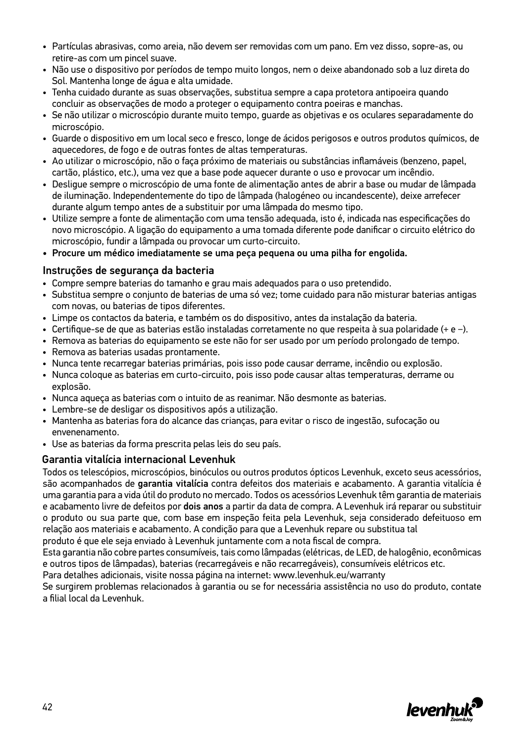- Partículas abrasivas, como areia, não devem ser removidas com um pano. Em vez disso, sopre-as, ou retire-as com um pincel suave.
- Não use o dispositivo por períodos de tempo muito longos, nem o deixe abandonado sob a luz direta do Sol. Mantenha longe de água e alta umidade.
- Tenha cuidado durante as suas observações, substitua sempre a capa protetora antipoeira quando concluir as observações de modo a proteger o equipamento contra poeiras e manchas.
- Se não utilizar o microscópio durante muito tempo, guarde as objetivas e os oculares separadamente do microscópio.
- Guarde o dispositivo em um local seco e fresco, longe de ácidos perigosos e outros produtos químicos, de aquecedores, de fogo e de outras fontes de altas temperaturas.
- Ao utilizar o microscópio, não o faça próximo de materiais ou substâncias inflamáveis (benzeno, papel, cartão, plástico, etc.), uma vez que a base pode aquecer durante o uso e provocar um incêndio.
- Desligue sempre o microscópio de uma fonte de alimentação antes de abrir a base ou mudar de lâmpada de iluminação. Independentemente do tipo de lâmpada (halogéneo ou incandescente), deixe arrefecer durante algum tempo antes de a substituir por uma lâmpada do mesmo tipo.
- Utilize sempre a fonte de alimentação com uma tensão adequada, isto é, indicada nas especificações do novo microscópio. A ligação do equipamento a uma tomada diferente pode danificar o circuito elétrico do microscópio, fundir a lâmpada ou provocar um curto-circuito.
- Procure um médico imediatamente se uma peça pequena ou uma pilha for engolida.

#### Instruções de segurança da bacteria

- Compre sempre baterias do tamanho e grau mais adequados para o uso pretendido.
- Substitua sempre o conjunto de baterias de uma só vez; tome cuidado para não misturar baterias antigas com novas, ou baterias de tipos diferentes.
- Limpe os contactos da bateria, e também os do dispositivo, antes da instalação da bateria.
- Certifique-se de que as baterias estão instaladas corretamente no que respeita à sua polaridade (+ e −).
- Remova as baterias do equipamento se este não for ser usado por um período prolongado de tempo.
- Remova as baterias usadas prontamente.
- Nunca tente recarregar baterias primárias, pois isso pode causar derrame, incêndio ou explosão.
- Nunca coloque as baterias em curto-circuito, pois isso pode causar altas temperaturas, derrame ou explosão.
- Nunca aqueça as baterias com o intuito de as reanimar. Não desmonte as baterias.
- Lembre-se de desligar os dispositivos após a utilização.
- Mantenha as baterias fora do alcance das crianças, para evitar o risco de ingestão, sufocação ou envenenamento.
- Use as baterias da forma prescrita pelas leis do seu país.

#### Garantia vitalícia internacional Levenhuk

Todos os telescópios, microscópios, binóculos ou outros produtos ópticos Levenhuk, exceto seus acessórios, são acompanhados de garantia vitalícia contra defeitos dos materiais e acabamento. A garantia vitalícia é uma garantia para a vida útil do produto no mercado. Todos os acessórios Levenhuk têm garantia de materiais e acabamento livre de defeitos por dois anos a partir da data de compra. A Levenhuk irá reparar ou substituir o produto ou sua parte que, com base em inspeção feita pela Levenhuk, seja considerado defeituoso em relação aos materiais e acabamento. A condição para que a Levenhuk repare ou substitua tal

produto é que ele seja enviado à Levenhuk juntamente com a nota fiscal de compra.

Esta garantia não cobre partes consumíveis, tais como lâmpadas (elétricas, de LED, de halogênio, econômicas e outros tipos de lâmpadas), baterias (recarregáveis e não recarregáveis), consumíveis elétricos etc.

Para detalhes adicionais, visite nossa página na internet: www.levenhuk.eu/warranty

Se surgirem problemas relacionados à garantia ou se for necessária assistência no uso do produto, contate a filial local da Levenhuk.

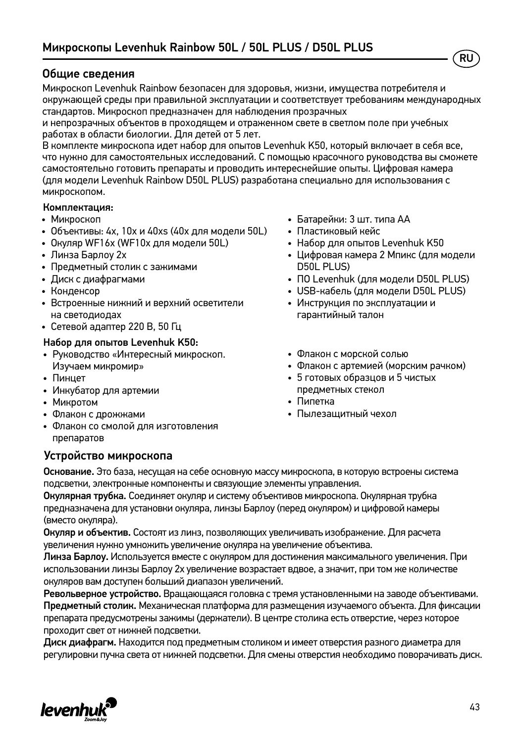#### Общие сведения

Микроскоп Levenhuk Rainbow безопасен для здоровья, жизни, имущества потребителя и окружающей среды при правильной эксплуатации и соответствует требованиям международных стандартов. Микроскоп предназначен для наблюдения прозрачных

и непрозрачных объектов в проходящем и отраженном свете в светлом поле при учебных работах в области биологии. Для детей от 5 лет.

В комплекте микроскопа идет набор для опытов Levenhuk K50, который включает в себя все, что нужно для самостоятельных исследований. С помощью красочного руководства вы сможете самостоятельно готовить препараты и проводить интереснейшие опыты. Цифровая камера (для модели Levenhuk Rainbow D50L PLUS) разработана специально для использования с микроскопом.

#### Комплектация:

- Микроскоп
- Объективы: 4х, 10х и 40хs (40x для модели 50L)
- Окуляр WF16х (WF10x для модели 50L)
- Линза Барлоу 2x
- Предметный столик с зажимами
- Диск с диафрагмами
- Конденсор
- Встроенные нижний и верхний осветители на светодиодах
- Сетевой адаптер 220 В, 50 Гц

#### Набор для опытов Levenhuk K50:

- Руководство «Интересный микроскоп. Изучаем микромир»
- Пинцет
- Инкубатор для артемии
- Микротом
- Флакон с дрожжами
- Флакон со смолой для изготовления препаратов

#### Устройство микроскопа

- Батарейки: 3 шт. типа АА
- Пластиковый кейс
- Набор для опытов Levenhuk K50
- Цифровая камера 2 Мпикс (для модели D50L PLUS)

RU

- ПО Levenhuk (для модели D50L PLUS)
- USB-кабель (для модели D50L PLUS)
- Инструкция по эксплуатации и гарантийный талон
- Флакон с морской солью
- Флакон с артемией (морским рачком)
- 5 готовых образцов и 5 чистых предметных стекол
- Пипетка
- Пылезащитный чехол

Основание. Это база, несущая на себе основную массу микроскопа, в которую встроены система подсветки, электронные компоненты и связующие элементы управления.

Окулярная трубка. Соединяет окуляр и систему объективов микроскопа. Окулярная трубка предназначена для установки окуляра, линзы Барлоу (перед окуляром) и цифровой камеры (вместо окуляра).

Окуляр и объектив. Состоят из линз, позволяющих увеличивать изображение. Для расчета увеличения нужно умножить увеличение окуляра на увеличение объектива.

Линза Барлоу. Используется вместе с окуляром для достижения максимального увеличения. При использовании линзы Барлоу 2х увеличение возрастает вдвое, а значит, при том же количестве окуляров вам доступен больший диапазон увеличений.

Револьверное устройство. Вращающаяся головка с тремя установленными на заводе объективами. Предметный столик. Механическая платформа для размещения изучаемого объекта. Для фиксации препарата предусмотрены зажимы (держатели). В центре столика есть отверстие, через которое проходит свет от нижней подсветки.

Диск диафрагм. Находится под предметным столиком и имеет отверстия разного диаметра для регулировки пучка света от нижней подсветки. Для смены отверстия необходимо поворачивать диск.

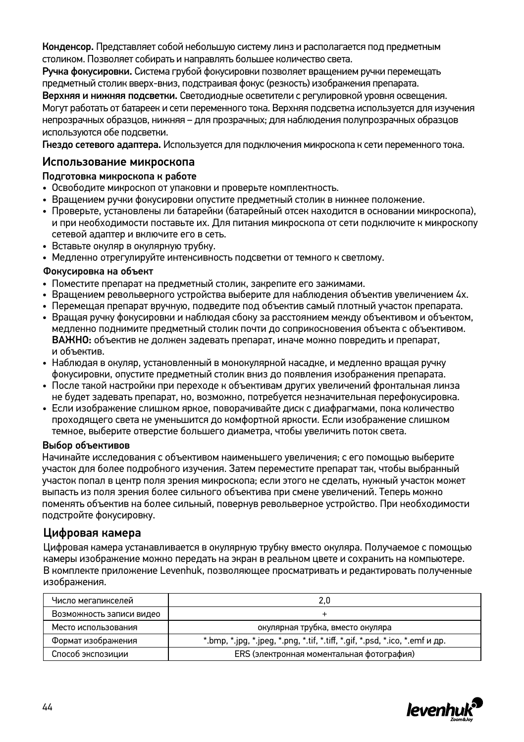Конденсор. Представляет собой небольшую систему линз и располагается под предметным столиком. Позволяет собирать и направлять большее количество света.

Ручка фокусировки. Система грубой фокусировки позволяет вращением ручки перемещать предметный столик вверх-вниз, подстраивая фокус (резкость) изображения препарата.

Верхняя и нижняя подсветки. Светодиодные осветители с регулировкой уровня освещения. Могут работать от батареек и сети переменного тока. Верхняя подсветка используется для изучения непрозрачных образцов, нижняя – для прозрачных; для наблюдения полупрозрачных образцов используются обе подсветки.

Гнездо сетевого адаптера. Используется для подключения микроскопа к сети переменного тока.

#### Использование микроскопа

#### Подготовка микроскопа к работе

- Освободите микроскоп от упаковки и проверьте комплектность.
- Вращением ручки фокусировки опустите предметный столик в нижнее положение.
- Проверьте, установлены ли батарейки (батарейный отсек находится в основании микроскопа), и при необходимости поставьте их. Для питания микроскопа от сети подключите к микроскопу сетевой адаптер и включите его в сеть.
- Вставьте окуляр в окулярную трубку.
- Медленно отрегулируйте интенсивность подсветки от темного к светлому.

#### Фокусировка на объект

- Поместите препарат на предметный столик, закрепите его зажимами.
- Вращением револьверного устройства выберите для наблюдения объектив увеличением 4х.
- Перемещая препарат вручную, подведите под объектив самый плотный участок препарата.
- Вращая ручку фокусировки и наблюдая сбоку за расстоянием между объективом и объектом, медленно поднимите предметный столик почти до соприкосновения объекта с объективом. ВАЖНО: объектив не должен задевать препарат, иначе можно повредить и препарат, и объектив.
- Наблюдая в окуляр, установленный в монокулярной насадке, и медленно вращая ручку фокусировки, опустите предметный столик вниз до появления изображения препарата.
- После такой настройки при переходе к объективам других увеличений фронтальная линза не будет задевать препарат, но, возможно, потребуется незначительная перефокусировка.
- Если изображение слишком яркое, поворачивайте диск с диафрагмами, пока количество проходящего света не уменьшится до комфортной яркости. Если изображение слишком темное, выберите отверстие большего диаметра, чтобы увеличить поток света.

#### Выбор объективов

Начинайте исследования с объективом наименьшего увеличения; с его помощью выберите участок для более подробного изучения. Затем переместите препарат так, чтобы выбранный участок попал в центр поля зрения микроскопа; если этого не сделать, нужный участок может выпасть из поля зрения более сильного объектива при смене увеличений. Теперь можно поменять объектив на более сильный, повернув револьверное устройство. При необходимости подстройте фокусировку.

#### Цифровая камера

Цифровая камера устанавливается в окулярную трубку вместо окуляра. Получаемое с помощью камеры изображение можно передать на экран в реальном цвете и сохранить на компьютере. В комплекте приложение Levenhuk, позволяющее просматривать и редактировать полученные изображения.

| Число мегапикселей       | 2.0                                                                                                            |  |
|--------------------------|----------------------------------------------------------------------------------------------------------------|--|
| Возможность записи видео |                                                                                                                |  |
| Место использования      | окулярная трубка, вместо окуляра                                                                               |  |
| Формат изображения       | *.bmp, $*$ .jpg, $*$ .jpeg, $*$ .png, $*$ .tif, $*$ .tiff, $*$ .gif, $*$ .psd, $*$ .ico, $*$ .emf $u$ $\mu$ p. |  |
| Способ экспозиции        | ERS (электронная моментальная фотография)                                                                      |  |

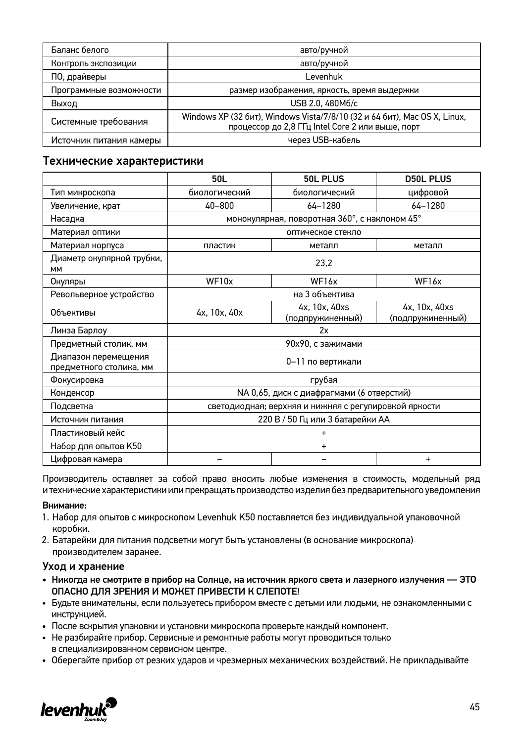| Баланс белого           | авто/ручной                                                                                                                   |
|-------------------------|-------------------------------------------------------------------------------------------------------------------------------|
| Контроль экспозиции     | авто/ручной                                                                                                                   |
| ПО, драйверы            | Levenhuk                                                                                                                      |
| Программные возможности | размер изображения, яркость, время выдержки                                                                                   |
| Выход                   | USB 2.0, 480M6/c                                                                                                              |
| Системные требования    | Windows XP (32 бит), Windows Vista/7/8/10 (32 и 64 бит), Mac OS X, Linux,<br>процессор до 2,8 ГГц Intel Core 2 или выше, порт |
| Источник питания камеры | через USB-кабель                                                                                                              |

#### Технические характеристики

|                                                 | 50L                                                   | 50L PLUS                          | <b>D50L PLUS</b>                  |
|-------------------------------------------------|-------------------------------------------------------|-----------------------------------|-----------------------------------|
| Тип микроскопа                                  | биологический                                         | биологический                     | цифровой                          |
| Увеличение, крат                                | 40-800                                                | 64-1280                           | 64-1280                           |
| Насадка                                         | монокулярная, поворотная 360°, с наклоном 45°         |                                   |                                   |
| Материал оптики                                 | оптическое стекло                                     |                                   |                                   |
| Материал корпуса                                | пластик                                               | металл                            | металл                            |
| Диаметр окулярной трубки,<br><b>MM</b>          | 23,2                                                  |                                   |                                   |
| Окуляры                                         | WF10x                                                 | WF16x                             | WF <sub>16x</sub>                 |
| Револьверное устройство                         | на 3 объектива                                        |                                   |                                   |
| Объективы                                       | 4x, 10x, 40x                                          | 4x, 10x, 40xs<br>(подпружиненный) | 4x, 10x, 40xs<br>(подпружиненный) |
| Линза Барлоу                                    | 2x                                                    |                                   |                                   |
| Предметный столик, мм                           | 90х90, с зажимами                                     |                                   |                                   |
| Диапазон перемещения<br>предметного столика, мм | 0-11 по вертикали                                     |                                   |                                   |
| Фокусировка                                     | грубая                                                |                                   |                                   |
| Конденсор                                       | NA 0,65, диск с диафрагмами (6 отверстий)             |                                   |                                   |
| Подсветка                                       | светодиодная; верхняя и нижняя с регулировкой яркости |                                   |                                   |
| Источник питания                                | 220 В / 50 Гц или 3 батарейки АА                      |                                   |                                   |
| Пластиковый кейс                                | $\ddot{}$                                             |                                   |                                   |
| Набор для опытов К50                            | $\ddot{}$                                             |                                   |                                   |
| Цифровая камера                                 |                                                       |                                   | $\ddot{}$                         |

Производитель оставляет за собой право вносить любые изменения в стоимость, модельный ряд и технические характеристики или прекращать производство изделия без предварительного уведомления

#### Внимание:

- 1. Набор для опытов с микроскопом Levenhuk K50 поставляется без индивидуальной упаковочной коробки.
- 2. Батарейки для питания подсветки могут быть установлены (в основание микроскопа) производителем заранее.

#### Уход и хранение

- Никогда не смотрите в прибор на Солнце, на источник яркого света и лазерного излучения ЭТО ОПАСНО ДЛЯ ЗРЕНИЯ И МОЖЕТ ПРИВЕСТИ К СЛЕПОТЕ!
- Будьте внимательны, если пользуетесь прибором вместе с детьми или людьми, не ознакомленными с инструкцией.
- После вскрытия упаковки и установки микроскопа проверьте каждый компонент.
- Не разбирайте прибор. Сервисные и ремонтные работы могут проводиться только в специализированном сервисном центре.
- Оберегайте прибор от резких ударов и чрезмерных механических воздействий. Не прикладывайте

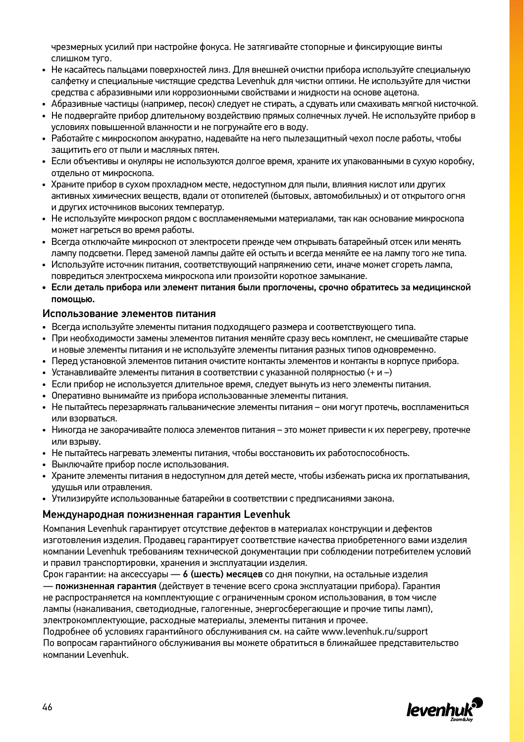чрезмерных усилий при настройке фокуса. Не затягивайте стопорные и фиксирующие винты слишком туго.

- Не касайтесь пальцами поверхностей линз. Для внешней очистки прибора используйте специальную салфетку и специальные чистящие средства Levenhuk для чистки оптики. Не используйте для чистки средства с абразивными или коррозионными свойствами и жидкости на основе ацетона.
- Абразивные частицы (например, песок) следует не стирать, а сдувать или смахивать мягкой кисточкой.
- Не подвергайте прибор длительному воздействию прямых солнечных лучей. Не используйте прибор в условиях повышенной влажности и не погружайте его в воду.
- Работайте с микроскопом аккуратно, надевайте на него пылезащитный чехол после работы, чтобы защитить его от пыли и масляных пятен.
- Если объективы и окуляры не используются долгое время, храните их упакованными в сухую коробку, отдельно от микроскопа.
- Храните прибор в сухом прохладном месте, недоступном для пыли, влияния кислот или других активных химических веществ, вдали от отопителей (бытовых, автомобильных) и от открытого огня и других источников высоких температур.
- Не используйте микроскоп рядом с воспламеняемыми материалами, так как основание микроскопа может нагреться во время работы.
- Всегда отключайте микроскоп от электросети прежде чем открывать батарейный отсек или менять лампу подсветки. Перед заменой лампы дайте ей остыть и всегда меняйте ее на лампу того же типа.
- Используйте источник питания, соответствующий напряжению сети, иначе может сгореть лампа, повредиться электросхема микроскопа или произойти короткое замыкание.
- Если деталь прибора или элемент питания были проглочены, срочно обратитесь за медицинской помощью.

#### Использование элементов питания

- Всегда используйте элементы питания подходящего размера и соответствующего типа.
- При необходимости замены элементов питания меняйте сразу весь комплект, не смешивайте старые и новые элементы питания и не используйте элементы питания разных типов одновременно.
- Перед установкой элементов питания очистите контакты элементов и контакты в корпусе прибора.
- Устанавливайте элементы питания в соответствии с указанной полярностью (+ и –)
- Если прибор не используется длительное время, следует вынуть из него элементы питания.
- Оперативно вынимайте из прибора использованные элементы питания.
- Не пытайтесь перезаряжать гальванические элементы питания они могут протечь, воспламениться или взорваться.
- Никогда не закорачивайте полюса элементов питания это может привести к их перегреву, протечке или взрыву.
- Не пытайтесь нагревать элементы питания, чтобы восстановить их работоспособность.
- Выключайте прибор после использования.
- Храните элементы питания в недоступном для детей месте, чтобы избежать риска их проглатывания, удушья или отравления.
- Утилизируйте использованные батарейки в соответствии с предписаниями закона.

#### Международная пожизненная гарантия Levenhuk

Компания Levenhuk гарантирует отсутствие дефектов в материалах конструкции и дефектов изготовления изделия. Продавец гарантирует соответствие качества приобретенного вами изделия компании Levenhuk требованиям технической документации при соблюдении потребителем условий и правил транспортировки, хранения и эксплуатации изделия.

Срок гарантии: на аксессуары — 6 (шесть) месяцев со дня покупки, на остальные изделия — пожизненная гарантия (действует в течение всего срока эксплуатации прибора). Гарантия не распространяется на комплектующие с ограниченным сроком использования, в том числе лампы (накаливания, светодиодные, галогенные, энергосберегающие и прочие типы ламп), электрокомплектующие, расходные материалы, элементы питания и прочее.

Подробнее об условиях гарантийного обслуживания см. на сайте www.levenhuk.ru/support По вопросам гарантийного обслуживания вы можете обратиться в ближайшее представительство компании Levenhuk.